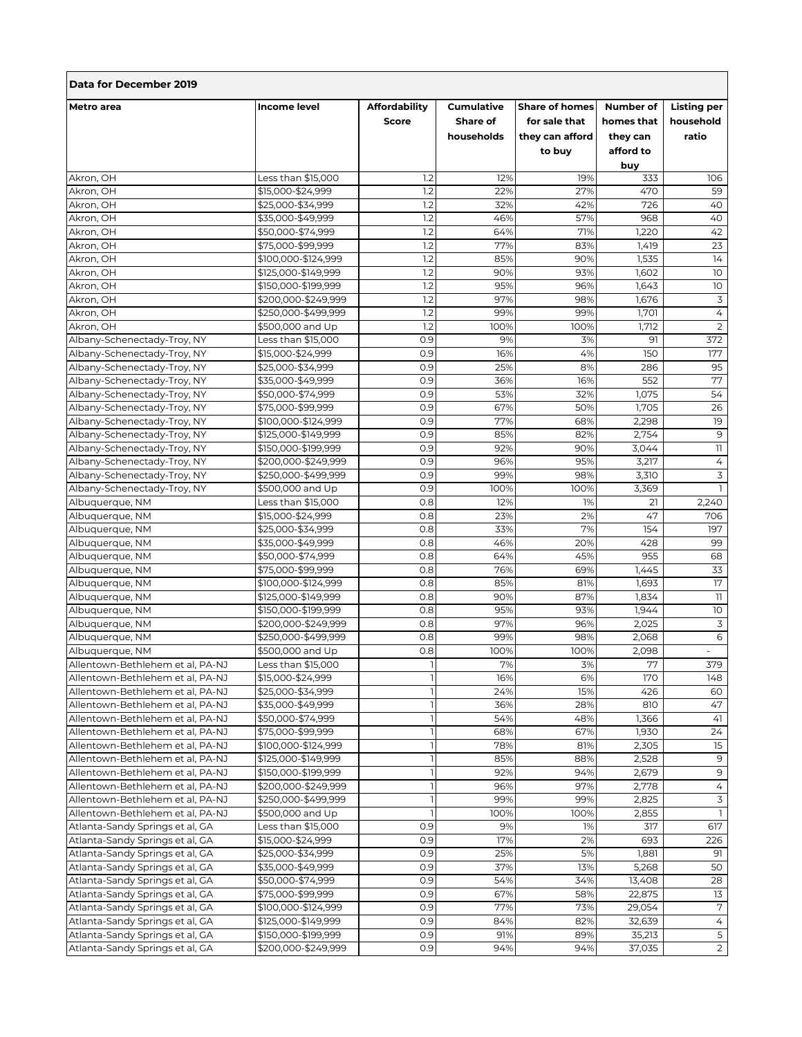| Data for December 2019                                               |                                        |                                      |                                             |                                                                     |                                                  |                                          |  |  |
|----------------------------------------------------------------------|----------------------------------------|--------------------------------------|---------------------------------------------|---------------------------------------------------------------------|--------------------------------------------------|------------------------------------------|--|--|
| <b>Metro</b> area                                                    | <b>Income level</b>                    | <b>Affordability</b><br><b>Score</b> | <b>Cumulative</b><br>Share of<br>households | <b>Share of homes</b><br>for sale that<br>they can afford<br>to buy | Number of<br>homes that<br>they can<br>afford to | <b>Listing per</b><br>household<br>ratio |  |  |
| Akron, OH                                                            | Less than \$15,000                     | 1.2                                  | 12%                                         | 19%                                                                 | buy<br>333                                       | 106                                      |  |  |
| Akron, OH                                                            | \$15,000-\$24,999                      | 1.2                                  | 22%                                         | 27%                                                                 | 470                                              | 59                                       |  |  |
| Akron, OH                                                            | \$25,000-\$34,999                      | $\overline{1.2}$                     | 32%                                         | 42%                                                                 | 726                                              | 40                                       |  |  |
| Akron, OH                                                            | \$35,000-\$49,999                      | 1.2                                  | 46%                                         | 57%                                                                 | 968                                              | 40                                       |  |  |
| Akron, OH                                                            | \$50,000-\$74,999                      | 1.2                                  | 64%                                         | 71%                                                                 | 1,220                                            | 42                                       |  |  |
| Akron, OH                                                            | \$75,000-\$99,999                      | 1.2                                  | 77%                                         | 83%                                                                 | 1,419                                            | 23                                       |  |  |
| Akron, OH                                                            | \$100,000-\$124,999                    | 1.2                                  | 85%                                         | 90%                                                                 | 1,535                                            | 14                                       |  |  |
| Akron, OH                                                            | \$125,000-\$149,999                    | 1.2                                  | 90%                                         | 93%                                                                 | 1,602                                            | 10                                       |  |  |
| Akron, OH                                                            | \$150,000-\$199,999                    | 1.2                                  | 95%                                         | 96%                                                                 | 1,643                                            | 10                                       |  |  |
| Akron, OH                                                            | \$200,000-\$249,999                    | 1.2                                  | 97%                                         | 98%                                                                 | 1,676                                            | $\overline{3}$                           |  |  |
| Akron, OH                                                            | \$250,000-\$499,999                    | 1.2                                  | 99%                                         | 99%                                                                 | 1,701                                            | $\overline{4}$                           |  |  |
| Akron, OH                                                            | \$500,000 and Up                       | $\overline{1.2}$                     | 100%                                        | 100%                                                                | 1,712                                            | $\overline{2}$                           |  |  |
| Albany-Schenectady-Troy, NY                                          | Less than \$15,000                     | 0.9                                  | 9%                                          | 3%                                                                  | 91                                               | 372                                      |  |  |
| Albany-Schenectady-Troy, NY                                          | \$15,000-\$24,999                      | 0.9                                  | 16%                                         | 4%                                                                  | 150                                              | 177                                      |  |  |
| Albany-Schenectady-Troy, NY                                          | \$25,000-\$34,999                      | 0.9                                  | 25%                                         | 8%                                                                  | 286                                              | 95                                       |  |  |
| Albany-Schenectady-Troy, NY                                          | \$35,000-\$49,999                      | 0.9                                  | 36%                                         | 16%                                                                 | 552                                              | 77                                       |  |  |
| Albany-Schenectady-Troy, NY                                          | \$50,000-\$74,999                      | 0.9                                  | 53%                                         | 32%                                                                 | 1,075                                            | 54                                       |  |  |
| Albany-Schenectady-Troy, NY                                          | \$75,000-\$99,999                      | 0.9                                  | 67%                                         | 50%                                                                 | 1,705                                            | 26                                       |  |  |
| Albany-Schenectady-Troy, NY                                          | \$100,000-\$124,999                    | 0.9                                  | 77%                                         | 68%                                                                 | 2,298                                            | 19                                       |  |  |
| Albany-Schenectady-Troy, NY                                          | \$125,000-\$149,999                    | 0.9                                  | 85%                                         | 82%                                                                 | 2,754                                            | 9                                        |  |  |
| Albany-Schenectady-Troy, NY                                          | \$150,000-\$199,999                    | 0.9                                  | 92%                                         | 90%                                                                 | 3,044                                            | $\mathbb{I}$                             |  |  |
| Albany-Schenectady-Troy, NY                                          | \$200,000-\$249,999                    | 0.9                                  | 96%                                         | 95%                                                                 | 3,217                                            | 4                                        |  |  |
| Albany-Schenectady-Troy, NY                                          | \$250,000-\$499,999                    | 0.9                                  | 99%                                         | 98%                                                                 | 3,310                                            | 3                                        |  |  |
| Albany-Schenectady-Troy, NY                                          | \$500,000 and Up                       | 0.9                                  | 100%                                        | 100%                                                                | 3,369                                            | I.                                       |  |  |
| Albuquerque, NM                                                      | Less than \$15,000                     | 0.8                                  | 12%                                         | 1%                                                                  | 21                                               | 2,240                                    |  |  |
| Albuquerque, NM                                                      | \$15,000-\$24,999                      | 0.8                                  | 23%                                         | 2%                                                                  | 47                                               | 706                                      |  |  |
| Albuquerque, NM                                                      | \$25,000-\$34,999                      | 0.8                                  | 33%                                         | 7%                                                                  | 154                                              | 197                                      |  |  |
| Albuquerque, NM                                                      | \$35,000-\$49,999                      | 0.8                                  | 46%                                         | 20%                                                                 | 428                                              | 99                                       |  |  |
| Albuquerque, NM                                                      | \$50,000-\$74,999                      | 0.8                                  | 64%                                         | 45%                                                                 | 955                                              | 68                                       |  |  |
| Albuquerque, NM                                                      | \$75,000-\$99,999                      | 0.8                                  | 76%                                         | 69%                                                                 | 1,445                                            | 33                                       |  |  |
| Albuquerque, NM                                                      | \$100,000-\$124,999                    | 0.8                                  | 85%                                         | 81%                                                                 | 1,693                                            | 17                                       |  |  |
| Albuquerque, NM                                                      | \$125,000-\$149,999                    | 0.8                                  | 90%                                         | 87%                                                                 | 1,834                                            | 11                                       |  |  |
| Albuquerque, NM                                                      | \$150,000-\$199,999                    | 0.8                                  | 95%                                         | 93%                                                                 | 1,944                                            | 10                                       |  |  |
| Albuquerque, NM                                                      | \$200,000-\$249,999                    | 0.8                                  | 97%                                         | 96%                                                                 | 2,025                                            | 3                                        |  |  |
| Albuguergue, NM                                                      | \$250,000-\$499,999                    | 0.8                                  | 99%                                         | 98%                                                                 | 2,068                                            | 6                                        |  |  |
| Albuquerque, NM                                                      | \$500,000 and Up                       | 0.8                                  | 100%                                        | 100%                                                                | 2,098                                            | $\overline{\phantom{a}}$                 |  |  |
| Allentown-Bethlehem et al, PA-NJ                                     | Less than \$15,000                     |                                      | 7%                                          | 5%                                                                  | 77                                               | 579                                      |  |  |
| Allentown-Bethlehem et al, PA-NJ                                     | \$15,000-\$24,999                      |                                      | 16%                                         | 6%                                                                  | 170                                              | 148                                      |  |  |
| Allentown-Bethlehem et al, PA-NJ<br>Allentown-Bethlehem et al. PA-NJ | \$25,000-\$34,999                      |                                      | 24%                                         | 15%                                                                 | 426                                              | 60                                       |  |  |
| Allentown-Bethlehem et al, PA-NJ                                     | \$35,000-\$49,999<br>\$50,000-\$74,999 |                                      | 36%<br>54%                                  | 28%<br>48%                                                          | 810<br>1,366                                     | 47<br>41                                 |  |  |
| Allentown-Bethlehem et al, PA-NJ                                     | \$75,000-\$99,999                      |                                      | 68%                                         | 67%                                                                 | 1,930                                            | 24                                       |  |  |
| Allentown-Bethlehem et al, PA-NJ                                     | \$100,000-\$124,999                    |                                      | 78%                                         | 81%                                                                 | 2,305                                            | 15                                       |  |  |
| Allentown-Bethlehem et al, PA-NJ                                     | \$125,000-\$149,999                    |                                      | 85%                                         | 88%                                                                 | 2,528                                            | 9                                        |  |  |
| Allentown-Bethlehem et al, PA-NJ                                     | \$150,000-\$199,999                    |                                      | 92%                                         | 94%                                                                 | 2,679                                            | 9                                        |  |  |
| Allentown-Bethlehem et al, PA-NJ                                     | \$200,000-\$249,999                    |                                      | 96%                                         | 97%                                                                 | 2,778                                            | 4                                        |  |  |
| Allentown-Bethlehem et al, PA-NJ                                     | \$250,000-\$499,999                    |                                      | 99%                                         | 99%                                                                 | 2,825                                            | 3                                        |  |  |
| Allentown-Bethlehem et al, PA-NJ                                     | \$500,000 and Up                       | $\mathbf{I}$                         | 100%                                        | 100%                                                                | 2,855                                            | $\mathbb{I}$                             |  |  |
| Atlanta-Sandy Springs et al, GA                                      | Less than \$15,000                     | 0.9                                  | 9%                                          | 1%                                                                  | 317                                              | 617                                      |  |  |
| Atlanta-Sandy Springs et al, GA                                      | \$15,000-\$24,999                      | 0.9                                  | 17%                                         | 2%                                                                  | 693                                              | 226                                      |  |  |
| Atlanta-Sandy Springs et al, GA                                      | \$25,000-\$34,999                      | 0.9                                  | 25%                                         | 5%                                                                  | 1,881                                            | 91                                       |  |  |
| Atlanta-Sandy Springs et al, GA                                      | \$35,000-\$49,999                      | 0.9                                  | 37%                                         | 13%                                                                 | 5,268                                            | 50                                       |  |  |
| Atlanta-Sandy Springs et al, GA                                      | \$50,000-\$74,999                      | 0.9                                  | 54%                                         | 34%                                                                 | 13,408                                           | 28                                       |  |  |
| Atlanta-Sandy Springs et al, GA                                      | \$75,000-\$99,999                      | 0.9                                  | 67%                                         | 58%                                                                 | 22,875                                           | 13                                       |  |  |
| Atlanta-Sandy Springs et al, GA                                      | \$100,000-\$124,999                    | 0.9                                  | 77%                                         | 73%                                                                 | 29,054                                           | 7                                        |  |  |
| Atlanta-Sandy Springs et al, GA                                      | \$125,000-\$149,999                    | 0.9                                  | 84%                                         | 82%                                                                 | 32,639                                           | $\overline{4}$                           |  |  |
| Atlanta-Sandy Springs et al, GA                                      | \$150,000-\$199,999                    | 0.9                                  | 91%                                         | 89%                                                                 | 35,213                                           | 5                                        |  |  |
| Atlanta-Sandy Springs et al, GA                                      | \$200,000-\$249,999                    | 0.9                                  | 94%                                         | 94%                                                                 | 37,035                                           | $\overline{2}$                           |  |  |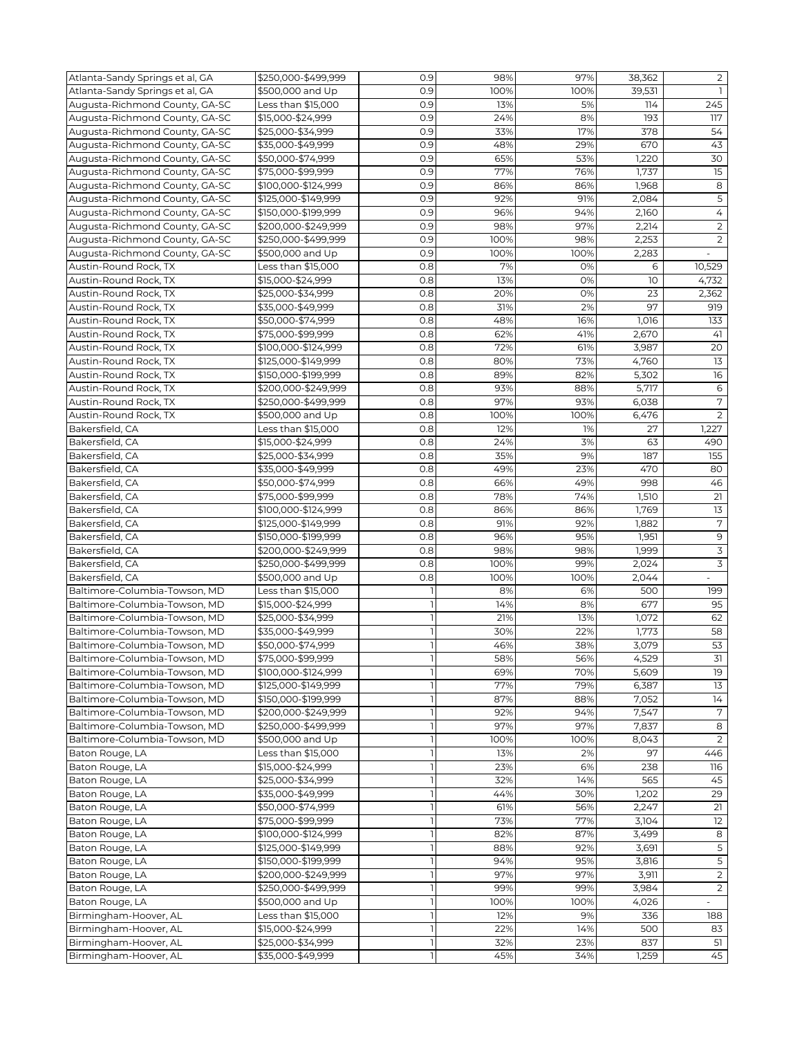| Atlanta-Sandy Springs et al, GA | \$250.000-\$499.999 | 0.9          | 98%  | 97%  | 38,362 | $\overline{2}$           |
|---------------------------------|---------------------|--------------|------|------|--------|--------------------------|
| Atlanta-Sandy Springs et al, GA | \$500,000 and Up    | 0.9          | 100% | 100% | 39,531 | $\mathbf{1}$             |
| Augusta-Richmond County, GA-SC  | Less than \$15,000  | 0.9          | 13%  | 5%   | 114    | 245                      |
| Augusta-Richmond County, GA-SC  | \$15,000-\$24,999   | 0.9          | 24%  | 8%   | 193    | 117                      |
| Augusta-Richmond County, GA-SC  | \$25,000-\$34,999   | 0.9          | 33%  | 17%  | 378    | 54                       |
| Augusta-Richmond County, GA-SC  | \$35,000-\$49,999   | 0.9          | 48%  | 29%  | 670    | 43                       |
| Augusta-Richmond County, GA-SC  | \$50,000-\$74,999   | 0.9          | 65%  | 53%  | 1,220  | 30                       |
| Augusta-Richmond County, GA-SC  | \$75,000-\$99,999   | 0.9          | 77%  | 76%  | 1,737  | 15                       |
| Augusta-Richmond County, GA-SC  | \$100,000-\$124,999 | 0.9          | 86%  | 86%  | 1,968  | 8                        |
| Augusta-Richmond County, GA-SC  | \$125.000-\$149.999 | 0.9          | 92%  |      |        | $\mathsf S$              |
|                                 |                     |              |      | 91%  | 2,084  |                          |
| Augusta-Richmond County, GA-SC  | \$150,000-\$199,999 | 0.9          | 96%  | 94%  | 2,160  | 4                        |
| Augusta-Richmond County, GA-SC  | \$200,000-\$249,999 | 0.9          | 98%  | 97%  | 2,214  | $\overline{2}$           |
| Augusta-Richmond County, GA-SC  | \$250,000-\$499,999 | 0.9          | 100% | 98%  | 2,253  | $\overline{2}$           |
| Augusta-Richmond County, GA-SC  | \$500,000 and Up    | 0.9          | 100% | 100% | 2,283  | $\overline{\phantom{a}}$ |
| Austin-Round Rock, TX           | Less than \$15,000  | 0.8          | 7%   | 0%   | 6      | 10,529                   |
| Austin-Round Rock, TX           | \$15,000-\$24,999   | 0.8          | 13%  | 0%   | 10     | 4,732                    |
| Austin-Round Rock, TX           | \$25,000-\$34,999   | 0.8          | 20%  | 0%   | 23     | 2,362                    |
| Austin-Round Rock, TX           | \$35,000-\$49,999   | 0.8          | 31%  | 2%   | 97     | 919                      |
| Austin-Round Rock, TX           | \$50,000-\$74,999   | 0.8          | 48%  | 16%  | 1,016  | 133                      |
| Austin-Round Rock, TX           | \$75,000-\$99,999   | 0.8          | 62%  | 41%  | 2,670  | 41                       |
| Austin-Round Rock, TX           | \$100,000-\$124,999 | 0.8          | 72%  | 61%  | 3,987  | 20                       |
| Austin-Round Rock, TX           | \$125,000-\$149,999 | 0.8          | 80%  | 73%  | 4,760  | 13                       |
| Austin-Round Rock, TX           | \$150,000-\$199,999 | 0.8          | 89%  | 82%  | 5,302  | 16                       |
| Austin-Round Rock, TX           | \$200,000-\$249,999 | 0.8          | 93%  | 88%  | 5,717  | $\,$ 6                   |
| Austin-Round Rock, TX           | \$250,000-\$499,999 | 0.8          | 97%  | 93%  | 6,038  | 7                        |
| Austin-Round Rock, TX           | \$500,000 and Up    | 0.8          | 100% | 100% | 6,476  | 2                        |
| Bakersfield, CA                 | Less than \$15,000  | 0.8          | 12%  | 1%   | 27     | 1,227                    |
| Bakersfield, CA                 | \$15,000-\$24,999   | 0.8          | 24%  | 3%   | 63     | 490                      |
| Bakersfield, CA                 | \$25,000-\$34,999   | 0.8          | 35%  | 9%   | 187    | 155                      |
|                                 |                     | 0.8          |      |      | 470    |                          |
| Bakersfield, CA                 | \$35,000-\$49,999   |              | 49%  | 23%  |        | 80                       |
| Bakersfield, CA                 | \$50,000-\$74,999   | 0.8          | 66%  | 49%  | 998    | 46                       |
| Bakersfield, CA                 | \$75,000-\$99,999   | 0.8          | 78%  | 74%  | 1,510  | 21                       |
| Bakersfield, CA                 | \$100,000-\$124,999 | 0.8          | 86%  | 86%  | 1,769  | 13                       |
| Bakersfield, CA                 | \$125,000-\$149,999 | 0.8          | 91%  | 92%  | 1,882  | $\overline{7}$           |
| Bakersfield, CA                 | \$150,000-\$199,999 | 0.8          | 96%  | 95%  | 1,951  | $\mathsf 9$              |
| Bakersfield, CA                 | \$200,000-\$249,999 | 0.8          | 98%  | 98%  | 1,999  | 3                        |
| Bakersfield, CA                 | \$250,000-\$499,999 | 0.8          | 100% | 99%  | 2,024  | 3                        |
| Bakersfield, CA                 | \$500,000 and Up    | 0.8          | 100% | 100% | 2,044  |                          |
| Baltimore-Columbia-Towson, MD   | Less than \$15,000  |              | 8%   | 6%   | 500    | 199                      |
| Baltimore-Columbia-Towson, MD   | \$15,000-\$24,999   |              | 14%  | 8%   | 677    | 95                       |
| Baltimore-Columbia-Towson, MD   | \$25,000-\$34,999   |              | 21%  | 13%  | 1,072  | 62                       |
| Baltimore-Columbia-Towson, MD   | \$35,000-\$49,999   |              | 30%  | 22%  | 1,773  | 58                       |
| Baltimore-Columbia-Towson, MD   | \$50,000-\$74,999   |              | 46%  | 38%  | 3,079  | 53                       |
| Baltimore-Columbia-Towson, MD   | \$75,000-\$99,999   |              | 58%  | 56%  | 4,529  | $\overline{31}$          |
| Baltimore-Columbia-Towson, MD   | \$100,000-\$124,999 |              | 69%  | 70%  | 5,609  | 19                       |
| Baltimore-Columbia-Towson, MD   | \$125,000-\$149,999 |              | 77%  | 79%  | 6,387  | 13                       |
| Baltimore-Columbia-Towson, MD   | \$150,000-\$199,999 |              | 87%  | 88%  | 7,052  | 14                       |
| Baltimore-Columbia-Towson, MD   | \$200,000-\$249,999 |              | 92%  | 94%  | 7,547  | 7                        |
| Baltimore-Columbia-Towson, MD   | \$250,000-\$499,999 |              | 97%  | 97%  | 7,837  | 8                        |
| Baltimore-Columbia-Towson, MD   | \$500,000 and Up    |              | 100% | 100% | 8,043  | 2                        |
| Baton Rouge, LA                 | Less than \$15,000  |              | 13%  | 2%   | 97     | 446                      |
| Baton Rouge, LA                 | \$15,000-\$24,999   |              | 23%  | 6%   | 238    | 116                      |
| Baton Rouge, LA                 | \$25,000-\$34,999   |              | 32%  | 14%  | 565    | 45                       |
| Baton Rouge, LA                 | \$35,000-\$49,999   |              | 44%  | 30%  | 1,202  | 29                       |
| Baton Rouge, LA                 | \$50,000-\$74,999   |              | 61%  | 56%  | 2,247  | 21                       |
|                                 |                     |              |      |      |        |                          |
| Baton Rouge, LA                 | \$75,000-\$99,999   |              | 73%  | 77%  | 3,104  | 12                       |
| Baton Rouge, LA                 | \$100,000-\$124,999 |              | 82%  | 87%  | 3,499  | 8                        |
| Baton Rouge, LA                 | \$125,000-\$149,999 |              | 88%  | 92%  | 3,691  | 5                        |
| Baton Rouge, LA                 | \$150,000-\$199,999 |              | 94%  | 95%  | 3,816  | $\overline{5}$           |
| Baton Rouge, LA                 | \$200,000-\$249,999 |              | 97%  | 97%  | 3,911  | $\overline{2}$           |
| Baton Rouge, LA                 | \$250,000-\$499,999 |              | 99%  | 99%  | 3,984  | $\overline{2}$           |
| Baton Rouge, LA                 | \$500,000 and Up    |              | 100% | 100% | 4,026  | $\overline{\phantom{a}}$ |
| Birmingham-Hoover, AL           | Less than \$15,000  |              | 12%  | 9%   | 336    | 188                      |
| Birmingham-Hoover, AL           | \$15,000-\$24,999   |              | 22%  | 14%  | 500    | 83                       |
| Birmingham-Hoover, AL           | \$25,000-\$34,999   |              | 32%  | 23%  | 837    | 51                       |
| Birmingham-Hoover, AL           | \$35,000-\$49,999   | <sup>1</sup> | 45%  | 34%  | 1,259  | 45                       |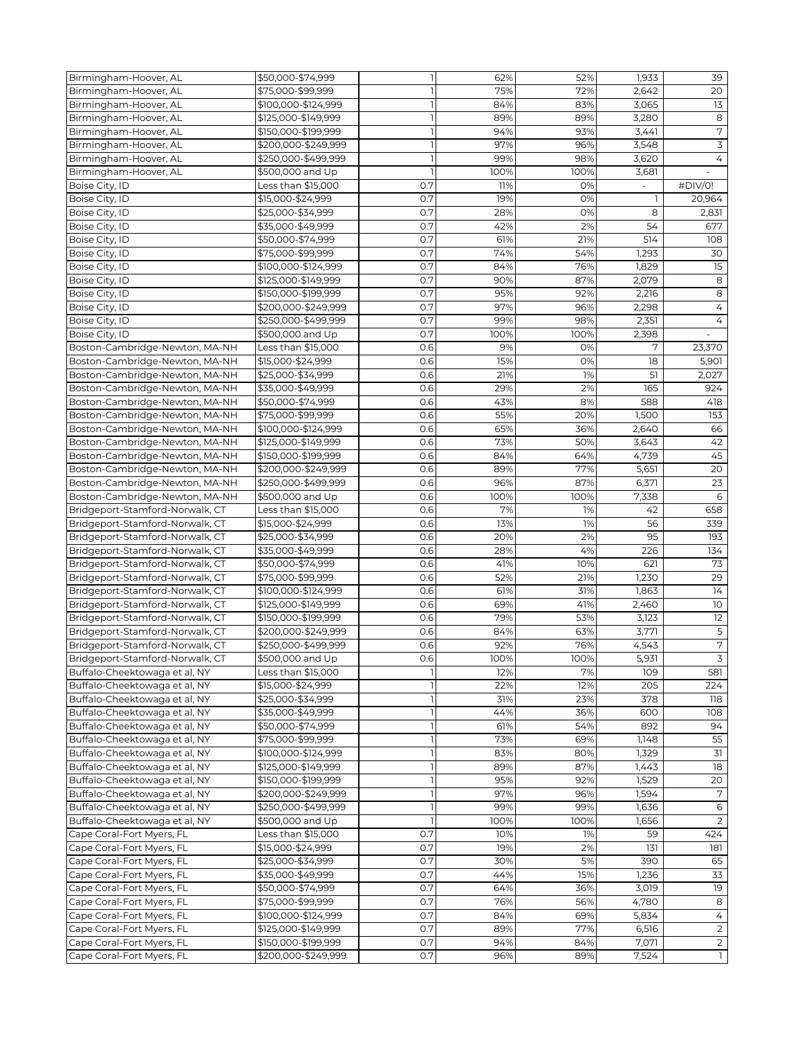| Birmingham-Hoover, AL           | \$50,000-\$74,999   | $\overline{1}$ | 62%  | 52%  | 1,933 | 39              |
|---------------------------------|---------------------|----------------|------|------|-------|-----------------|
| Birmingham-Hoover, AL           | \$75,000-\$99,999   |                | 75%  | 72%  | 2,642 | 20              |
| Birmingham-Hoover, AL           | \$100,000-\$124,999 |                | 84%  | 83%  | 3,065 | 13              |
| Birmingham-Hoover, AL           | \$125,000-\$149,999 |                | 89%  | 89%  | 3,280 | 8               |
| Birmingham-Hoover, AL           | \$150,000-\$199,999 |                | 94%  | 93%  | 3,441 | $\sqrt{ }$      |
| Birmingham-Hoover, AL           | \$200,000-\$249,999 |                | 97%  | 96%  | 3,548 | 3               |
| Birmingham-Hoover, AL           | \$250,000-\$499,999 |                | 99%  | 98%  | 3,620 | 4               |
|                                 |                     |                | 100% |      |       |                 |
| Birmingham-Hoover, AL           | \$500,000 and Up    |                |      | 100% | 3,681 |                 |
| Boise City, ID                  | Less than \$15,000  | 0.7            | 11%  | 0%   |       | #DIV/0!         |
| Boise City, ID                  | \$15,000-\$24,999   | 0.7            | 19%  | 0%   | 1     | 20,964          |
| Boise City, ID                  | \$25,000-\$34,999   | 0.7            | 28%  | 0%   | 8     | 2,831           |
| Boise City, ID                  | \$35.000-\$49.999   | 0.7            | 42%  | 2%   | 54    | 677             |
| Boise City, ID                  | \$50,000-\$74,999   | 0.7            | 61%  | 21%  | 514   | 108             |
| Boise City, ID                  | \$75,000-\$99,999   | 0.7            | 74%  | 54%  | 1,293 | 30              |
| Boise City, ID                  | \$100,000-\$124,999 | 0.7            | 84%  | 76%  | 1,829 | 15              |
| Boise City, ID                  | \$125,000-\$149,999 | 0.7            | 90%  | 87%  | 2,079 | 8               |
| Boise City, ID                  | \$150,000-\$199,999 | 0.7            | 95%  | 92%  | 2,216 | 8               |
| Boise City, ID                  | \$200,000-\$249,999 | 0.7            | 97%  | 96%  | 2,298 | 4               |
| Boise City, ID                  | \$250,000-\$499,999 | 0.7            | 99%  | 98%  | 2,351 | $\overline{4}$  |
| Boise City, ID                  | \$500,000 and Up    | 0.7            | 100% | 100% | 2,398 |                 |
| Boston-Cambridge-Newton, MA-NH  | Less than \$15,000  | 0.6            | 9%   | 0%   | 7     | 23,370          |
| Boston-Cambridge-Newton, MA-NH  | \$15,000-\$24,999   | 0.6            | 15%  | 0%   | 18    | 5,901           |
| Boston-Cambridge-Newton, MA-NH  | \$25,000-\$34,999   | 0.6            | 21%  | 1%   | 51    | 2,027           |
| Boston-Cambridge-Newton, MA-NH  | \$35,000-\$49,999   | 0.6            | 29%  | 2%   | 165   | 924             |
| Boston-Cambridge-Newton, MA-NH  | \$50,000-\$74,999   | 0.6            | 43%  | 8%   | 588   | 418             |
| Boston-Cambridge-Newton, MA-NH  | \$75,000-\$99,999   | 0.6            | 55%  | 20%  | 1,500 | 153             |
| Boston-Cambridge-Newton, MA-NH  | \$100,000-\$124,999 | 0.6            | 65%  | 36%  | 2,640 | 66              |
| Boston-Cambridge-Newton, MA-NH  | \$125,000-\$149,999 | 0.6            | 73%  | 50%  | 3,643 | 42              |
| Boston-Cambridge-Newton, MA-NH  | \$150,000-\$199,999 | 0.6            | 84%  | 64%  | 4,739 | 45              |
| Boston-Cambridge-Newton, MA-NH  | \$200,000-\$249,999 | 0.6            | 89%  | 77%  | 5,651 | 20              |
| Boston-Cambridge-Newton, MA-NH  | \$250,000-\$499,999 | 0.6            | 96%  | 87%  | 6,371 | 23              |
| Boston-Cambridge-Newton, MA-NH  | \$500,000 and Up    | 0.6            | 100% | 100% | 7,338 | 6               |
| Bridgeport-Stamford-Norwalk, CT | Less than \$15,000  | 0.6            | 7%   | 1%   | 42    | 658             |
| Bridgeport-Stamford-Norwalk, CT | \$15,000-\$24,999   | 0.6            | 13%  | 1%   | 56    | 339             |
| Bridgeport-Stamford-Norwalk, CT | \$25,000-\$34,999   | 0.6            | 20%  | 2%   | 95    | 193             |
| Bridgeport-Stamford-Norwalk, CT | \$35,000-\$49,999   | 0.6            | 28%  | 4%   | 226   | 134             |
|                                 |                     |                |      |      |       |                 |
| Bridgeport-Stamford-Norwalk, CT | \$50,000-\$74,999   | 0.6            | 41%  | 10%  | 621   | 73              |
| Bridgeport-Stamford-Norwalk, CT | \$75,000-\$99,999   | 0.6            | 52%  | 21%  | 1,230 | 29              |
| Bridgeport-Stamford-Norwalk, CT | \$100,000-\$124,999 | 0.6            | 61%  | 31%  | 1,863 | 14              |
| Bridgeport-Stamford-Norwalk, CT | \$125,000-\$149,999 | 0.6            | 69%  | 41%  | 2,460 | $\overline{10}$ |
| Bridgeport-Stamford-Norwalk, CT | \$150,000-\$199,999 | 0.6            | 79%  | 53%  | 3,123 | 12              |
| Bridgeport-Stamford-Norwalk, CT | \$200,000-\$249,999 | 0.6            | 84%  | 63%  | 3,771 | $\mathsf S$     |
| Bridgeport-Stamford-Norwalk, CT | \$250,000-\$499,999 | 0.6            | 92%  | 76%  | 4,543 | $\sqrt{ }$      |
| Bridgeport-Stamford-Norwalk, CT | \$500,000 and Up    | 0.6            | 100% | 100% | 5,931 | $\mathcal{L}$   |
| Buffalo-Cheektowaga et al, NY   | Less than \$15,000  |                | 12%  | 7%   | 109   | 581             |
| Buffalo-Cheektowaga et al, NY   | \$15,000-\$24,999   |                | 22%  | 12%  | 205   | 224             |
| Buffalo-Cheektowaga et al, NY   | \$25,000-\$34,999   |                | 31%  | 23%  | 378   | 118             |
| Buffalo-Cheektowaga et al, NY   | \$35,000-\$49,999   |                | 44%  | 36%  | 600   | 108             |
| Buffalo-Cheektowaga et al, NY   | \$50,000-\$74,999   |                | 61%  | 54%  | 892   | 94              |
| Buffalo-Cheektowaga et al, NY   | \$75,000-\$99,999   |                | 73%  | 69%  | 1,148 | 55              |
| Buffalo-Cheektowaga et al, NY   | \$100,000-\$124,999 |                | 83%  | 80%  | 1,329 | 31              |
| Buffalo-Cheektowaga et al, NY   | \$125,000-\$149,999 |                | 89%  | 87%  | 1,443 | 18              |
| Buffalo-Cheektowaga et al, NY   | \$150,000-\$199,999 |                | 95%  | 92%  | 1,529 | $\overline{20}$ |
| Buffalo-Cheektowaga et al, NY   | \$200,000-\$249,999 |                | 97%  | 96%  | 1,594 | 7               |
| Buffalo-Cheektowaga et al, NY   | \$250,000-\$499,999 |                | 99%  | 99%  | 1,636 | 6               |
| Buffalo-Cheektowaga et al, NY   | \$500,000 and Up    |                | 100% | 100% | 1,656 | 2               |
| Cape Coral-Fort Myers, FL       | Less than \$15,000  | 0.7            | 10%  | 1%   | 59    | 424             |
| Cape Coral-Fort Myers, FL       | \$15,000-\$24,999   | 0.7            | 19%  | 2%   | 131   | 181             |
| Cape Coral-Fort Myers, FL       | \$25,000-\$34,999   | 0.7            | 30%  | 5%   | 390   | 65              |
| Cape Coral-Fort Myers, FL       | \$35,000-\$49,999   | 0.7            | 44%  | 15%  | 1,236 | 33              |
| Cape Coral-Fort Myers, FL       | \$50,000-\$74,999   | 0.7            | 64%  | 36%  | 3,019 | 19              |
| Cape Coral-Fort Myers, FL       | \$75,000-\$99,999   | 0.7            | 76%  | 56%  | 4,780 | 8               |
| Cape Coral-Fort Myers, FL       | \$100,000-\$124,999 | 0.7            | 84%  | 69%  | 5,834 | 4               |
| Cape Coral-Fort Myers, FL       | \$125,000-\$149,999 | 0.7            | 89%  | 77%  | 6,516 | $\overline{2}$  |
| Cape Coral-Fort Myers, FL       | \$150,000-\$199,999 | 0.7            | 94%  | 84%  | 7,071 | $\overline{2}$  |
| Cape Coral-Fort Myers, FL       | \$200,000-\$249,999 | 0.7            | 96%  | 89%  | 7,524 | $\mathbf{I}$    |
|                                 |                     |                |      |      |       |                 |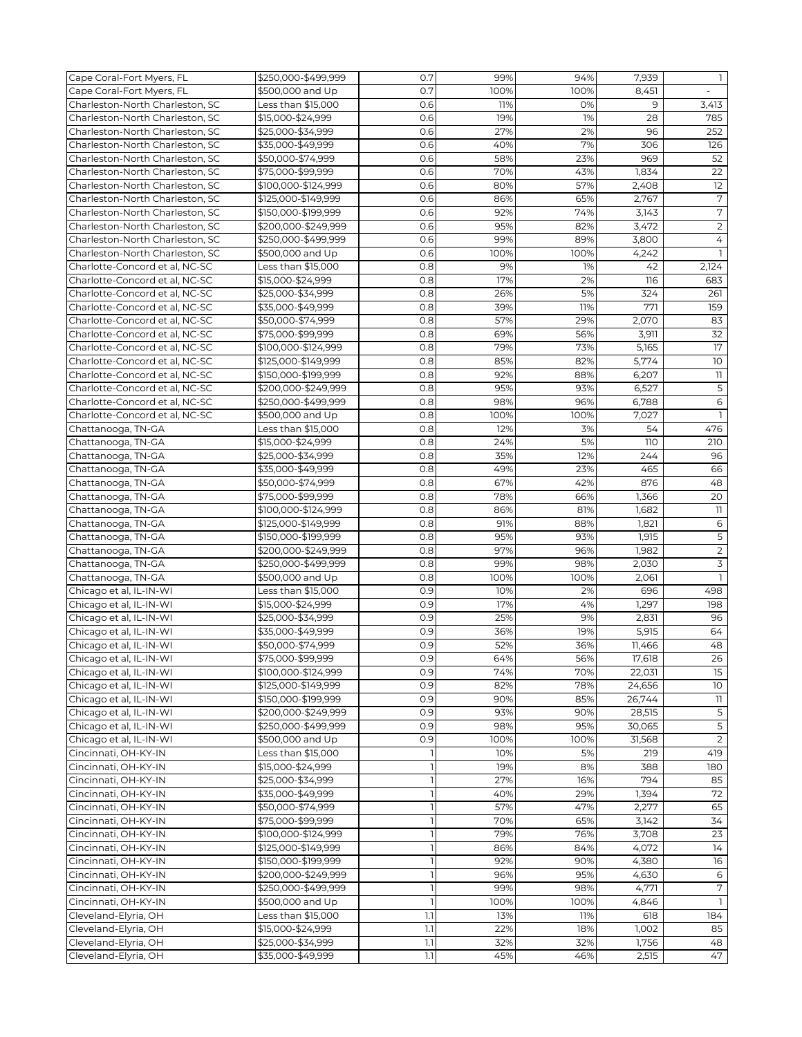| Cape Coral-Fort Myers, FL       | \$250,000-\$499,999 | 0.7              | 99%  | 94%  | 7,939  | $\mathbf{1}$             |
|---------------------------------|---------------------|------------------|------|------|--------|--------------------------|
| Cape Coral-Fort Myers, FL       | \$500,000 and Up    | 0.7              | 100% | 100% | 8,451  |                          |
| Charleston-North Charleston, SC | Less than \$15,000  | 0.6              | 11%  | 0%   | 9      | 3,413                    |
| Charleston-North Charleston, SC | \$15,000-\$24,999   | 0.6              | 19%  | 1%   | 28     | 785                      |
| Charleston-North Charleston, SC | \$25,000-\$34,999   | 0.6              | 27%  | 2%   | 96     | 252                      |
| Charleston-North Charleston, SC | \$35,000-\$49,999   | 0.6              | 40%  | 7%   | 306    | 126                      |
| Charleston-North Charleston, SC |                     |                  |      |      | 969    |                          |
|                                 | \$50,000-\$74,999   | 0.6              | 58%  | 23%  |        | 52                       |
| Charleston-North Charleston, SC | \$75,000-\$99,999   | 0.6              | 70%  | 43%  | 1,834  | 22                       |
| Charleston-North Charleston, SC | \$100,000-\$124,999 | 0.6              | 80%  | 57%  | 2,408  | 12                       |
| Charleston-North Charleston, SC | \$125.000-\$149.999 | 0.6              | 86%  | 65%  | 2,767  | 7                        |
| Charleston-North Charleston, SC | \$150,000-\$199,999 | 0.6              | 92%  | 74%  | 3,143  | $\overline{7}$           |
| Charleston-North Charleston, SC | \$200,000-\$249,999 | 0.6              | 95%  | 82%  | 3,472  | $\overline{2}$           |
| Charleston-North Charleston, SC | \$250,000-\$499,999 | 0.6              | 99%  | 89%  | 3,800  | 4                        |
| Charleston-North Charleston, SC | \$500,000 and Up    | 0.6              | 100% | 100% | 4,242  | $\overline{1}$           |
| Charlotte-Concord et al, NC-SC  | Less than \$15,000  | 0.8              | 9%   | 1%   | 42     | 2,124                    |
| Charlotte-Concord et al, NC-SC  | \$15,000-\$24,999   | 0.8              | 17%  | 2%   | 116    | 683                      |
| Charlotte-Concord et al, NC-SC  | \$25,000-\$34,999   | 0.8              | 26%  | 5%   | 324    | 261                      |
| Charlotte-Concord et al, NC-SC  | \$35,000-\$49,999   | 0.8              | 39%  | 11%  | 771    | 159                      |
| Charlotte-Concord et al, NC-SC  | \$50,000-\$74,999   | 0.8              | 57%  | 29%  | 2,070  | 83                       |
| Charlotte-Concord et al, NC-SC  | \$75,000-\$99,999   | 0.8              | 69%  | 56%  | 3,911  | 32                       |
| Charlotte-Concord et al, NC-SC  | \$100,000-\$124,999 | 0.8              | 79%  | 73%  | 5,165  | 17                       |
| Charlotte-Concord et al, NC-SC  | \$125,000-\$149,999 | 0.8              | 85%  | 82%  | 5,774  | 10                       |
| Charlotte-Concord et al, NC-SC  | \$150,000-\$199,999 | 0.8              | 92%  | 88%  | 6,207  | 11                       |
| Charlotte-Concord et al. NC-SC  | \$200,000-\$249,999 | 0.8              | 95%  | 93%  | 6,527  | $\overline{5}$           |
| Charlotte-Concord et al. NC-SC  | \$250,000-\$499,999 | 0.8              | 98%  | 96%  | 6,788  | 6                        |
| Charlotte-Concord et al, NC-SC  | \$500,000 and Up    | 0.8              | 100% | 100% | 7,027  | $\mathbf{1}$             |
| Chattanooga, TN-GA              | Less than \$15,000  | 0.8              | 12%  | 3%   | 54     | 476                      |
|                                 |                     |                  |      |      |        |                          |
| Chattanooga, TN-GA              | \$15,000-\$24,999   | 0.8              | 24%  | 5%   | 110    | 210                      |
| Chattanooga, TN-GA              | \$25,000-\$34,999   | 0.8              | 35%  | 12%  | 244    | 96                       |
| Chattanooga, TN-GA              | \$35,000-\$49,999   | 0.8              | 49%  | 23%  | 465    | 66                       |
| Chattanooga, TN-GA              | \$50,000-\$74,999   | 0.8              | 67%  | 42%  | 876    | 48                       |
| Chattanooga, TN-GA              | \$75,000-\$99,999   | 0.8              | 78%  | 66%  | 1,366  | 20                       |
| Chattanooga, TN-GA              | \$100,000-\$124,999 | 0.8              | 86%  | 81%  | 1,682  | $\overline{\phantom{a}}$ |
| Chattanooga, TN-GA              | \$125,000-\$149,999 | 0.8              | 91%  | 88%  | 1,821  | $\epsilon$               |
| Chattanooga, TN-GA              | \$150,000-\$199,999 | 0.8              | 95%  | 93%  | 1,915  | 5                        |
| Chattanooga, TN-GA              | \$200,000-\$249,999 | 0.8              | 97%  | 96%  | 1,982  | $\overline{2}$           |
| Chattanooga, TN-GA              | \$250,000-\$499,999 | 0.8              | 99%  | 98%  | 2,030  | 3                        |
| Chattanooga, TN-GA              | \$500,000 and Up    | 0.8              | 100% | 100% | 2,061  | $\mathbf{1}$             |
| Chicago et al, IL-IN-WI         | Less than \$15,000  | 0.9              | 10%  | 2%   | 696    | 498                      |
| Chicago et al, IL-IN-WI         | \$15,000-\$24,999   | 0.9              | 17%  | 4%   | 1,297  | 198                      |
| Chicago et al, IL-IN-WI         | \$25,000-\$34,999   | 0.9              | 25%  | 9%   | 2,831  | 96                       |
| Chicago et al, IL-IN-WI         | \$35,000-\$49,999   | 0.9              | 36%  | 19%  | 5,915  | 64                       |
| Chicago et al, IL-IN-WI         | \$50,000-\$74,999   | 0.9              | 52%  | 36%  | 11,466 | 48                       |
| Chicago et al, IL-IN-WI         | \$75,000-\$99,999   | 0.9              | 64%  | 56%  | 17,618 | 26                       |
| Chicago et al, IL-IN-WI         | \$100,000-\$124,999 | 0.9              | 74%  | 70%  | 22,031 | 15                       |
| Chicago et al, IL-IN-WI         | \$125,000-\$149,999 | 0.9              | 82%  | 78%  | 24,656 | 10                       |
| Chicago et al, IL-IN-WI         | \$150,000-\$199,999 | 0.9              | 90%  | 85%  | 26,744 | 11                       |
| Chicago et al, IL-IN-WI         | \$200,000-\$249,999 | 0.9              | 93%  | 90%  | 28,515 | 5                        |
| Chicago et al, IL-IN-WI         | \$250,000-\$499,999 | 0.9              | 98%  | 95%  | 30,065 | 5                        |
| Chicago et al, IL-IN-WI         | \$500,000 and Up    | 0.9              | 100% | 100% | 31,568 | $\overline{2}$           |
| Cincinnati, OH-KY-IN            | Less than \$15,000  |                  | 10%  | 5%   | 219    | 419                      |
| Cincinnati, OH-KY-IN            | \$15,000-\$24,999   |                  | 19%  | 8%   | 388    | 180                      |
| Cincinnati, OH-KY-IN            | \$25,000-\$34,999   |                  | 27%  | 16%  | 794    | 85                       |
| Cincinnati, OH-KY-IN            | \$35,000-\$49,999   |                  | 40%  | 29%  | 1,394  | 72                       |
| Cincinnati, OH-KY-IN            | \$50,000-\$74,999   |                  | 57%  | 47%  | 2,277  | 65                       |
|                                 |                     |                  | 70%  | 65%  | 3,142  | 34                       |
| Cincinnati, OH-KY-IN            | \$75,000-\$99,999   |                  | 79%  | 76%  | 3,708  | 23                       |
| Cincinnati, OH-KY-IN            | \$100,000-\$124,999 |                  |      |      |        |                          |
| Cincinnati, OH-KY-IN            | \$125,000-\$149,999 |                  | 86%  | 84%  | 4,072  | 14                       |
| Cincinnati, OH-KY-IN            | \$150,000-\$199,999 |                  | 92%  | 90%  | 4,380  | 16                       |
| Cincinnati, OH-KY-IN            | \$200,000-\$249,999 |                  | 96%  | 95%  | 4,630  | 6                        |
| Cincinnati, OH-KY-IN            | \$250,000-\$499,999 |                  | 99%  | 98%  | 4,771  | 7                        |
| Cincinnati, OH-KY-IN            | \$500,000 and Up    |                  | 100% | 100% | 4,846  |                          |
| Cleveland-Elyria, OH            | Less than \$15,000  | 1.1              | 13%  | 11%  | 618    | 184                      |
| Cleveland-Elyria, OH            | \$15,000-\$24,999   | $1.1\,$          | 22%  | 18%  | 1,002  | 85                       |
| Cleveland-Elyria, OH            | \$25,000-\$34,999   | $1.1\,$          | 32%  | 32%  | 1,756  | 48                       |
| Cleveland-Elyria, OH            | \$35,000-\$49,999   | $\overline{1.1}$ | 45%  | 46%  | 2,515  | 47                       |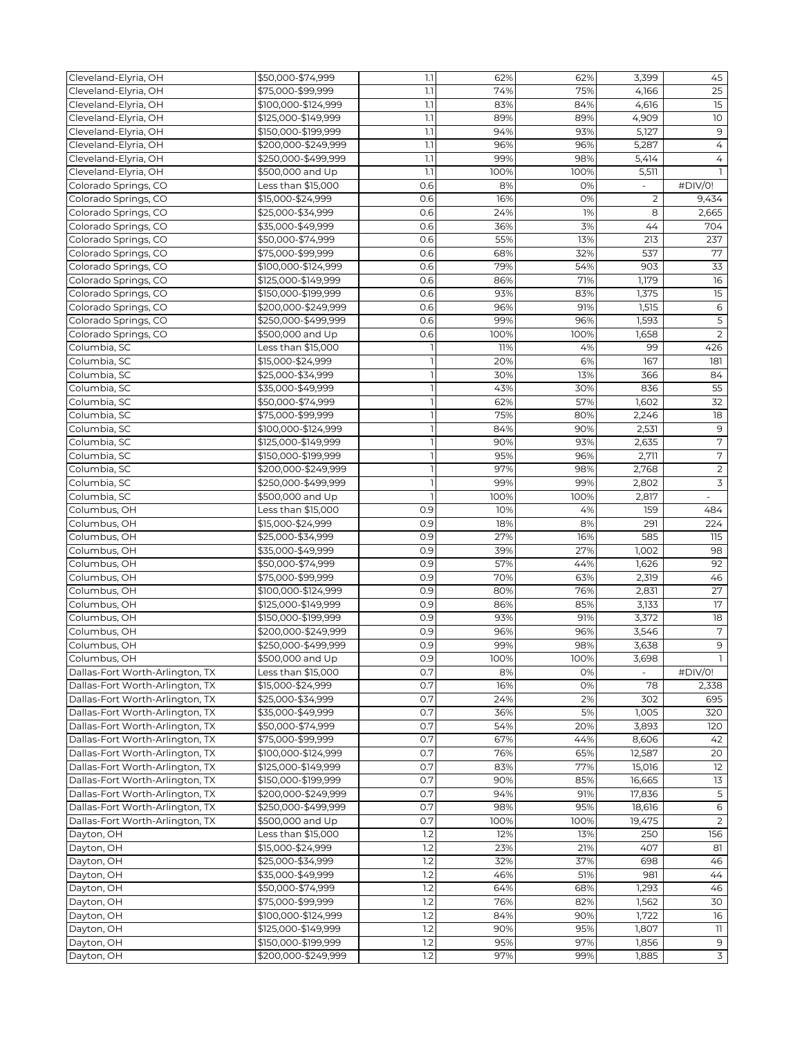| Cleveland-Elyria, OH            | \$50,000-\$74,999   | 1.1 | 62%  | 62%  | 3,399          | 45                       |
|---------------------------------|---------------------|-----|------|------|----------------|--------------------------|
| Cleveland-Elyria, OH            | \$75,000-\$99,999   | 1.1 | 74%  | 75%  | 4,166          | $\overline{25}$          |
| Cleveland-Elyria, OH            | \$100,000-\$124,999 | 1.1 | 83%  | 84%  | 4,616          | 15                       |
| Cleveland-Elyria, OH            | \$125,000-\$149,999 | 1.1 | 89%  | 89%  | 4,909          | 10                       |
| Cleveland-Elyria, OH            | \$150,000-\$199,999 | 1.1 | 94%  | 93%  | 5,127          | 9                        |
| Cleveland-Elyria, OH            | \$200,000-\$249,999 | 1.1 | 96%  | 96%  | 5,287          | 4                        |
| Cleveland-Elyria, OH            | \$250,000-\$499,999 | 1.1 | 99%  | 98%  | 5,414          | 4                        |
| Cleveland-Elyria, OH            | \$500,000 and Up    | 1.1 | 100% | 100% | 5,511          |                          |
| Colorado Springs, CO            | Less than \$15,000  | 0.6 | 8%   | 0%   |                | #DIV/0!                  |
| Colorado Springs, CO            | \$15,000-\$24,999   | 0.6 | 16%  | 0%   | $\overline{2}$ | 9,434                    |
| Colorado Springs, CO            | \$25,000-\$34,999   | 0.6 | 24%  | 1%   | 8              | 2,665                    |
| Colorado Springs, CO            | \$35,000-\$49,999   | 0.6 | 36%  | 3%   | 44             | 704                      |
|                                 | \$50,000-\$74,999   | 0.6 | 55%  | 13%  | 213            | 237                      |
| Colorado Springs, CO            |                     |     |      |      |                |                          |
| Colorado Springs, CO            | \$75,000-\$99,999   | 0.6 | 68%  | 32%  | 537            | 77                       |
| Colorado Springs, CO            | \$100,000-\$124,999 | 0.6 | 79%  | 54%  | 903            | $\overline{33}$          |
| Colorado Springs, CO            | \$125,000-\$149,999 | 0.6 | 86%  | 71%  | 1,179          | 16                       |
| Colorado Springs, CO            | \$150,000-\$199,999 | 0.6 | 93%  | 83%  | 1,375          | $\overline{15}$          |
| Colorado Springs, CO            | \$200,000-\$249,999 | 0.6 | 96%  | 91%  | 1,515          | $\epsilon$               |
| Colorado Springs, CO            | \$250,000-\$499,999 | 0.6 | 99%  | 96%  | 1,593          | $\overline{5}$           |
| Colorado Springs, CO            | \$500,000 and Up    | 0.6 | 100% | 100% | 1,658          | $\overline{2}$           |
| Columbia, SC                    | Less than \$15,000  |     | 11%  | 4%   | 99             | 426                      |
| Columbia, SC                    | \$15,000-\$24,999   |     | 20%  | 6%   | 167            | 181                      |
| Columbia, SC                    | \$25,000-\$34,999   |     | 30%  | 13%  | 366            | 84                       |
| Columbia, SC                    | \$35,000-\$49,999   |     | 43%  | 30%  | 836            | 55                       |
| Columbia, SC                    | \$50,000-\$74,999   |     | 62%  | 57%  | 1,602          | $\overline{32}$          |
| Columbia, SC                    | \$75,000-\$99,999   |     | 75%  | 80%  | 2,246          | 18                       |
| Columbia, SC                    | \$100,000-\$124,999 |     | 84%  | 90%  | 2,531          | $\mathsf 9$              |
| Columbia, SC                    | \$125,000-\$149,999 |     | 90%  | 93%  | 2,635          | $\overline{7}$           |
| Columbia, SC                    | \$150,000-\$199,999 |     | 95%  | 96%  | 2,711          | $\sqrt{ }$               |
|                                 |                     |     | 97%  |      |                |                          |
| Columbia, SC                    | \$200,000-\$249,999 |     |      | 98%  | 2,768          | $\sqrt{2}$               |
| Columbia, SC                    | \$250,000-\$499,999 |     | 99%  | 99%  | 2,802          | $\overline{3}$           |
| Columbia, SC                    | \$500,000 and Up    |     | 100% | 100% | 2,817          | $\overline{\phantom{a}}$ |
| Columbus, OH                    | Less than \$15,000  | 0.9 | 10%  | 4%   | 159            | 484                      |
| Columbus, OH                    | \$15,000-\$24,999   | 0.9 | 18%  | 8%   | 291            | 224                      |
| Columbus, OH                    | \$25,000-\$34,999   | 0.9 | 27%  | 16%  | 585            | 115                      |
| Columbus, OH                    | \$35,000-\$49,999   | 0.9 | 39%  | 27%  | 1,002          | 98                       |
| Columbus, OH                    | \$50,000-\$74,999   | 0.9 | 57%  | 44%  | 1,626          | 92                       |
| Columbus, OH                    | \$75,000-\$99,999   | 0.9 | 70%  | 63%  | 2,319          | 46                       |
| Columbus, OH                    | \$100,000-\$124,999 | 0.9 | 80%  | 76%  | 2,831          | 27                       |
| Columbus, OH                    | \$125,000-\$149,999 | 0.9 | 86%  | 85%  | 3,133          | $\overline{17}$          |
| Columbus, OH                    | \$150,000-\$199,999 | 0.9 | 93%  | 91%  | 3,372          | 18                       |
| Columbus, OH                    | \$200,000-\$249,999 | 0.9 | 96%  | 96%  | 3,546          | $\overline{7}$           |
| Columbus, OH                    | \$250,000-\$499,999 | 0.9 | 99%  | 98%  | 3,638          | 9                        |
| Columbus, OH                    | \$500,000 and Up    | 0.9 | 100% | 100% | 3,698          |                          |
| Dallas-Fort Worth-Arlington, TX | Less than \$15,000  | 0.7 | 8%   | 0%   |                | #DIV/0!                  |
| Dallas-Fort Worth-Arlington, TX | \$15,000-\$24,999   | 0.7 | 16%  | 0%   | 78             | 2,338                    |
| Dallas-Fort Worth-Arlington, TX | \$25,000-\$34,999   | 0.7 | 24%  | 2%   | 302            | 695                      |
| Dallas-Fort Worth-Arlington, TX | \$35,000-\$49,999   | 0.7 | 36%  | 5%   | 1,005          | 320                      |
| Dallas-Fort Worth-Arlington, TX | \$50,000-\$74,999   | 0.7 | 54%  | 20%  | 3,893          | 120                      |
| Dallas-Fort Worth-Arlington, TX |                     | 0.7 | 67%  |      |                | 42                       |
|                                 | \$75,000-\$99,999   |     |      | 44%  | 8,606          |                          |
| Dallas-Fort Worth-Arlington, TX | \$100,000-\$124,999 | 0.7 | 76%  | 65%  | 12,587         | 20                       |
| Dallas-Fort Worth-Arlington, TX | \$125,000-\$149,999 | 0.7 | 83%  | 77%  | 15,016         | 12                       |
| Dallas-Fort Worth-Arlington, TX | \$150,000-\$199,999 | 0.7 | 90%  | 85%  | 16.665         | $\overline{13}$          |
| Dallas-Fort Worth-Arlington, TX | \$200,000-\$249,999 | 0.7 | 94%  | 91%  | 17,836         | 5                        |
| Dallas-Fort Worth-Arlington, TX | \$250,000-\$499,999 | 0.7 | 98%  | 95%  | 18,616         | 6                        |
| Dallas-Fort Worth-Arlington, TX | \$500,000 and Up    | 0.7 | 100% | 100% | 19,475         | $\overline{2}$           |
| Dayton, OH                      | Less than \$15,000  | 1.2 | 12%  | 13%  | 250            | 156                      |
| Dayton, OH                      | \$15,000-\$24,999   | 1.2 | 23%  | 21%  | 407            | 81                       |
| Dayton, OH                      | \$25,000-\$34,999   | 1.2 | 32%  | 37%  | 698            | 46                       |
| Dayton, OH                      | \$35,000-\$49,999   | 1.2 | 46%  | 51%  | 981            | 44                       |
| Dayton, OH                      | \$50,000-\$74,999   | 1.2 | 64%  | 68%  | 1,293          | 46                       |
| Dayton, OH                      | \$75,000-\$99,999   | 1.2 | 76%  | 82%  | 1,562          | 30                       |
| Dayton, OH                      | \$100,000-\$124,999 | 1.2 | 84%  | 90%  | 1,722          | 16                       |
| Dayton, OH                      | \$125,000-\$149,999 | 1.2 | 90%  | 95%  | 1,807          | 11                       |
| Dayton, OH                      | \$150,000-\$199,999 | 1.2 | 95%  | 97%  | 1,856          | 9                        |
| Dayton, OH                      | \$200,000-\$249,999 | 1.2 | 97%  | 99%  | 1,885          | $\overline{3}$           |
|                                 |                     |     |      |      |                |                          |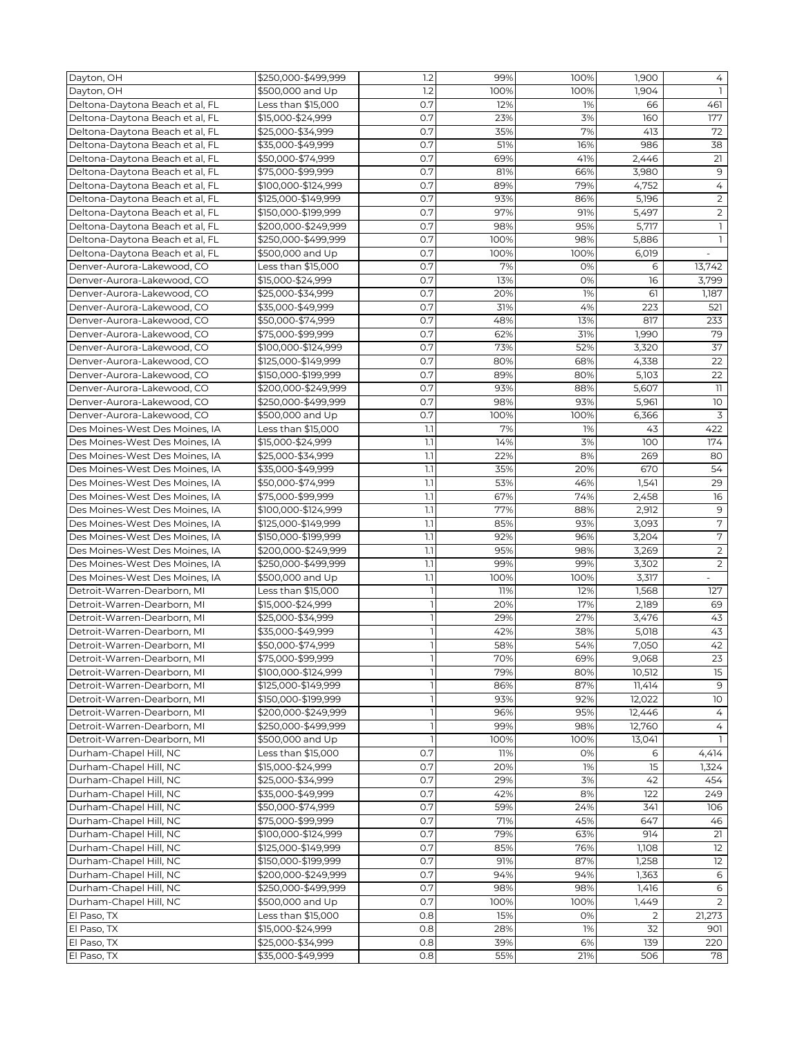| 1.2<br>Dayton, OH<br>\$500,000 and Up<br>100%<br>100%<br>1,904<br>$\mathbf{1}$<br>0.7<br>461<br>Deltona-Daytona Beach et al, FL<br>Less than \$15,000<br>12%<br>1%<br>66<br>0.7<br>177<br>Deltona-Daytona Beach et al, FL<br>\$15,000-\$24,999<br>23%<br>3%<br>160<br>0.7<br>35%<br>7%<br>72<br>Deltona-Daytona Beach et al, FL<br>\$25,000-\$34,999<br>413<br>0.7<br>986<br>38<br>Deltona-Daytona Beach et al, FL<br>\$35,000-\$49,999<br>51%<br>16%<br>\$50,000-\$74,999<br>0.7<br>21<br>Deltona-Daytona Beach et al, FL<br>69%<br>41%<br>2,446<br>0.7<br>81%<br>9<br>\$75,000-\$99,999<br>66%<br>3,980<br>Deltona-Daytona Beach et al, FL<br>0.7<br>$\overline{4}$<br>89%<br>79%<br>4,752<br>Deltona-Daytona Beach et al, FL<br>\$100,000-\$124,999<br>$\overline{2}$<br>0.7<br>5,196<br>Deltona-Daytona Beach et al, FL<br>\$125,000-\$149,999<br>93%<br>86%<br>0.7<br>$\overline{2}$<br>Deltona-Daytona Beach et al, FL<br>\$150,000-\$199,999<br>97%<br>91%<br>5,497<br>0.7<br>5,717<br>$\mathbf{1}$<br>Deltona-Daytona Beach et al, FL<br>\$200,000-\$249,999<br>98%<br>95%<br>0.7<br>100%<br>5,886<br>Deltona-Daytona Beach et al, FL<br>\$250,000-\$499,999<br>98%<br>$\mathbf{1}$<br>0.7<br>Deltona-Daytona Beach et al, FL<br>\$500,000 and Up<br>100%<br>100%<br>6,019<br>$\overline{\phantom{a}}$<br>Less than \$15,000<br>0.7<br>7%<br>13,742<br>Denver-Aurora-Lakewood, CO<br>0%<br>6<br>0.7<br>13%<br>0%<br>16<br>\$15,000-\$24,999<br>3,799<br>Denver-Aurora-Lakewood, CO<br>\$25,000-\$34,999<br>0.7<br>20%<br>1%<br>61<br>1,187<br>Denver-Aurora-Lakewood, CO<br>0.7<br>4%<br>Denver-Aurora-Lakewood, CO<br>\$35,000-\$49,999<br>31%<br>223<br>521<br>0.7<br>Denver-Aurora-Lakewood, CO<br>\$50,000-\$74,999<br>48%<br>13%<br>817<br>233<br>0.7<br>79<br>Denver-Aurora-Lakewood, CO<br>\$75,000-\$99,999<br>62%<br>31%<br>1,990<br>37<br>0.7<br>73%<br>52%<br>3,320<br>Denver-Aurora-Lakewood, CO<br>\$100,000-\$124,999<br>Denver-Aurora-Lakewood, CO<br>\$125,000-\$149,999<br>0.7<br>4,338<br>22<br>80%<br>68%<br>0.7<br>89%<br>5,103<br>22<br>Denver-Aurora-Lakewood, CO<br>\$150,000-\$199,999<br>80%<br>$11\,$<br>\$200,000-\$249,999<br>0.7<br>93%<br>5,607<br>Denver-Aurora-Lakewood, CO<br>88%<br>0.7<br>5,961<br>10<br>Denver-Aurora-Lakewood, CO<br>\$250,000-\$499,999<br>98%<br>93%<br>0.7<br>3<br>Denver-Aurora-Lakewood, CO<br>\$500,000 and Up<br>100%<br>100%<br>6,366<br>1.1<br>7%<br>422<br>Des Moines-West Des Moines, IA<br>Less than \$15,000<br>1%<br>43<br>1.1<br>14%<br>174<br>Des Moines-West Des Moines, IA<br>\$15,000-\$24,999<br>3%<br>100<br>1.1<br>Des Moines-West Des Moines, IA<br>\$25,000-\$34,999<br>22%<br>8%<br>269<br>80<br>54<br>1.1<br>Des Moines-West Des Moines, IA<br>35%<br>20%<br>670<br>\$35,000-\$49,999<br>\$50,000-\$74,999<br>1.1<br>1,541<br>29<br>Des Moines-West Des Moines, IA<br>53%<br>46%<br>1.1<br>2,458<br>16<br>Des Moines-West Des Moines, IA<br>\$75,000-\$99,999<br>67%<br>74%<br>$\overline{9}$<br>1.1<br>77%<br>2,912<br>Des Moines-West Des Moines, IA<br>\$100,000-\$124,999<br>88%<br>7<br>1.1<br>85%<br>93%<br>3,093<br>Des Moines-West Des Moines, IA<br>\$125,000-\$149,999<br>$\sqrt{7}$<br>1.1<br>92%<br>Des Moines-West Des Moines, IA<br>\$150,000-\$199,999<br>96%<br>3,204<br>1.1<br>$\overline{2}$<br>Des Moines-West Des Moines, IA<br>\$200,000-\$249,999<br>95%<br>98%<br>3,269<br>$\overline{2}$<br>1.1<br>99%<br>Des Moines-West Des Moines, IA<br>\$250,000-\$499,999<br>99%<br>3,302<br>1.1<br>100%<br>Des Moines-West Des Moines, IA<br>\$500,000 and Up<br>100%<br>3,317<br>Less than \$15,000<br>1,568<br>Detroit-Warren-Dearborn, MI<br>$\overline{1}$<br>11%<br>12%<br>127<br>Detroit-Warren-Dearborn, MI<br>\$15,000-\$24,999<br>$\mathbf{1}$<br>20%<br>17%<br>2,189<br>69<br>$\overline{1}$<br>\$25,000-\$34,999<br>29%<br>27%<br>3,476<br>43<br>Detroit-Warren-Dearborn, MI<br>43<br>\$35,000-\$49,999<br>$\mathbf{1}$<br>42%<br>38%<br>5,018<br>Detroit-Warren-Dearborn, MI<br>42<br>Detroit-Warren-Dearborn, MI<br>\$50,000-\$74,999<br>58%<br>54%<br>7,050<br>23<br>\$75,000-\$99,999<br>70%<br>69%<br>Detroit-Warren-Dearborn, MI<br>9,068<br>15<br>\$100,000-\$124,999<br>79%<br>80%<br>10,512<br>Detroit-Warren-Dearborn, MI<br>Detroit-Warren-Dearborn, MI<br>\$125,000-\$149,999<br>86%<br>87%<br>11,414<br>9<br>Detroit-Warren-Dearborn, MI<br>\$150,000-\$199,999<br>93%<br>10<br>92%<br>12,022<br>96%<br>Detroit-Warren-Dearborn, MI<br>\$200,000-\$249,999<br>95%<br>12,446<br>4<br>99%<br>Detroit-Warren-Dearborn, MI<br>\$250,000-\$499,999<br>98%<br>12,760<br>ı<br>4<br>$\mathbf{1}$<br>Detroit-Warren-Dearborn, MI<br>\$500,000 and Up<br>100%<br>100%<br>13,041<br>$\mathbb{I}$<br>0.7<br>11%<br>Durham-Chapel Hill, NC<br>Less than \$15,000<br>0%<br>4,414<br>6<br>Durham-Chapel Hill, NC<br>0.7<br>20%<br>1%<br>15<br>\$15,000-\$24,999<br>1,324<br>Durham-Chapel Hill, NC<br>\$25,000-\$34,999<br>0.7<br>29%<br>3%<br>42<br>454<br>Durham-Chapel Hill, NC<br>\$35,000-\$49,999<br>0.7<br>42%<br>249<br>8%<br>122<br>0.7<br>59%<br>24%<br>Durham-Chapel Hill, NC<br>\$50,000-\$74,999<br>341<br>106<br>0.7<br>71%<br>647<br>Durham-Chapel Hill, NC<br>\$75,000-\$99,999<br>45%<br>46<br>79%<br>Durham-Chapel Hill, NC<br>\$100,000-\$124,999<br>0.7<br>63%<br>914<br>21<br>0.7<br>85%<br>12<br>Durham-Chapel Hill, NC<br>\$125,000-\$149,999<br>76%<br>1,108<br>0.7<br>91%<br>87%<br>1,258<br>12<br>Durham-Chapel Hill, NC<br>\$150,000-\$199,999<br>Durham-Chapel Hill, NC<br>\$200,000-\$249,999<br>0.7<br>94%<br>94%<br>1,363<br>6<br>Durham-Chapel Hill, NC<br>\$250,000-\$499,999<br>0.7<br>98%<br>98%<br>1,416<br>6<br>0.7<br>Durham-Chapel Hill, NC<br>\$500,000 and Up<br>100%<br>1,449<br>100%<br>2<br>0.8<br>15%<br>0%<br>Less than \$15,000<br>$\overline{2}$<br>21,273<br>El Paso, TX<br>El Paso, TX<br>\$15,000-\$24,999<br>0.8<br>28%<br>1%<br>32<br>901<br>\$25,000-\$34,999<br>0.8<br>39%<br>139<br>220<br>El Paso, TX<br>6%<br>0.8<br>55%<br>78<br>El Paso, TX<br>\$35,000-\$49,999<br>21%<br>506 | Dayton, OH | \$250.000-\$499.999 | 1.2 | 99% | 100% | 1,900 | 4 |
|-----------------------------------------------------------------------------------------------------------------------------------------------------------------------------------------------------------------------------------------------------------------------------------------------------------------------------------------------------------------------------------------------------------------------------------------------------------------------------------------------------------------------------------------------------------------------------------------------------------------------------------------------------------------------------------------------------------------------------------------------------------------------------------------------------------------------------------------------------------------------------------------------------------------------------------------------------------------------------------------------------------------------------------------------------------------------------------------------------------------------------------------------------------------------------------------------------------------------------------------------------------------------------------------------------------------------------------------------------------------------------------------------------------------------------------------------------------------------------------------------------------------------------------------------------------------------------------------------------------------------------------------------------------------------------------------------------------------------------------------------------------------------------------------------------------------------------------------------------------------------------------------------------------------------------------------------------------------------------------------------------------------------------------------------------------------------------------------------------------------------------------------------------------------------------------------------------------------------------------------------------------------------------------------------------------------------------------------------------------------------------------------------------------------------------------------------------------------------------------------------------------------------------------------------------------------------------------------------------------------------------------------------------------------------------------------------------------------------------------------------------------------------------------------------------------------------------------------------------------------------------------------------------------------------------------------------------------------------------------------------------------------------------------------------------------------------------------------------------------------------------------------------------------------------------------------------------------------------------------------------------------------------------------------------------------------------------------------------------------------------------------------------------------------------------------------------------------------------------------------------------------------------------------------------------------------------------------------------------------------------------------------------------------------------------------------------------------------------------------------------------------------------------------------------------------------------------------------------------------------------------------------------------------------------------------------------------------------------------------------------------------------------------------------------------------------------------------------------------------------------------------------------------------------------------------------------------------------------------------------------------------------------------------------------------------------------------------------------------------------------------------------------------------------------------------------------------------------------------------------------------------------------------------------------------------------------------------------------------------------------------------------------------------------------------------------------------------------------------------------------------------------------------------------------------------------------------------------------------------------------------------------------------------------------------------------------------------------------------------------------------------------------------------------------------------------------------------------------------------------------------------------------------------------------------------------------------------------------------------------------------------------------------------------------------------------------------------------------------------------------------------------------------------------------------------------------------------------------------------------------------------------------------------------------------------------------------------------------------------------------------------------------------------------------------------------------------------------------------------------------------------------------------------------------------------------------------------------------------------------------------------------------------------------------------------------------------------------------------------------------------------------------------------------------------------|------------|---------------------|-----|-----|------|-------|---|
|                                                                                                                                                                                                                                                                                                                                                                                                                                                                                                                                                                                                                                                                                                                                                                                                                                                                                                                                                                                                                                                                                                                                                                                                                                                                                                                                                                                                                                                                                                                                                                                                                                                                                                                                                                                                                                                                                                                                                                                                                                                                                                                                                                                                                                                                                                                                                                                                                                                                                                                                                                                                                                                                                                                                                                                                                                                                                                                                                                                                                                                                                                                                                                                                                                                                                                                                                                                                                                                                                                                                                                                                                                                                                                                                                                                                                                                                                                                                                                                                                                                                                                                                                                                                                                                                                                                                                                                                                                                                                                                                                                                                                                                                                                                                                                                                                                                                                                                                                                                                                                                                                                                                                                                                                                                                                                                                                                                                                                                                                                                                                                                                                                                                                                                                                                                                                                                                                                                                                                                                                                                           |            |                     |     |     |      |       |   |
|                                                                                                                                                                                                                                                                                                                                                                                                                                                                                                                                                                                                                                                                                                                                                                                                                                                                                                                                                                                                                                                                                                                                                                                                                                                                                                                                                                                                                                                                                                                                                                                                                                                                                                                                                                                                                                                                                                                                                                                                                                                                                                                                                                                                                                                                                                                                                                                                                                                                                                                                                                                                                                                                                                                                                                                                                                                                                                                                                                                                                                                                                                                                                                                                                                                                                                                                                                                                                                                                                                                                                                                                                                                                                                                                                                                                                                                                                                                                                                                                                                                                                                                                                                                                                                                                                                                                                                                                                                                                                                                                                                                                                                                                                                                                                                                                                                                                                                                                                                                                                                                                                                                                                                                                                                                                                                                                                                                                                                                                                                                                                                                                                                                                                                                                                                                                                                                                                                                                                                                                                                                           |            |                     |     |     |      |       |   |
|                                                                                                                                                                                                                                                                                                                                                                                                                                                                                                                                                                                                                                                                                                                                                                                                                                                                                                                                                                                                                                                                                                                                                                                                                                                                                                                                                                                                                                                                                                                                                                                                                                                                                                                                                                                                                                                                                                                                                                                                                                                                                                                                                                                                                                                                                                                                                                                                                                                                                                                                                                                                                                                                                                                                                                                                                                                                                                                                                                                                                                                                                                                                                                                                                                                                                                                                                                                                                                                                                                                                                                                                                                                                                                                                                                                                                                                                                                                                                                                                                                                                                                                                                                                                                                                                                                                                                                                                                                                                                                                                                                                                                                                                                                                                                                                                                                                                                                                                                                                                                                                                                                                                                                                                                                                                                                                                                                                                                                                                                                                                                                                                                                                                                                                                                                                                                                                                                                                                                                                                                                                           |            |                     |     |     |      |       |   |
|                                                                                                                                                                                                                                                                                                                                                                                                                                                                                                                                                                                                                                                                                                                                                                                                                                                                                                                                                                                                                                                                                                                                                                                                                                                                                                                                                                                                                                                                                                                                                                                                                                                                                                                                                                                                                                                                                                                                                                                                                                                                                                                                                                                                                                                                                                                                                                                                                                                                                                                                                                                                                                                                                                                                                                                                                                                                                                                                                                                                                                                                                                                                                                                                                                                                                                                                                                                                                                                                                                                                                                                                                                                                                                                                                                                                                                                                                                                                                                                                                                                                                                                                                                                                                                                                                                                                                                                                                                                                                                                                                                                                                                                                                                                                                                                                                                                                                                                                                                                                                                                                                                                                                                                                                                                                                                                                                                                                                                                                                                                                                                                                                                                                                                                                                                                                                                                                                                                                                                                                                                                           |            |                     |     |     |      |       |   |
|                                                                                                                                                                                                                                                                                                                                                                                                                                                                                                                                                                                                                                                                                                                                                                                                                                                                                                                                                                                                                                                                                                                                                                                                                                                                                                                                                                                                                                                                                                                                                                                                                                                                                                                                                                                                                                                                                                                                                                                                                                                                                                                                                                                                                                                                                                                                                                                                                                                                                                                                                                                                                                                                                                                                                                                                                                                                                                                                                                                                                                                                                                                                                                                                                                                                                                                                                                                                                                                                                                                                                                                                                                                                                                                                                                                                                                                                                                                                                                                                                                                                                                                                                                                                                                                                                                                                                                                                                                                                                                                                                                                                                                                                                                                                                                                                                                                                                                                                                                                                                                                                                                                                                                                                                                                                                                                                                                                                                                                                                                                                                                                                                                                                                                                                                                                                                                                                                                                                                                                                                                                           |            |                     |     |     |      |       |   |
|                                                                                                                                                                                                                                                                                                                                                                                                                                                                                                                                                                                                                                                                                                                                                                                                                                                                                                                                                                                                                                                                                                                                                                                                                                                                                                                                                                                                                                                                                                                                                                                                                                                                                                                                                                                                                                                                                                                                                                                                                                                                                                                                                                                                                                                                                                                                                                                                                                                                                                                                                                                                                                                                                                                                                                                                                                                                                                                                                                                                                                                                                                                                                                                                                                                                                                                                                                                                                                                                                                                                                                                                                                                                                                                                                                                                                                                                                                                                                                                                                                                                                                                                                                                                                                                                                                                                                                                                                                                                                                                                                                                                                                                                                                                                                                                                                                                                                                                                                                                                                                                                                                                                                                                                                                                                                                                                                                                                                                                                                                                                                                                                                                                                                                                                                                                                                                                                                                                                                                                                                                                           |            |                     |     |     |      |       |   |
|                                                                                                                                                                                                                                                                                                                                                                                                                                                                                                                                                                                                                                                                                                                                                                                                                                                                                                                                                                                                                                                                                                                                                                                                                                                                                                                                                                                                                                                                                                                                                                                                                                                                                                                                                                                                                                                                                                                                                                                                                                                                                                                                                                                                                                                                                                                                                                                                                                                                                                                                                                                                                                                                                                                                                                                                                                                                                                                                                                                                                                                                                                                                                                                                                                                                                                                                                                                                                                                                                                                                                                                                                                                                                                                                                                                                                                                                                                                                                                                                                                                                                                                                                                                                                                                                                                                                                                                                                                                                                                                                                                                                                                                                                                                                                                                                                                                                                                                                                                                                                                                                                                                                                                                                                                                                                                                                                                                                                                                                                                                                                                                                                                                                                                                                                                                                                                                                                                                                                                                                                                                           |            |                     |     |     |      |       |   |
|                                                                                                                                                                                                                                                                                                                                                                                                                                                                                                                                                                                                                                                                                                                                                                                                                                                                                                                                                                                                                                                                                                                                                                                                                                                                                                                                                                                                                                                                                                                                                                                                                                                                                                                                                                                                                                                                                                                                                                                                                                                                                                                                                                                                                                                                                                                                                                                                                                                                                                                                                                                                                                                                                                                                                                                                                                                                                                                                                                                                                                                                                                                                                                                                                                                                                                                                                                                                                                                                                                                                                                                                                                                                                                                                                                                                                                                                                                                                                                                                                                                                                                                                                                                                                                                                                                                                                                                                                                                                                                                                                                                                                                                                                                                                                                                                                                                                                                                                                                                                                                                                                                                                                                                                                                                                                                                                                                                                                                                                                                                                                                                                                                                                                                                                                                                                                                                                                                                                                                                                                                                           |            |                     |     |     |      |       |   |
|                                                                                                                                                                                                                                                                                                                                                                                                                                                                                                                                                                                                                                                                                                                                                                                                                                                                                                                                                                                                                                                                                                                                                                                                                                                                                                                                                                                                                                                                                                                                                                                                                                                                                                                                                                                                                                                                                                                                                                                                                                                                                                                                                                                                                                                                                                                                                                                                                                                                                                                                                                                                                                                                                                                                                                                                                                                                                                                                                                                                                                                                                                                                                                                                                                                                                                                                                                                                                                                                                                                                                                                                                                                                                                                                                                                                                                                                                                                                                                                                                                                                                                                                                                                                                                                                                                                                                                                                                                                                                                                                                                                                                                                                                                                                                                                                                                                                                                                                                                                                                                                                                                                                                                                                                                                                                                                                                                                                                                                                                                                                                                                                                                                                                                                                                                                                                                                                                                                                                                                                                                                           |            |                     |     |     |      |       |   |
|                                                                                                                                                                                                                                                                                                                                                                                                                                                                                                                                                                                                                                                                                                                                                                                                                                                                                                                                                                                                                                                                                                                                                                                                                                                                                                                                                                                                                                                                                                                                                                                                                                                                                                                                                                                                                                                                                                                                                                                                                                                                                                                                                                                                                                                                                                                                                                                                                                                                                                                                                                                                                                                                                                                                                                                                                                                                                                                                                                                                                                                                                                                                                                                                                                                                                                                                                                                                                                                                                                                                                                                                                                                                                                                                                                                                                                                                                                                                                                                                                                                                                                                                                                                                                                                                                                                                                                                                                                                                                                                                                                                                                                                                                                                                                                                                                                                                                                                                                                                                                                                                                                                                                                                                                                                                                                                                                                                                                                                                                                                                                                                                                                                                                                                                                                                                                                                                                                                                                                                                                                                           |            |                     |     |     |      |       |   |
|                                                                                                                                                                                                                                                                                                                                                                                                                                                                                                                                                                                                                                                                                                                                                                                                                                                                                                                                                                                                                                                                                                                                                                                                                                                                                                                                                                                                                                                                                                                                                                                                                                                                                                                                                                                                                                                                                                                                                                                                                                                                                                                                                                                                                                                                                                                                                                                                                                                                                                                                                                                                                                                                                                                                                                                                                                                                                                                                                                                                                                                                                                                                                                                                                                                                                                                                                                                                                                                                                                                                                                                                                                                                                                                                                                                                                                                                                                                                                                                                                                                                                                                                                                                                                                                                                                                                                                                                                                                                                                                                                                                                                                                                                                                                                                                                                                                                                                                                                                                                                                                                                                                                                                                                                                                                                                                                                                                                                                                                                                                                                                                                                                                                                                                                                                                                                                                                                                                                                                                                                                                           |            |                     |     |     |      |       |   |
|                                                                                                                                                                                                                                                                                                                                                                                                                                                                                                                                                                                                                                                                                                                                                                                                                                                                                                                                                                                                                                                                                                                                                                                                                                                                                                                                                                                                                                                                                                                                                                                                                                                                                                                                                                                                                                                                                                                                                                                                                                                                                                                                                                                                                                                                                                                                                                                                                                                                                                                                                                                                                                                                                                                                                                                                                                                                                                                                                                                                                                                                                                                                                                                                                                                                                                                                                                                                                                                                                                                                                                                                                                                                                                                                                                                                                                                                                                                                                                                                                                                                                                                                                                                                                                                                                                                                                                                                                                                                                                                                                                                                                                                                                                                                                                                                                                                                                                                                                                                                                                                                                                                                                                                                                                                                                                                                                                                                                                                                                                                                                                                                                                                                                                                                                                                                                                                                                                                                                                                                                                                           |            |                     |     |     |      |       |   |
|                                                                                                                                                                                                                                                                                                                                                                                                                                                                                                                                                                                                                                                                                                                                                                                                                                                                                                                                                                                                                                                                                                                                                                                                                                                                                                                                                                                                                                                                                                                                                                                                                                                                                                                                                                                                                                                                                                                                                                                                                                                                                                                                                                                                                                                                                                                                                                                                                                                                                                                                                                                                                                                                                                                                                                                                                                                                                                                                                                                                                                                                                                                                                                                                                                                                                                                                                                                                                                                                                                                                                                                                                                                                                                                                                                                                                                                                                                                                                                                                                                                                                                                                                                                                                                                                                                                                                                                                                                                                                                                                                                                                                                                                                                                                                                                                                                                                                                                                                                                                                                                                                                                                                                                                                                                                                                                                                                                                                                                                                                                                                                                                                                                                                                                                                                                                                                                                                                                                                                                                                                                           |            |                     |     |     |      |       |   |
|                                                                                                                                                                                                                                                                                                                                                                                                                                                                                                                                                                                                                                                                                                                                                                                                                                                                                                                                                                                                                                                                                                                                                                                                                                                                                                                                                                                                                                                                                                                                                                                                                                                                                                                                                                                                                                                                                                                                                                                                                                                                                                                                                                                                                                                                                                                                                                                                                                                                                                                                                                                                                                                                                                                                                                                                                                                                                                                                                                                                                                                                                                                                                                                                                                                                                                                                                                                                                                                                                                                                                                                                                                                                                                                                                                                                                                                                                                                                                                                                                                                                                                                                                                                                                                                                                                                                                                                                                                                                                                                                                                                                                                                                                                                                                                                                                                                                                                                                                                                                                                                                                                                                                                                                                                                                                                                                                                                                                                                                                                                                                                                                                                                                                                                                                                                                                                                                                                                                                                                                                                                           |            |                     |     |     |      |       |   |
|                                                                                                                                                                                                                                                                                                                                                                                                                                                                                                                                                                                                                                                                                                                                                                                                                                                                                                                                                                                                                                                                                                                                                                                                                                                                                                                                                                                                                                                                                                                                                                                                                                                                                                                                                                                                                                                                                                                                                                                                                                                                                                                                                                                                                                                                                                                                                                                                                                                                                                                                                                                                                                                                                                                                                                                                                                                                                                                                                                                                                                                                                                                                                                                                                                                                                                                                                                                                                                                                                                                                                                                                                                                                                                                                                                                                                                                                                                                                                                                                                                                                                                                                                                                                                                                                                                                                                                                                                                                                                                                                                                                                                                                                                                                                                                                                                                                                                                                                                                                                                                                                                                                                                                                                                                                                                                                                                                                                                                                                                                                                                                                                                                                                                                                                                                                                                                                                                                                                                                                                                                                           |            |                     |     |     |      |       |   |
|                                                                                                                                                                                                                                                                                                                                                                                                                                                                                                                                                                                                                                                                                                                                                                                                                                                                                                                                                                                                                                                                                                                                                                                                                                                                                                                                                                                                                                                                                                                                                                                                                                                                                                                                                                                                                                                                                                                                                                                                                                                                                                                                                                                                                                                                                                                                                                                                                                                                                                                                                                                                                                                                                                                                                                                                                                                                                                                                                                                                                                                                                                                                                                                                                                                                                                                                                                                                                                                                                                                                                                                                                                                                                                                                                                                                                                                                                                                                                                                                                                                                                                                                                                                                                                                                                                                                                                                                                                                                                                                                                                                                                                                                                                                                                                                                                                                                                                                                                                                                                                                                                                                                                                                                                                                                                                                                                                                                                                                                                                                                                                                                                                                                                                                                                                                                                                                                                                                                                                                                                                                           |            |                     |     |     |      |       |   |
|                                                                                                                                                                                                                                                                                                                                                                                                                                                                                                                                                                                                                                                                                                                                                                                                                                                                                                                                                                                                                                                                                                                                                                                                                                                                                                                                                                                                                                                                                                                                                                                                                                                                                                                                                                                                                                                                                                                                                                                                                                                                                                                                                                                                                                                                                                                                                                                                                                                                                                                                                                                                                                                                                                                                                                                                                                                                                                                                                                                                                                                                                                                                                                                                                                                                                                                                                                                                                                                                                                                                                                                                                                                                                                                                                                                                                                                                                                                                                                                                                                                                                                                                                                                                                                                                                                                                                                                                                                                                                                                                                                                                                                                                                                                                                                                                                                                                                                                                                                                                                                                                                                                                                                                                                                                                                                                                                                                                                                                                                                                                                                                                                                                                                                                                                                                                                                                                                                                                                                                                                                                           |            |                     |     |     |      |       |   |
|                                                                                                                                                                                                                                                                                                                                                                                                                                                                                                                                                                                                                                                                                                                                                                                                                                                                                                                                                                                                                                                                                                                                                                                                                                                                                                                                                                                                                                                                                                                                                                                                                                                                                                                                                                                                                                                                                                                                                                                                                                                                                                                                                                                                                                                                                                                                                                                                                                                                                                                                                                                                                                                                                                                                                                                                                                                                                                                                                                                                                                                                                                                                                                                                                                                                                                                                                                                                                                                                                                                                                                                                                                                                                                                                                                                                                                                                                                                                                                                                                                                                                                                                                                                                                                                                                                                                                                                                                                                                                                                                                                                                                                                                                                                                                                                                                                                                                                                                                                                                                                                                                                                                                                                                                                                                                                                                                                                                                                                                                                                                                                                                                                                                                                                                                                                                                                                                                                                                                                                                                                                           |            |                     |     |     |      |       |   |
|                                                                                                                                                                                                                                                                                                                                                                                                                                                                                                                                                                                                                                                                                                                                                                                                                                                                                                                                                                                                                                                                                                                                                                                                                                                                                                                                                                                                                                                                                                                                                                                                                                                                                                                                                                                                                                                                                                                                                                                                                                                                                                                                                                                                                                                                                                                                                                                                                                                                                                                                                                                                                                                                                                                                                                                                                                                                                                                                                                                                                                                                                                                                                                                                                                                                                                                                                                                                                                                                                                                                                                                                                                                                                                                                                                                                                                                                                                                                                                                                                                                                                                                                                                                                                                                                                                                                                                                                                                                                                                                                                                                                                                                                                                                                                                                                                                                                                                                                                                                                                                                                                                                                                                                                                                                                                                                                                                                                                                                                                                                                                                                                                                                                                                                                                                                                                                                                                                                                                                                                                                                           |            |                     |     |     |      |       |   |
|                                                                                                                                                                                                                                                                                                                                                                                                                                                                                                                                                                                                                                                                                                                                                                                                                                                                                                                                                                                                                                                                                                                                                                                                                                                                                                                                                                                                                                                                                                                                                                                                                                                                                                                                                                                                                                                                                                                                                                                                                                                                                                                                                                                                                                                                                                                                                                                                                                                                                                                                                                                                                                                                                                                                                                                                                                                                                                                                                                                                                                                                                                                                                                                                                                                                                                                                                                                                                                                                                                                                                                                                                                                                                                                                                                                                                                                                                                                                                                                                                                                                                                                                                                                                                                                                                                                                                                                                                                                                                                                                                                                                                                                                                                                                                                                                                                                                                                                                                                                                                                                                                                                                                                                                                                                                                                                                                                                                                                                                                                                                                                                                                                                                                                                                                                                                                                                                                                                                                                                                                                                           |            |                     |     |     |      |       |   |
|                                                                                                                                                                                                                                                                                                                                                                                                                                                                                                                                                                                                                                                                                                                                                                                                                                                                                                                                                                                                                                                                                                                                                                                                                                                                                                                                                                                                                                                                                                                                                                                                                                                                                                                                                                                                                                                                                                                                                                                                                                                                                                                                                                                                                                                                                                                                                                                                                                                                                                                                                                                                                                                                                                                                                                                                                                                                                                                                                                                                                                                                                                                                                                                                                                                                                                                                                                                                                                                                                                                                                                                                                                                                                                                                                                                                                                                                                                                                                                                                                                                                                                                                                                                                                                                                                                                                                                                                                                                                                                                                                                                                                                                                                                                                                                                                                                                                                                                                                                                                                                                                                                                                                                                                                                                                                                                                                                                                                                                                                                                                                                                                                                                                                                                                                                                                                                                                                                                                                                                                                                                           |            |                     |     |     |      |       |   |
|                                                                                                                                                                                                                                                                                                                                                                                                                                                                                                                                                                                                                                                                                                                                                                                                                                                                                                                                                                                                                                                                                                                                                                                                                                                                                                                                                                                                                                                                                                                                                                                                                                                                                                                                                                                                                                                                                                                                                                                                                                                                                                                                                                                                                                                                                                                                                                                                                                                                                                                                                                                                                                                                                                                                                                                                                                                                                                                                                                                                                                                                                                                                                                                                                                                                                                                                                                                                                                                                                                                                                                                                                                                                                                                                                                                                                                                                                                                                                                                                                                                                                                                                                                                                                                                                                                                                                                                                                                                                                                                                                                                                                                                                                                                                                                                                                                                                                                                                                                                                                                                                                                                                                                                                                                                                                                                                                                                                                                                                                                                                                                                                                                                                                                                                                                                                                                                                                                                                                                                                                                                           |            |                     |     |     |      |       |   |
|                                                                                                                                                                                                                                                                                                                                                                                                                                                                                                                                                                                                                                                                                                                                                                                                                                                                                                                                                                                                                                                                                                                                                                                                                                                                                                                                                                                                                                                                                                                                                                                                                                                                                                                                                                                                                                                                                                                                                                                                                                                                                                                                                                                                                                                                                                                                                                                                                                                                                                                                                                                                                                                                                                                                                                                                                                                                                                                                                                                                                                                                                                                                                                                                                                                                                                                                                                                                                                                                                                                                                                                                                                                                                                                                                                                                                                                                                                                                                                                                                                                                                                                                                                                                                                                                                                                                                                                                                                                                                                                                                                                                                                                                                                                                                                                                                                                                                                                                                                                                                                                                                                                                                                                                                                                                                                                                                                                                                                                                                                                                                                                                                                                                                                                                                                                                                                                                                                                                                                                                                                                           |            |                     |     |     |      |       |   |
|                                                                                                                                                                                                                                                                                                                                                                                                                                                                                                                                                                                                                                                                                                                                                                                                                                                                                                                                                                                                                                                                                                                                                                                                                                                                                                                                                                                                                                                                                                                                                                                                                                                                                                                                                                                                                                                                                                                                                                                                                                                                                                                                                                                                                                                                                                                                                                                                                                                                                                                                                                                                                                                                                                                                                                                                                                                                                                                                                                                                                                                                                                                                                                                                                                                                                                                                                                                                                                                                                                                                                                                                                                                                                                                                                                                                                                                                                                                                                                                                                                                                                                                                                                                                                                                                                                                                                                                                                                                                                                                                                                                                                                                                                                                                                                                                                                                                                                                                                                                                                                                                                                                                                                                                                                                                                                                                                                                                                                                                                                                                                                                                                                                                                                                                                                                                                                                                                                                                                                                                                                                           |            |                     |     |     |      |       |   |
|                                                                                                                                                                                                                                                                                                                                                                                                                                                                                                                                                                                                                                                                                                                                                                                                                                                                                                                                                                                                                                                                                                                                                                                                                                                                                                                                                                                                                                                                                                                                                                                                                                                                                                                                                                                                                                                                                                                                                                                                                                                                                                                                                                                                                                                                                                                                                                                                                                                                                                                                                                                                                                                                                                                                                                                                                                                                                                                                                                                                                                                                                                                                                                                                                                                                                                                                                                                                                                                                                                                                                                                                                                                                                                                                                                                                                                                                                                                                                                                                                                                                                                                                                                                                                                                                                                                                                                                                                                                                                                                                                                                                                                                                                                                                                                                                                                                                                                                                                                                                                                                                                                                                                                                                                                                                                                                                                                                                                                                                                                                                                                                                                                                                                                                                                                                                                                                                                                                                                                                                                                                           |            |                     |     |     |      |       |   |
|                                                                                                                                                                                                                                                                                                                                                                                                                                                                                                                                                                                                                                                                                                                                                                                                                                                                                                                                                                                                                                                                                                                                                                                                                                                                                                                                                                                                                                                                                                                                                                                                                                                                                                                                                                                                                                                                                                                                                                                                                                                                                                                                                                                                                                                                                                                                                                                                                                                                                                                                                                                                                                                                                                                                                                                                                                                                                                                                                                                                                                                                                                                                                                                                                                                                                                                                                                                                                                                                                                                                                                                                                                                                                                                                                                                                                                                                                                                                                                                                                                                                                                                                                                                                                                                                                                                                                                                                                                                                                                                                                                                                                                                                                                                                                                                                                                                                                                                                                                                                                                                                                                                                                                                                                                                                                                                                                                                                                                                                                                                                                                                                                                                                                                                                                                                                                                                                                                                                                                                                                                                           |            |                     |     |     |      |       |   |
|                                                                                                                                                                                                                                                                                                                                                                                                                                                                                                                                                                                                                                                                                                                                                                                                                                                                                                                                                                                                                                                                                                                                                                                                                                                                                                                                                                                                                                                                                                                                                                                                                                                                                                                                                                                                                                                                                                                                                                                                                                                                                                                                                                                                                                                                                                                                                                                                                                                                                                                                                                                                                                                                                                                                                                                                                                                                                                                                                                                                                                                                                                                                                                                                                                                                                                                                                                                                                                                                                                                                                                                                                                                                                                                                                                                                                                                                                                                                                                                                                                                                                                                                                                                                                                                                                                                                                                                                                                                                                                                                                                                                                                                                                                                                                                                                                                                                                                                                                                                                                                                                                                                                                                                                                                                                                                                                                                                                                                                                                                                                                                                                                                                                                                                                                                                                                                                                                                                                                                                                                                                           |            |                     |     |     |      |       |   |
|                                                                                                                                                                                                                                                                                                                                                                                                                                                                                                                                                                                                                                                                                                                                                                                                                                                                                                                                                                                                                                                                                                                                                                                                                                                                                                                                                                                                                                                                                                                                                                                                                                                                                                                                                                                                                                                                                                                                                                                                                                                                                                                                                                                                                                                                                                                                                                                                                                                                                                                                                                                                                                                                                                                                                                                                                                                                                                                                                                                                                                                                                                                                                                                                                                                                                                                                                                                                                                                                                                                                                                                                                                                                                                                                                                                                                                                                                                                                                                                                                                                                                                                                                                                                                                                                                                                                                                                                                                                                                                                                                                                                                                                                                                                                                                                                                                                                                                                                                                                                                                                                                                                                                                                                                                                                                                                                                                                                                                                                                                                                                                                                                                                                                                                                                                                                                                                                                                                                                                                                                                                           |            |                     |     |     |      |       |   |
|                                                                                                                                                                                                                                                                                                                                                                                                                                                                                                                                                                                                                                                                                                                                                                                                                                                                                                                                                                                                                                                                                                                                                                                                                                                                                                                                                                                                                                                                                                                                                                                                                                                                                                                                                                                                                                                                                                                                                                                                                                                                                                                                                                                                                                                                                                                                                                                                                                                                                                                                                                                                                                                                                                                                                                                                                                                                                                                                                                                                                                                                                                                                                                                                                                                                                                                                                                                                                                                                                                                                                                                                                                                                                                                                                                                                                                                                                                                                                                                                                                                                                                                                                                                                                                                                                                                                                                                                                                                                                                                                                                                                                                                                                                                                                                                                                                                                                                                                                                                                                                                                                                                                                                                                                                                                                                                                                                                                                                                                                                                                                                                                                                                                                                                                                                                                                                                                                                                                                                                                                                                           |            |                     |     |     |      |       |   |
|                                                                                                                                                                                                                                                                                                                                                                                                                                                                                                                                                                                                                                                                                                                                                                                                                                                                                                                                                                                                                                                                                                                                                                                                                                                                                                                                                                                                                                                                                                                                                                                                                                                                                                                                                                                                                                                                                                                                                                                                                                                                                                                                                                                                                                                                                                                                                                                                                                                                                                                                                                                                                                                                                                                                                                                                                                                                                                                                                                                                                                                                                                                                                                                                                                                                                                                                                                                                                                                                                                                                                                                                                                                                                                                                                                                                                                                                                                                                                                                                                                                                                                                                                                                                                                                                                                                                                                                                                                                                                                                                                                                                                                                                                                                                                                                                                                                                                                                                                                                                                                                                                                                                                                                                                                                                                                                                                                                                                                                                                                                                                                                                                                                                                                                                                                                                                                                                                                                                                                                                                                                           |            |                     |     |     |      |       |   |
|                                                                                                                                                                                                                                                                                                                                                                                                                                                                                                                                                                                                                                                                                                                                                                                                                                                                                                                                                                                                                                                                                                                                                                                                                                                                                                                                                                                                                                                                                                                                                                                                                                                                                                                                                                                                                                                                                                                                                                                                                                                                                                                                                                                                                                                                                                                                                                                                                                                                                                                                                                                                                                                                                                                                                                                                                                                                                                                                                                                                                                                                                                                                                                                                                                                                                                                                                                                                                                                                                                                                                                                                                                                                                                                                                                                                                                                                                                                                                                                                                                                                                                                                                                                                                                                                                                                                                                                                                                                                                                                                                                                                                                                                                                                                                                                                                                                                                                                                                                                                                                                                                                                                                                                                                                                                                                                                                                                                                                                                                                                                                                                                                                                                                                                                                                                                                                                                                                                                                                                                                                                           |            |                     |     |     |      |       |   |
|                                                                                                                                                                                                                                                                                                                                                                                                                                                                                                                                                                                                                                                                                                                                                                                                                                                                                                                                                                                                                                                                                                                                                                                                                                                                                                                                                                                                                                                                                                                                                                                                                                                                                                                                                                                                                                                                                                                                                                                                                                                                                                                                                                                                                                                                                                                                                                                                                                                                                                                                                                                                                                                                                                                                                                                                                                                                                                                                                                                                                                                                                                                                                                                                                                                                                                                                                                                                                                                                                                                                                                                                                                                                                                                                                                                                                                                                                                                                                                                                                                                                                                                                                                                                                                                                                                                                                                                                                                                                                                                                                                                                                                                                                                                                                                                                                                                                                                                                                                                                                                                                                                                                                                                                                                                                                                                                                                                                                                                                                                                                                                                                                                                                                                                                                                                                                                                                                                                                                                                                                                                           |            |                     |     |     |      |       |   |
|                                                                                                                                                                                                                                                                                                                                                                                                                                                                                                                                                                                                                                                                                                                                                                                                                                                                                                                                                                                                                                                                                                                                                                                                                                                                                                                                                                                                                                                                                                                                                                                                                                                                                                                                                                                                                                                                                                                                                                                                                                                                                                                                                                                                                                                                                                                                                                                                                                                                                                                                                                                                                                                                                                                                                                                                                                                                                                                                                                                                                                                                                                                                                                                                                                                                                                                                                                                                                                                                                                                                                                                                                                                                                                                                                                                                                                                                                                                                                                                                                                                                                                                                                                                                                                                                                                                                                                                                                                                                                                                                                                                                                                                                                                                                                                                                                                                                                                                                                                                                                                                                                                                                                                                                                                                                                                                                                                                                                                                                                                                                                                                                                                                                                                                                                                                                                                                                                                                                                                                                                                                           |            |                     |     |     |      |       |   |
|                                                                                                                                                                                                                                                                                                                                                                                                                                                                                                                                                                                                                                                                                                                                                                                                                                                                                                                                                                                                                                                                                                                                                                                                                                                                                                                                                                                                                                                                                                                                                                                                                                                                                                                                                                                                                                                                                                                                                                                                                                                                                                                                                                                                                                                                                                                                                                                                                                                                                                                                                                                                                                                                                                                                                                                                                                                                                                                                                                                                                                                                                                                                                                                                                                                                                                                                                                                                                                                                                                                                                                                                                                                                                                                                                                                                                                                                                                                                                                                                                                                                                                                                                                                                                                                                                                                                                                                                                                                                                                                                                                                                                                                                                                                                                                                                                                                                                                                                                                                                                                                                                                                                                                                                                                                                                                                                                                                                                                                                                                                                                                                                                                                                                                                                                                                                                                                                                                                                                                                                                                                           |            |                     |     |     |      |       |   |
|                                                                                                                                                                                                                                                                                                                                                                                                                                                                                                                                                                                                                                                                                                                                                                                                                                                                                                                                                                                                                                                                                                                                                                                                                                                                                                                                                                                                                                                                                                                                                                                                                                                                                                                                                                                                                                                                                                                                                                                                                                                                                                                                                                                                                                                                                                                                                                                                                                                                                                                                                                                                                                                                                                                                                                                                                                                                                                                                                                                                                                                                                                                                                                                                                                                                                                                                                                                                                                                                                                                                                                                                                                                                                                                                                                                                                                                                                                                                                                                                                                                                                                                                                                                                                                                                                                                                                                                                                                                                                                                                                                                                                                                                                                                                                                                                                                                                                                                                                                                                                                                                                                                                                                                                                                                                                                                                                                                                                                                                                                                                                                                                                                                                                                                                                                                                                                                                                                                                                                                                                                                           |            |                     |     |     |      |       |   |
|                                                                                                                                                                                                                                                                                                                                                                                                                                                                                                                                                                                                                                                                                                                                                                                                                                                                                                                                                                                                                                                                                                                                                                                                                                                                                                                                                                                                                                                                                                                                                                                                                                                                                                                                                                                                                                                                                                                                                                                                                                                                                                                                                                                                                                                                                                                                                                                                                                                                                                                                                                                                                                                                                                                                                                                                                                                                                                                                                                                                                                                                                                                                                                                                                                                                                                                                                                                                                                                                                                                                                                                                                                                                                                                                                                                                                                                                                                                                                                                                                                                                                                                                                                                                                                                                                                                                                                                                                                                                                                                                                                                                                                                                                                                                                                                                                                                                                                                                                                                                                                                                                                                                                                                                                                                                                                                                                                                                                                                                                                                                                                                                                                                                                                                                                                                                                                                                                                                                                                                                                                                           |            |                     |     |     |      |       |   |
|                                                                                                                                                                                                                                                                                                                                                                                                                                                                                                                                                                                                                                                                                                                                                                                                                                                                                                                                                                                                                                                                                                                                                                                                                                                                                                                                                                                                                                                                                                                                                                                                                                                                                                                                                                                                                                                                                                                                                                                                                                                                                                                                                                                                                                                                                                                                                                                                                                                                                                                                                                                                                                                                                                                                                                                                                                                                                                                                                                                                                                                                                                                                                                                                                                                                                                                                                                                                                                                                                                                                                                                                                                                                                                                                                                                                                                                                                                                                                                                                                                                                                                                                                                                                                                                                                                                                                                                                                                                                                                                                                                                                                                                                                                                                                                                                                                                                                                                                                                                                                                                                                                                                                                                                                                                                                                                                                                                                                                                                                                                                                                                                                                                                                                                                                                                                                                                                                                                                                                                                                                                           |            |                     |     |     |      |       |   |
|                                                                                                                                                                                                                                                                                                                                                                                                                                                                                                                                                                                                                                                                                                                                                                                                                                                                                                                                                                                                                                                                                                                                                                                                                                                                                                                                                                                                                                                                                                                                                                                                                                                                                                                                                                                                                                                                                                                                                                                                                                                                                                                                                                                                                                                                                                                                                                                                                                                                                                                                                                                                                                                                                                                                                                                                                                                                                                                                                                                                                                                                                                                                                                                                                                                                                                                                                                                                                                                                                                                                                                                                                                                                                                                                                                                                                                                                                                                                                                                                                                                                                                                                                                                                                                                                                                                                                                                                                                                                                                                                                                                                                                                                                                                                                                                                                                                                                                                                                                                                                                                                                                                                                                                                                                                                                                                                                                                                                                                                                                                                                                                                                                                                                                                                                                                                                                                                                                                                                                                                                                                           |            |                     |     |     |      |       |   |
|                                                                                                                                                                                                                                                                                                                                                                                                                                                                                                                                                                                                                                                                                                                                                                                                                                                                                                                                                                                                                                                                                                                                                                                                                                                                                                                                                                                                                                                                                                                                                                                                                                                                                                                                                                                                                                                                                                                                                                                                                                                                                                                                                                                                                                                                                                                                                                                                                                                                                                                                                                                                                                                                                                                                                                                                                                                                                                                                                                                                                                                                                                                                                                                                                                                                                                                                                                                                                                                                                                                                                                                                                                                                                                                                                                                                                                                                                                                                                                                                                                                                                                                                                                                                                                                                                                                                                                                                                                                                                                                                                                                                                                                                                                                                                                                                                                                                                                                                                                                                                                                                                                                                                                                                                                                                                                                                                                                                                                                                                                                                                                                                                                                                                                                                                                                                                                                                                                                                                                                                                                                           |            |                     |     |     |      |       |   |
|                                                                                                                                                                                                                                                                                                                                                                                                                                                                                                                                                                                                                                                                                                                                                                                                                                                                                                                                                                                                                                                                                                                                                                                                                                                                                                                                                                                                                                                                                                                                                                                                                                                                                                                                                                                                                                                                                                                                                                                                                                                                                                                                                                                                                                                                                                                                                                                                                                                                                                                                                                                                                                                                                                                                                                                                                                                                                                                                                                                                                                                                                                                                                                                                                                                                                                                                                                                                                                                                                                                                                                                                                                                                                                                                                                                                                                                                                                                                                                                                                                                                                                                                                                                                                                                                                                                                                                                                                                                                                                                                                                                                                                                                                                                                                                                                                                                                                                                                                                                                                                                                                                                                                                                                                                                                                                                                                                                                                                                                                                                                                                                                                                                                                                                                                                                                                                                                                                                                                                                                                                                           |            |                     |     |     |      |       |   |
|                                                                                                                                                                                                                                                                                                                                                                                                                                                                                                                                                                                                                                                                                                                                                                                                                                                                                                                                                                                                                                                                                                                                                                                                                                                                                                                                                                                                                                                                                                                                                                                                                                                                                                                                                                                                                                                                                                                                                                                                                                                                                                                                                                                                                                                                                                                                                                                                                                                                                                                                                                                                                                                                                                                                                                                                                                                                                                                                                                                                                                                                                                                                                                                                                                                                                                                                                                                                                                                                                                                                                                                                                                                                                                                                                                                                                                                                                                                                                                                                                                                                                                                                                                                                                                                                                                                                                                                                                                                                                                                                                                                                                                                                                                                                                                                                                                                                                                                                                                                                                                                                                                                                                                                                                                                                                                                                                                                                                                                                                                                                                                                                                                                                                                                                                                                                                                                                                                                                                                                                                                                           |            |                     |     |     |      |       |   |
|                                                                                                                                                                                                                                                                                                                                                                                                                                                                                                                                                                                                                                                                                                                                                                                                                                                                                                                                                                                                                                                                                                                                                                                                                                                                                                                                                                                                                                                                                                                                                                                                                                                                                                                                                                                                                                                                                                                                                                                                                                                                                                                                                                                                                                                                                                                                                                                                                                                                                                                                                                                                                                                                                                                                                                                                                                                                                                                                                                                                                                                                                                                                                                                                                                                                                                                                                                                                                                                                                                                                                                                                                                                                                                                                                                                                                                                                                                                                                                                                                                                                                                                                                                                                                                                                                                                                                                                                                                                                                                                                                                                                                                                                                                                                                                                                                                                                                                                                                                                                                                                                                                                                                                                                                                                                                                                                                                                                                                                                                                                                                                                                                                                                                                                                                                                                                                                                                                                                                                                                                                                           |            |                     |     |     |      |       |   |
|                                                                                                                                                                                                                                                                                                                                                                                                                                                                                                                                                                                                                                                                                                                                                                                                                                                                                                                                                                                                                                                                                                                                                                                                                                                                                                                                                                                                                                                                                                                                                                                                                                                                                                                                                                                                                                                                                                                                                                                                                                                                                                                                                                                                                                                                                                                                                                                                                                                                                                                                                                                                                                                                                                                                                                                                                                                                                                                                                                                                                                                                                                                                                                                                                                                                                                                                                                                                                                                                                                                                                                                                                                                                                                                                                                                                                                                                                                                                                                                                                                                                                                                                                                                                                                                                                                                                                                                                                                                                                                                                                                                                                                                                                                                                                                                                                                                                                                                                                                                                                                                                                                                                                                                                                                                                                                                                                                                                                                                                                                                                                                                                                                                                                                                                                                                                                                                                                                                                                                                                                                                           |            |                     |     |     |      |       |   |
|                                                                                                                                                                                                                                                                                                                                                                                                                                                                                                                                                                                                                                                                                                                                                                                                                                                                                                                                                                                                                                                                                                                                                                                                                                                                                                                                                                                                                                                                                                                                                                                                                                                                                                                                                                                                                                                                                                                                                                                                                                                                                                                                                                                                                                                                                                                                                                                                                                                                                                                                                                                                                                                                                                                                                                                                                                                                                                                                                                                                                                                                                                                                                                                                                                                                                                                                                                                                                                                                                                                                                                                                                                                                                                                                                                                                                                                                                                                                                                                                                                                                                                                                                                                                                                                                                                                                                                                                                                                                                                                                                                                                                                                                                                                                                                                                                                                                                                                                                                                                                                                                                                                                                                                                                                                                                                                                                                                                                                                                                                                                                                                                                                                                                                                                                                                                                                                                                                                                                                                                                                                           |            |                     |     |     |      |       |   |
|                                                                                                                                                                                                                                                                                                                                                                                                                                                                                                                                                                                                                                                                                                                                                                                                                                                                                                                                                                                                                                                                                                                                                                                                                                                                                                                                                                                                                                                                                                                                                                                                                                                                                                                                                                                                                                                                                                                                                                                                                                                                                                                                                                                                                                                                                                                                                                                                                                                                                                                                                                                                                                                                                                                                                                                                                                                                                                                                                                                                                                                                                                                                                                                                                                                                                                                                                                                                                                                                                                                                                                                                                                                                                                                                                                                                                                                                                                                                                                                                                                                                                                                                                                                                                                                                                                                                                                                                                                                                                                                                                                                                                                                                                                                                                                                                                                                                                                                                                                                                                                                                                                                                                                                                                                                                                                                                                                                                                                                                                                                                                                                                                                                                                                                                                                                                                                                                                                                                                                                                                                                           |            |                     |     |     |      |       |   |
|                                                                                                                                                                                                                                                                                                                                                                                                                                                                                                                                                                                                                                                                                                                                                                                                                                                                                                                                                                                                                                                                                                                                                                                                                                                                                                                                                                                                                                                                                                                                                                                                                                                                                                                                                                                                                                                                                                                                                                                                                                                                                                                                                                                                                                                                                                                                                                                                                                                                                                                                                                                                                                                                                                                                                                                                                                                                                                                                                                                                                                                                                                                                                                                                                                                                                                                                                                                                                                                                                                                                                                                                                                                                                                                                                                                                                                                                                                                                                                                                                                                                                                                                                                                                                                                                                                                                                                                                                                                                                                                                                                                                                                                                                                                                                                                                                                                                                                                                                                                                                                                                                                                                                                                                                                                                                                                                                                                                                                                                                                                                                                                                                                                                                                                                                                                                                                                                                                                                                                                                                                                           |            |                     |     |     |      |       |   |
|                                                                                                                                                                                                                                                                                                                                                                                                                                                                                                                                                                                                                                                                                                                                                                                                                                                                                                                                                                                                                                                                                                                                                                                                                                                                                                                                                                                                                                                                                                                                                                                                                                                                                                                                                                                                                                                                                                                                                                                                                                                                                                                                                                                                                                                                                                                                                                                                                                                                                                                                                                                                                                                                                                                                                                                                                                                                                                                                                                                                                                                                                                                                                                                                                                                                                                                                                                                                                                                                                                                                                                                                                                                                                                                                                                                                                                                                                                                                                                                                                                                                                                                                                                                                                                                                                                                                                                                                                                                                                                                                                                                                                                                                                                                                                                                                                                                                                                                                                                                                                                                                                                                                                                                                                                                                                                                                                                                                                                                                                                                                                                                                                                                                                                                                                                                                                                                                                                                                                                                                                                                           |            |                     |     |     |      |       |   |
|                                                                                                                                                                                                                                                                                                                                                                                                                                                                                                                                                                                                                                                                                                                                                                                                                                                                                                                                                                                                                                                                                                                                                                                                                                                                                                                                                                                                                                                                                                                                                                                                                                                                                                                                                                                                                                                                                                                                                                                                                                                                                                                                                                                                                                                                                                                                                                                                                                                                                                                                                                                                                                                                                                                                                                                                                                                                                                                                                                                                                                                                                                                                                                                                                                                                                                                                                                                                                                                                                                                                                                                                                                                                                                                                                                                                                                                                                                                                                                                                                                                                                                                                                                                                                                                                                                                                                                                                                                                                                                                                                                                                                                                                                                                                                                                                                                                                                                                                                                                                                                                                                                                                                                                                                                                                                                                                                                                                                                                                                                                                                                                                                                                                                                                                                                                                                                                                                                                                                                                                                                                           |            |                     |     |     |      |       |   |
|                                                                                                                                                                                                                                                                                                                                                                                                                                                                                                                                                                                                                                                                                                                                                                                                                                                                                                                                                                                                                                                                                                                                                                                                                                                                                                                                                                                                                                                                                                                                                                                                                                                                                                                                                                                                                                                                                                                                                                                                                                                                                                                                                                                                                                                                                                                                                                                                                                                                                                                                                                                                                                                                                                                                                                                                                                                                                                                                                                                                                                                                                                                                                                                                                                                                                                                                                                                                                                                                                                                                                                                                                                                                                                                                                                                                                                                                                                                                                                                                                                                                                                                                                                                                                                                                                                                                                                                                                                                                                                                                                                                                                                                                                                                                                                                                                                                                                                                                                                                                                                                                                                                                                                                                                                                                                                                                                                                                                                                                                                                                                                                                                                                                                                                                                                                                                                                                                                                                                                                                                                                           |            |                     |     |     |      |       |   |
|                                                                                                                                                                                                                                                                                                                                                                                                                                                                                                                                                                                                                                                                                                                                                                                                                                                                                                                                                                                                                                                                                                                                                                                                                                                                                                                                                                                                                                                                                                                                                                                                                                                                                                                                                                                                                                                                                                                                                                                                                                                                                                                                                                                                                                                                                                                                                                                                                                                                                                                                                                                                                                                                                                                                                                                                                                                                                                                                                                                                                                                                                                                                                                                                                                                                                                                                                                                                                                                                                                                                                                                                                                                                                                                                                                                                                                                                                                                                                                                                                                                                                                                                                                                                                                                                                                                                                                                                                                                                                                                                                                                                                                                                                                                                                                                                                                                                                                                                                                                                                                                                                                                                                                                                                                                                                                                                                                                                                                                                                                                                                                                                                                                                                                                                                                                                                                                                                                                                                                                                                                                           |            |                     |     |     |      |       |   |
|                                                                                                                                                                                                                                                                                                                                                                                                                                                                                                                                                                                                                                                                                                                                                                                                                                                                                                                                                                                                                                                                                                                                                                                                                                                                                                                                                                                                                                                                                                                                                                                                                                                                                                                                                                                                                                                                                                                                                                                                                                                                                                                                                                                                                                                                                                                                                                                                                                                                                                                                                                                                                                                                                                                                                                                                                                                                                                                                                                                                                                                                                                                                                                                                                                                                                                                                                                                                                                                                                                                                                                                                                                                                                                                                                                                                                                                                                                                                                                                                                                                                                                                                                                                                                                                                                                                                                                                                                                                                                                                                                                                                                                                                                                                                                                                                                                                                                                                                                                                                                                                                                                                                                                                                                                                                                                                                                                                                                                                                                                                                                                                                                                                                                                                                                                                                                                                                                                                                                                                                                                                           |            |                     |     |     |      |       |   |
|                                                                                                                                                                                                                                                                                                                                                                                                                                                                                                                                                                                                                                                                                                                                                                                                                                                                                                                                                                                                                                                                                                                                                                                                                                                                                                                                                                                                                                                                                                                                                                                                                                                                                                                                                                                                                                                                                                                                                                                                                                                                                                                                                                                                                                                                                                                                                                                                                                                                                                                                                                                                                                                                                                                                                                                                                                                                                                                                                                                                                                                                                                                                                                                                                                                                                                                                                                                                                                                                                                                                                                                                                                                                                                                                                                                                                                                                                                                                                                                                                                                                                                                                                                                                                                                                                                                                                                                                                                                                                                                                                                                                                                                                                                                                                                                                                                                                                                                                                                                                                                                                                                                                                                                                                                                                                                                                                                                                                                                                                                                                                                                                                                                                                                                                                                                                                                                                                                                                                                                                                                                           |            |                     |     |     |      |       |   |
|                                                                                                                                                                                                                                                                                                                                                                                                                                                                                                                                                                                                                                                                                                                                                                                                                                                                                                                                                                                                                                                                                                                                                                                                                                                                                                                                                                                                                                                                                                                                                                                                                                                                                                                                                                                                                                                                                                                                                                                                                                                                                                                                                                                                                                                                                                                                                                                                                                                                                                                                                                                                                                                                                                                                                                                                                                                                                                                                                                                                                                                                                                                                                                                                                                                                                                                                                                                                                                                                                                                                                                                                                                                                                                                                                                                                                                                                                                                                                                                                                                                                                                                                                                                                                                                                                                                                                                                                                                                                                                                                                                                                                                                                                                                                                                                                                                                                                                                                                                                                                                                                                                                                                                                                                                                                                                                                                                                                                                                                                                                                                                                                                                                                                                                                                                                                                                                                                                                                                                                                                                                           |            |                     |     |     |      |       |   |
|                                                                                                                                                                                                                                                                                                                                                                                                                                                                                                                                                                                                                                                                                                                                                                                                                                                                                                                                                                                                                                                                                                                                                                                                                                                                                                                                                                                                                                                                                                                                                                                                                                                                                                                                                                                                                                                                                                                                                                                                                                                                                                                                                                                                                                                                                                                                                                                                                                                                                                                                                                                                                                                                                                                                                                                                                                                                                                                                                                                                                                                                                                                                                                                                                                                                                                                                                                                                                                                                                                                                                                                                                                                                                                                                                                                                                                                                                                                                                                                                                                                                                                                                                                                                                                                                                                                                                                                                                                                                                                                                                                                                                                                                                                                                                                                                                                                                                                                                                                                                                                                                                                                                                                                                                                                                                                                                                                                                                                                                                                                                                                                                                                                                                                                                                                                                                                                                                                                                                                                                                                                           |            |                     |     |     |      |       |   |
|                                                                                                                                                                                                                                                                                                                                                                                                                                                                                                                                                                                                                                                                                                                                                                                                                                                                                                                                                                                                                                                                                                                                                                                                                                                                                                                                                                                                                                                                                                                                                                                                                                                                                                                                                                                                                                                                                                                                                                                                                                                                                                                                                                                                                                                                                                                                                                                                                                                                                                                                                                                                                                                                                                                                                                                                                                                                                                                                                                                                                                                                                                                                                                                                                                                                                                                                                                                                                                                                                                                                                                                                                                                                                                                                                                                                                                                                                                                                                                                                                                                                                                                                                                                                                                                                                                                                                                                                                                                                                                                                                                                                                                                                                                                                                                                                                                                                                                                                                                                                                                                                                                                                                                                                                                                                                                                                                                                                                                                                                                                                                                                                                                                                                                                                                                                                                                                                                                                                                                                                                                                           |            |                     |     |     |      |       |   |
|                                                                                                                                                                                                                                                                                                                                                                                                                                                                                                                                                                                                                                                                                                                                                                                                                                                                                                                                                                                                                                                                                                                                                                                                                                                                                                                                                                                                                                                                                                                                                                                                                                                                                                                                                                                                                                                                                                                                                                                                                                                                                                                                                                                                                                                                                                                                                                                                                                                                                                                                                                                                                                                                                                                                                                                                                                                                                                                                                                                                                                                                                                                                                                                                                                                                                                                                                                                                                                                                                                                                                                                                                                                                                                                                                                                                                                                                                                                                                                                                                                                                                                                                                                                                                                                                                                                                                                                                                                                                                                                                                                                                                                                                                                                                                                                                                                                                                                                                                                                                                                                                                                                                                                                                                                                                                                                                                                                                                                                                                                                                                                                                                                                                                                                                                                                                                                                                                                                                                                                                                                                           |            |                     |     |     |      |       |   |
|                                                                                                                                                                                                                                                                                                                                                                                                                                                                                                                                                                                                                                                                                                                                                                                                                                                                                                                                                                                                                                                                                                                                                                                                                                                                                                                                                                                                                                                                                                                                                                                                                                                                                                                                                                                                                                                                                                                                                                                                                                                                                                                                                                                                                                                                                                                                                                                                                                                                                                                                                                                                                                                                                                                                                                                                                                                                                                                                                                                                                                                                                                                                                                                                                                                                                                                                                                                                                                                                                                                                                                                                                                                                                                                                                                                                                                                                                                                                                                                                                                                                                                                                                                                                                                                                                                                                                                                                                                                                                                                                                                                                                                                                                                                                                                                                                                                                                                                                                                                                                                                                                                                                                                                                                                                                                                                                                                                                                                                                                                                                                                                                                                                                                                                                                                                                                                                                                                                                                                                                                                                           |            |                     |     |     |      |       |   |
|                                                                                                                                                                                                                                                                                                                                                                                                                                                                                                                                                                                                                                                                                                                                                                                                                                                                                                                                                                                                                                                                                                                                                                                                                                                                                                                                                                                                                                                                                                                                                                                                                                                                                                                                                                                                                                                                                                                                                                                                                                                                                                                                                                                                                                                                                                                                                                                                                                                                                                                                                                                                                                                                                                                                                                                                                                                                                                                                                                                                                                                                                                                                                                                                                                                                                                                                                                                                                                                                                                                                                                                                                                                                                                                                                                                                                                                                                                                                                                                                                                                                                                                                                                                                                                                                                                                                                                                                                                                                                                                                                                                                                                                                                                                                                                                                                                                                                                                                                                                                                                                                                                                                                                                                                                                                                                                                                                                                                                                                                                                                                                                                                                                                                                                                                                                                                                                                                                                                                                                                                                                           |            |                     |     |     |      |       |   |
|                                                                                                                                                                                                                                                                                                                                                                                                                                                                                                                                                                                                                                                                                                                                                                                                                                                                                                                                                                                                                                                                                                                                                                                                                                                                                                                                                                                                                                                                                                                                                                                                                                                                                                                                                                                                                                                                                                                                                                                                                                                                                                                                                                                                                                                                                                                                                                                                                                                                                                                                                                                                                                                                                                                                                                                                                                                                                                                                                                                                                                                                                                                                                                                                                                                                                                                                                                                                                                                                                                                                                                                                                                                                                                                                                                                                                                                                                                                                                                                                                                                                                                                                                                                                                                                                                                                                                                                                                                                                                                                                                                                                                                                                                                                                                                                                                                                                                                                                                                                                                                                                                                                                                                                                                                                                                                                                                                                                                                                                                                                                                                                                                                                                                                                                                                                                                                                                                                                                                                                                                                                           |            |                     |     |     |      |       |   |
|                                                                                                                                                                                                                                                                                                                                                                                                                                                                                                                                                                                                                                                                                                                                                                                                                                                                                                                                                                                                                                                                                                                                                                                                                                                                                                                                                                                                                                                                                                                                                                                                                                                                                                                                                                                                                                                                                                                                                                                                                                                                                                                                                                                                                                                                                                                                                                                                                                                                                                                                                                                                                                                                                                                                                                                                                                                                                                                                                                                                                                                                                                                                                                                                                                                                                                                                                                                                                                                                                                                                                                                                                                                                                                                                                                                                                                                                                                                                                                                                                                                                                                                                                                                                                                                                                                                                                                                                                                                                                                                                                                                                                                                                                                                                                                                                                                                                                                                                                                                                                                                                                                                                                                                                                                                                                                                                                                                                                                                                                                                                                                                                                                                                                                                                                                                                                                                                                                                                                                                                                                                           |            |                     |     |     |      |       |   |
|                                                                                                                                                                                                                                                                                                                                                                                                                                                                                                                                                                                                                                                                                                                                                                                                                                                                                                                                                                                                                                                                                                                                                                                                                                                                                                                                                                                                                                                                                                                                                                                                                                                                                                                                                                                                                                                                                                                                                                                                                                                                                                                                                                                                                                                                                                                                                                                                                                                                                                                                                                                                                                                                                                                                                                                                                                                                                                                                                                                                                                                                                                                                                                                                                                                                                                                                                                                                                                                                                                                                                                                                                                                                                                                                                                                                                                                                                                                                                                                                                                                                                                                                                                                                                                                                                                                                                                                                                                                                                                                                                                                                                                                                                                                                                                                                                                                                                                                                                                                                                                                                                                                                                                                                                                                                                                                                                                                                                                                                                                                                                                                                                                                                                                                                                                                                                                                                                                                                                                                                                                                           |            |                     |     |     |      |       |   |
|                                                                                                                                                                                                                                                                                                                                                                                                                                                                                                                                                                                                                                                                                                                                                                                                                                                                                                                                                                                                                                                                                                                                                                                                                                                                                                                                                                                                                                                                                                                                                                                                                                                                                                                                                                                                                                                                                                                                                                                                                                                                                                                                                                                                                                                                                                                                                                                                                                                                                                                                                                                                                                                                                                                                                                                                                                                                                                                                                                                                                                                                                                                                                                                                                                                                                                                                                                                                                                                                                                                                                                                                                                                                                                                                                                                                                                                                                                                                                                                                                                                                                                                                                                                                                                                                                                                                                                                                                                                                                                                                                                                                                                                                                                                                                                                                                                                                                                                                                                                                                                                                                                                                                                                                                                                                                                                                                                                                                                                                                                                                                                                                                                                                                                                                                                                                                                                                                                                                                                                                                                                           |            |                     |     |     |      |       |   |
|                                                                                                                                                                                                                                                                                                                                                                                                                                                                                                                                                                                                                                                                                                                                                                                                                                                                                                                                                                                                                                                                                                                                                                                                                                                                                                                                                                                                                                                                                                                                                                                                                                                                                                                                                                                                                                                                                                                                                                                                                                                                                                                                                                                                                                                                                                                                                                                                                                                                                                                                                                                                                                                                                                                                                                                                                                                                                                                                                                                                                                                                                                                                                                                                                                                                                                                                                                                                                                                                                                                                                                                                                                                                                                                                                                                                                                                                                                                                                                                                                                                                                                                                                                                                                                                                                                                                                                                                                                                                                                                                                                                                                                                                                                                                                                                                                                                                                                                                                                                                                                                                                                                                                                                                                                                                                                                                                                                                                                                                                                                                                                                                                                                                                                                                                                                                                                                                                                                                                                                                                                                           |            |                     |     |     |      |       |   |
|                                                                                                                                                                                                                                                                                                                                                                                                                                                                                                                                                                                                                                                                                                                                                                                                                                                                                                                                                                                                                                                                                                                                                                                                                                                                                                                                                                                                                                                                                                                                                                                                                                                                                                                                                                                                                                                                                                                                                                                                                                                                                                                                                                                                                                                                                                                                                                                                                                                                                                                                                                                                                                                                                                                                                                                                                                                                                                                                                                                                                                                                                                                                                                                                                                                                                                                                                                                                                                                                                                                                                                                                                                                                                                                                                                                                                                                                                                                                                                                                                                                                                                                                                                                                                                                                                                                                                                                                                                                                                                                                                                                                                                                                                                                                                                                                                                                                                                                                                                                                                                                                                                                                                                                                                                                                                                                                                                                                                                                                                                                                                                                                                                                                                                                                                                                                                                                                                                                                                                                                                                                           |            |                     |     |     |      |       |   |
|                                                                                                                                                                                                                                                                                                                                                                                                                                                                                                                                                                                                                                                                                                                                                                                                                                                                                                                                                                                                                                                                                                                                                                                                                                                                                                                                                                                                                                                                                                                                                                                                                                                                                                                                                                                                                                                                                                                                                                                                                                                                                                                                                                                                                                                                                                                                                                                                                                                                                                                                                                                                                                                                                                                                                                                                                                                                                                                                                                                                                                                                                                                                                                                                                                                                                                                                                                                                                                                                                                                                                                                                                                                                                                                                                                                                                                                                                                                                                                                                                                                                                                                                                                                                                                                                                                                                                                                                                                                                                                                                                                                                                                                                                                                                                                                                                                                                                                                                                                                                                                                                                                                                                                                                                                                                                                                                                                                                                                                                                                                                                                                                                                                                                                                                                                                                                                                                                                                                                                                                                                                           |            |                     |     |     |      |       |   |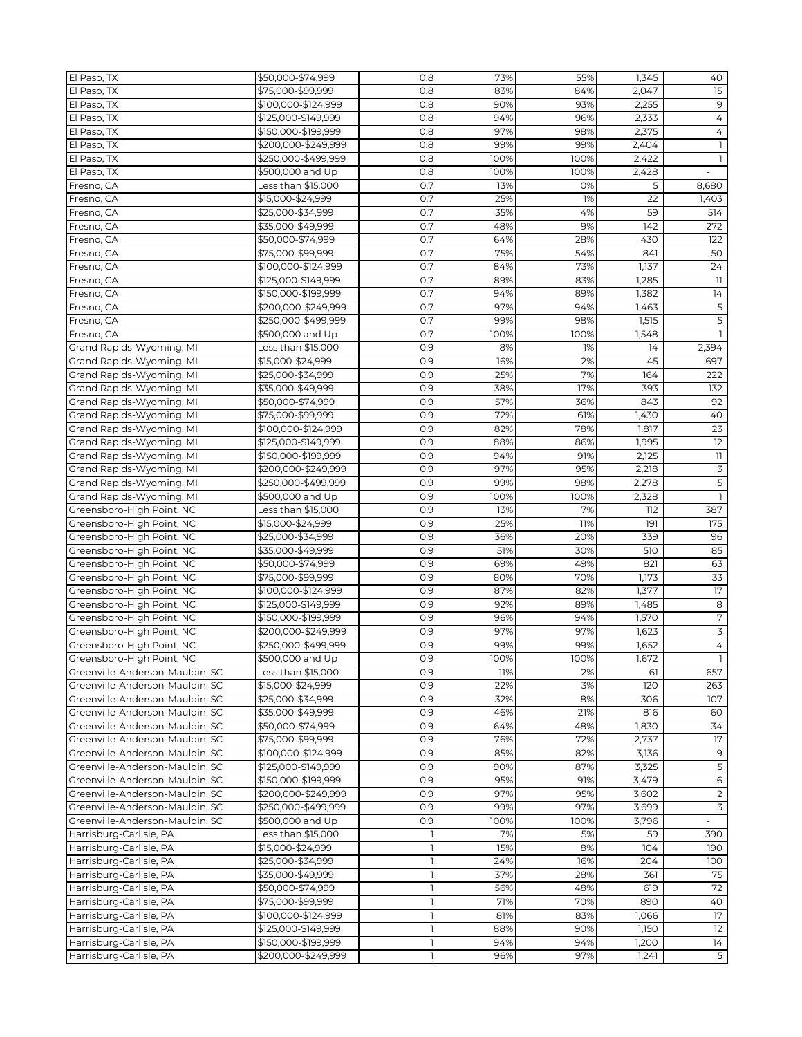| El Paso, TX                     | \$50,000-\$74,999   | 0.8 | 73%  | 55%  | 1,345            | 40                       |
|---------------------------------|---------------------|-----|------|------|------------------|--------------------------|
| El Paso, TX                     | \$75,000-\$99,999   | 0.8 | 83%  | 84%  | 2,047            | 15                       |
| El Paso, TX                     | \$100,000-\$124,999 | 0.8 | 90%  | 93%  | 2,255            | $\mathsf 9$              |
| El Paso, TX                     | \$125,000-\$149,999 | 0.8 | 94%  | 96%  | 2,333            | 4                        |
| El Paso, TX                     | \$150,000-\$199,999 | 0.8 | 97%  | 98%  | 2,375            | 4                        |
|                                 |                     |     |      |      |                  |                          |
| El Paso, TX                     | \$200,000-\$249,999 | 0.8 | 99%  | 99%  | 2,404            |                          |
| El Paso, TX                     | \$250,000-\$499,999 | 0.8 | 100% | 100% | 2,422            | ı                        |
| El Paso, TX                     | \$500,000 and Up    | 0.8 | 100% | 100% | 2,428            |                          |
| Fresno, CA                      | Less than \$15,000  | 0.7 | 13%  | 0%   | 5                | 8,680                    |
| Fresno, CA                      | \$15,000-\$24,999   | 0.7 | 25%  | 1%   | 22               | 1,403                    |
| Fresno, CA                      | \$25,000-\$34,999   | 0.7 | 35%  | 4%   | 59               | 514                      |
| Fresno, CA                      | \$35,000-\$49,999   | 0.7 | 48%  | 9%   | 142              | 272                      |
| Fresno, CA                      | \$50,000-\$74,999   | 0.7 | 64%  | 28%  | 430              | 122                      |
| Fresno, CA                      | \$75,000-\$99,999   | 0.7 | 75%  | 54%  | 841              | 50                       |
| Fresno, CA                      | \$100,000-\$124,999 | 0.7 | 84%  | 73%  | 1,137            | 24                       |
| Fresno, CA                      | \$125,000-\$149,999 | 0.7 | 89%  | 83%  | 1,285            | 11                       |
| Fresno, CA                      | \$150,000-\$199,999 | 0.7 | 94%  | 89%  | 1,382            | 14                       |
| Fresno, CA                      | \$200,000-\$249,999 | 0.7 | 97%  | 94%  | 1,463            | 5                        |
| Fresno, CA                      |                     | 0.7 | 99%  | 98%  | 1,515            | $\overline{5}$           |
|                                 | \$250,000-\$499,999 |     |      |      |                  |                          |
| Fresno, CA                      | \$500,000 and Up    | 0.7 | 100% | 100% | 1,548            |                          |
| Grand Rapids-Wyoming, MI        | Less than \$15,000  | 0.9 | 8%   | 1%   | 14               | 2,394                    |
| Grand Rapids-Wyoming, MI        | \$15,000-\$24,999   | 0.9 | 16%  | 2%   | 45               | 697                      |
| Grand Rapids-Wyoming, MI        | \$25,000-\$34,999   | 0.9 | 25%  | 7%   | $\overline{164}$ | 222                      |
| Grand Rapids-Wyoming, MI        | \$35,000-\$49,999   | 0.9 | 38%  | 17%  | 393              | 132                      |
| Grand Rapids-Wyoming, MI        | \$50,000-\$74,999   | 0.9 | 57%  | 36%  | 843              | 92                       |
| Grand Rapids-Wyoming, MI        | \$75,000-\$99,999   | 0.9 | 72%  | 61%  | 1,430            | 40                       |
| Grand Rapids-Wyoming, MI        | \$100,000-\$124,999 | 0.9 | 82%  | 78%  | 1,817            | 23                       |
| Grand Rapids-Wyoming, MI        | \$125,000-\$149,999 | 0.9 | 88%  | 86%  | 1,995            | 12                       |
| Grand Rapids-Wyoming, MI        | \$150,000-\$199,999 | 0.9 | 94%  | 91%  | 2,125            | $\overline{\phantom{a}}$ |
| Grand Rapids-Wyoming, MI        | \$200,000-\$249,999 | 0.9 | 97%  | 95%  | 2,218            | 3                        |
|                                 |                     |     |      |      |                  |                          |
| Grand Rapids-Wyoming, MI        | \$250,000-\$499,999 | 0.9 | 99%  | 98%  | 2,278            | 5                        |
| Grand Rapids-Wyoming, MI        | \$500,000 and Up    | 0.9 | 100% | 100% | 2,328            |                          |
| Greensboro-High Point, NC       | Less than \$15,000  | 0.9 | 13%  | 7%   | 112              | 387                      |
| Greensboro-High Point, NC       | \$15,000-\$24,999   | 0.9 | 25%  | 11%  | 191              | 175                      |
| Greensboro-High Point, NC       | \$25,000-\$34,999   | 0.9 | 36%  | 20%  | 339              | 96                       |
| Greensboro-High Point, NC       | \$35,000-\$49,999   | 0.9 | 51%  | 30%  | 510              | 85                       |
| Greensboro-High Point, NC       | \$50,000-\$74,999   | 0.9 | 69%  | 49%  | 821              | 63                       |
| Greensboro-High Point, NC       | \$75,000-\$99,999   | 0.9 | 80%  | 70%  | 1,173            | 33                       |
| Greensboro-High Point, NC       | \$100,000-\$124,999 | 0.9 | 87%  | 82%  | 1,377            | 17                       |
| Greensboro-High Point, NC       | \$125,000-\$149,999 | 0.9 | 92%  | 89%  | 1,485            | 8                        |
| Greensboro-High Point, NC       | \$150,000-\$199,999 | 0.9 | 96%  | 94%  | 1,570            | $\overline{7}$           |
| Greensboro-High Point, NC       | \$200,000-\$249,999 | 0.9 | 97%  | 97%  | 1,623            | $\overline{3}$           |
| Greensboro-High Point, NC       | \$250,000-\$499,999 | 0.9 | 99%  | 99%  | 1,652            | $\overline{4}$           |
|                                 |                     |     |      |      |                  |                          |
| Greensboro-High Point, NC       | \$500,000 and Up    | 0.9 | 100% | 100% | 1,672            |                          |
| Greenville-Anderson-Mauldin, SC | Less than \$15,000  | 0.9 | 11%  | 2%   | 61               | 657                      |
| Greenville-Anderson-Mauldin, SC | \$15,000-\$24,999   | 0.9 | 22%  | 3%   | 120              | 263                      |
| Greenville-Anderson-Mauldin, SC | \$25,000-\$34,999   | 0.9 | 32%  | 8%   | 306              | 107                      |
| Greenville-Anderson-Mauldin, SC | \$35,000-\$49,999   | 0.9 | 46%  | 21%  | 816              | 60                       |
| Greenville-Anderson-Mauldin, SC | \$50,000-\$74,999   | 0.9 | 64%  | 48%  | 1,830            | 34                       |
| Greenville-Anderson-Mauldin, SC | \$75,000-\$99,999   | 0.9 | 76%  | 72%  | 2,737            | 17                       |
| Greenville-Anderson-Mauldin, SC | \$100,000-\$124,999 | 0.9 | 85%  | 82%  | 3,136            | 9                        |
| Greenville-Anderson-Mauldin, SC | \$125,000-\$149,999 | 0.9 | 90%  | 87%  | 3,325            | $\mathsf S$              |
| Greenville-Anderson-Mauldin, SC | \$150,000-\$199,999 | 0.9 | 95%  | 91%  | 3,479            | 6                        |
| Greenville-Anderson-Mauldin, SC | \$200,000-\$249,999 | 0.9 | 97%  | 95%  | 3,602            | $\overline{2}$           |
| Greenville-Anderson-Mauldin, SC | \$250,000-\$499,999 | 0.9 | 99%  | 97%  | 3,699            | 3                        |
| Greenville-Anderson-Mauldin, SC | \$500,000 and Up    | 0.9 | 100% | 100% | 3,796            |                          |
| Harrisburg-Carlisle, PA         | Less than \$15,000  |     | 7%   | 5%   | 59               | 390                      |
|                                 |                     |     |      |      |                  |                          |
| Harrisburg-Carlisle, PA         | \$15,000-\$24,999   |     | 15%  | 8%   | 104              | 190                      |
| Harrisburg-Carlisle, PA         | \$25,000-\$34,999   |     | 24%  | 16%  | 204              | 100                      |
| Harrisburg-Carlisle, PA         | \$35,000-\$49,999   |     | 37%  | 28%  | 361              | 75                       |
| Harrisburg-Carlisle, PA         | \$50,000-\$74,999   |     | 56%  | 48%  | 619              | 72                       |
| Harrisburg-Carlisle, PA         | \$75,000-\$99,999   |     | 71%  | 70%  | 890              | 40                       |
| Harrisburg-Carlisle, PA         | \$100,000-\$124,999 |     | 81%  | 83%  | 1,066            | $\overline{17}$          |
| Harrisburg-Carlisle, PA         | \$125,000-\$149,999 |     | 88%  | 90%  | 1,150            | 12                       |
| Harrisburg-Carlisle, PA         | \$150,000-\$199,999 |     | 94%  | 94%  | 1,200            | 14                       |
| Harrisburg-Carlisle, PA         | \$200,000-\$249,999 |     | 96%  | 97%  | 1,241            | $\overline{5}$           |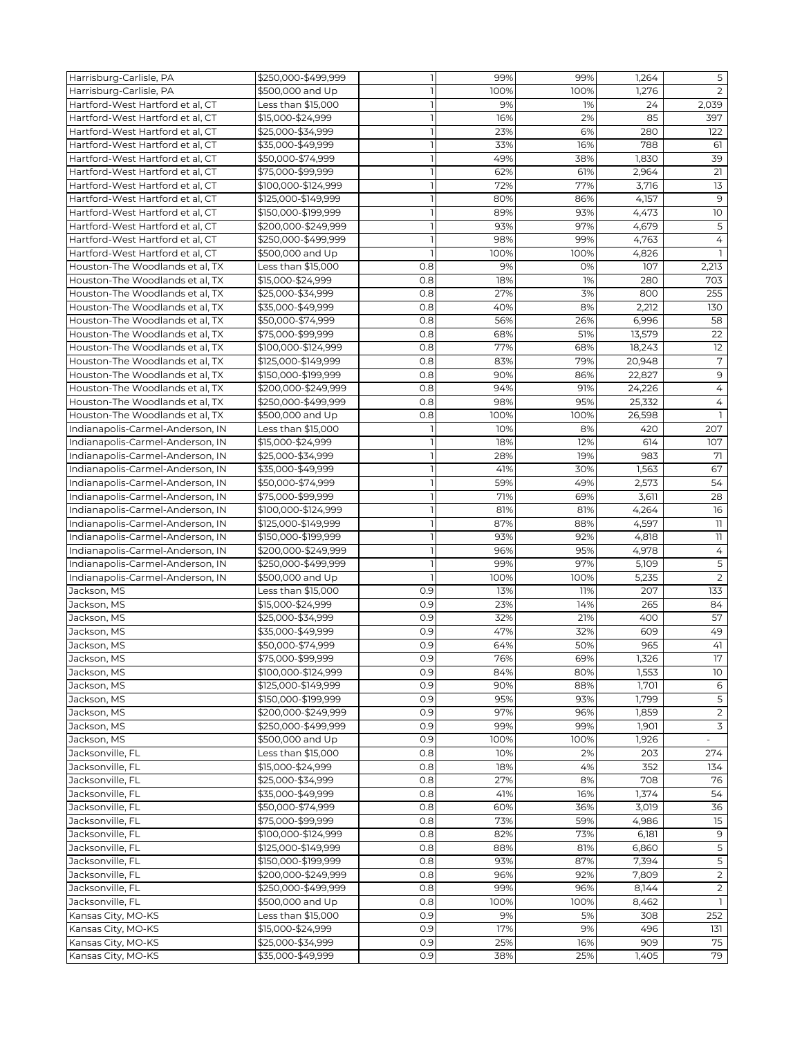| Harrisburg-Carlisle, PA          | \$250,000-\$499,999 | $\mathbf{1}$   | 99%  | 99%        | 1,264        | 5              |
|----------------------------------|---------------------|----------------|------|------------|--------------|----------------|
| Harrisburg-Carlisle, PA          | \$500,000 and Up    |                | 100% | 100%       | 1,276        | 2              |
| Hartford-West Hartford et al, CT | Less than \$15,000  |                | 9%   | 1%         | 24           | 2,039          |
| Hartford-West Hartford et al, CT | \$15,000-\$24,999   |                | 16%  | 2%         | 85           | 397            |
| Hartford-West Hartford et al, CT | \$25,000-\$34,999   | $\overline{1}$ | 23%  | 6%         | 280          | 122            |
| Hartford-West Hartford et al, CT | \$35,000-\$49,999   |                | 33%  | 16%        | 788          | 61             |
| Hartford-West Hartford et al, CT | \$50,000-\$74,999   |                | 49%  | 38%        | 1,830        | 39             |
| Hartford-West Hartford et al, CT | \$75,000-\$99,999   | $\mathbf{1}$   | 62%  | 61%        | 2,964        | 21             |
| Hartford-West Hartford et al, CT | \$100,000-\$124,999 |                | 72%  | 77%        | 3,716        | 13             |
| Hartford-West Hartford et al. CT | \$125,000-\$149,999 | $\mathbf{I}$   | 80%  | 86%        | 4,157        | 9              |
| Hartford-West Hartford et al, CT | \$150,000-\$199,999 |                | 89%  | 93%        | 4,473        | 10             |
| Hartford-West Hartford et al, CT | \$200,000-\$249,999 |                | 93%  | 97%        | 4,679        | 5              |
| Hartford-West Hartford et al, CT | \$250,000-\$499,999 | ı              | 98%  | 99%        | 4,763        | 4              |
| Hartford-West Hartford et al, CT |                     | $\overline{1}$ | 100% |            |              | $\mathbf{1}$   |
| Houston-The Woodlands et al, TX  | \$500,000 and Up    | 0.8            | 9%   | 100%<br>0% | 4,826<br>107 |                |
|                                  | Less than \$15,000  |                |      |            |              | 2,213          |
| Houston-The Woodlands et al, TX  | \$15,000-\$24,999   | 0.8            | 18%  | 1%         | 280          | 703            |
| Houston-The Woodlands et al, TX  | \$25,000-\$34,999   | 0.8            | 27%  | 3%         | 800          | 255            |
| Houston-The Woodlands et al, TX  | \$35,000-\$49,999   | 0.8            | 40%  | 8%         | 2,212        | 130            |
| Houston-The Woodlands et al, TX  | \$50,000-\$74,999   | 0.8            | 56%  | 26%        | 6,996        | 58             |
| Houston-The Woodlands et al, TX  | \$75,000-\$99,999   | 0.8            | 68%  | 51%        | 13,579       | 22             |
| Houston-The Woodlands et al, TX  | \$100,000-\$124,999 | 0.8            | 77%  | 68%        | 18,243       | 12             |
| Houston-The Woodlands et al, TX  | \$125,000-\$149,999 | 0.8            | 83%  | 79%        | 20,948       | $\overline{7}$ |
| Houston-The Woodlands et al, TX  | \$150,000-\$199,999 | 0.8            | 90%  | 86%        | 22,827       | $\mathsf 9$    |
| Houston-The Woodlands et al, TX  | \$200,000-\$249,999 | 0.8            | 94%  | 91%        | 24,226       | $\overline{4}$ |
| Houston-The Woodlands et al, TX  | \$250,000-\$499,999 | 0.8            | 98%  | 95%        | 25,332       | 4              |
| Houston-The Woodlands et al, TX  | \$500,000 and Up    | 0.8            | 100% | 100%       | 26,598       | $\mathbf{1}$   |
| Indianapolis-Carmel-Anderson, IN | Less than \$15,000  |                | 10%  | 8%         | 420          | 207            |
| Indianapolis-Carmel-Anderson, IN | \$15,000-\$24,999   |                | 18%  | 12%        | 614          | 107            |
| Indianapolis-Carmel-Anderson, IN | \$25,000-\$34,999   |                | 28%  | 19%        | 983          | 71             |
| Indianapolis-Carmel-Anderson, IN | \$35,000-\$49,999   | $\mathbf{1}$   | 41%  | 30%        | 1,563        | 67             |
|                                  | \$50,000-\$74,999   | $\mathbf{1}$   | 59%  | 49%        | 2,573        | 54             |
| Indianapolis-Carmel-Anderson, IN |                     |                |      |            |              |                |
| Indianapolis-Carmel-Anderson, IN | \$75,000-\$99,999   |                | 71%  | 69%        | 3,611        | 28             |
| Indianapolis-Carmel-Anderson, IN | \$100,000-\$124,999 | $\mathbf{1}$   | 81%  | 81%        | 4,264        | 16             |
| Indianapolis-Carmel-Anderson, IN | \$125,000-\$149,999 |                | 87%  | 88%        | 4,597        | 11             |
| Indianapolis-Carmel-Anderson, IN | \$150,000-\$199,999 | $\mathbf{I}$   | 93%  | 92%        | 4,818        | 11             |
| Indianapolis-Carmel-Anderson, IN | \$200,000-\$249,999 |                | 96%  | 95%        | 4,978        | 4              |
| Indianapolis-Carmel-Anderson, IN | \$250,000-\$499,999 |                | 99%  | 97%        | 5,109        | 5              |
| Indianapolis-Carmel-Anderson, IN | \$500,000 and Up    |                | 100% | 100%       | 5,235        | $\overline{2}$ |
| Jackson, MS                      | Less than \$15,000  | 0.9            | 13%  | 11%        | 207          | 133            |
| Jackson, MS                      | \$15,000-\$24,999   | 0.9            | 23%  | 14%        | 265          | 84             |
| Jackson, MS                      | \$25,000-\$34,999   | 0.9            | 32%  | 21%        | 400          | 57             |
| Jackson, MS                      | \$35,000-\$49,999   | 0.9            | 47%  | 32%        | 609          | 49             |
| Jackson, MS                      | \$50,000-\$74,999   | 0.9            | 64%  | 50%        | 965          | 41             |
| Jackson, MS                      | \$75,000-\$99,999   | 0.9            | 76%  | 69%        | 1,326        | 17             |
| Jackson, MS                      | \$100,000-\$124,999 | 0.9            | 84%  | 80%        | 1,553        | 10             |
| Jackson, MS                      | \$125,000-\$149,999 | 0.9            | 90%  | 88%        | 1,701        | 6              |
| Jackson, MS                      | \$150,000-\$199,999 | 0.9            | 95%  | 93%        | 1,799        | $\overline{5}$ |
| Jackson, MS                      | \$200,000-\$249,999 | 0.9            | 97%  | 96%        | 1,859        | $\overline{2}$ |
| Jackson, MS                      | \$250,000-\$499,999 | 0.9            | 99%  | 99%        | 1,901        | $\overline{3}$ |
|                                  |                     |                |      |            |              |                |
| Jackson, MS                      | \$500,000 and Up    | 0.9            | 100% | 100%       | 1,926        |                |
| Jacksonville, FL                 | Less than \$15,000  | 0.8            | 10%  | 2%         | 203          | 274            |
| Jacksonville, FL                 | \$15,000-\$24,999   | 0.8            | 18%  | 4%         | 352          | 134            |
| Jacksonville, FL                 | \$25,000-\$34,999   | 0.8            | 27%  | 8%         | 708          | 76             |
| Jacksonville, FL                 | \$35,000-\$49,999   | 0.8            | 41%  | 16%        | 1,374        | 54             |
| Jacksonville, FL                 | \$50,000-\$74,999   | 0.8            | 60%  | 36%        | 3,019        | 36             |
| Jacksonville, FL                 | \$75,000-\$99,999   | 0.8            | 73%  | 59%        | 4,986        | 15             |
| Jacksonville, FL                 | \$100,000-\$124,999 | 0.8            | 82%  | 73%        | 6,181        | 9              |
| Jacksonville, FL                 | \$125,000-\$149,999 | 0.8            | 88%  | 81%        | 6,860        | $\overline{5}$ |
| Jacksonville, FL                 | \$150,000-\$199,999 | 0.8            | 93%  | 87%        | 7,394        | $\overline{5}$ |
| Jacksonville, FL                 | \$200,000-\$249,999 | 0.8            | 96%  | 92%        | 7,809        | $\overline{2}$ |
| Jacksonville, FL                 | \$250,000-\$499,999 | 0.8            | 99%  | 96%        | 8,144        | 2              |
| Jacksonville, FL                 | \$500,000 and Up    | 0.8            | 100% | 100%       | 8,462        |                |
| Kansas City, MO-KS               | Less than \$15,000  | 0.9            | 9%   | 5%         | 308          | 252            |
| Kansas City, MO-KS               | \$15,000-\$24,999   | 0.9            | 17%  | 9%         | 496          | 131            |
| Kansas City, MO-KS               | \$25,000-\$34,999   | 0.9            | 25%  | 16%        | 909          | 75             |
|                                  |                     |                |      |            |              |                |
| Kansas City, MO-KS               | \$35,000-\$49,999   | 0.9            | 38%  | 25%        | 1,405        | 79             |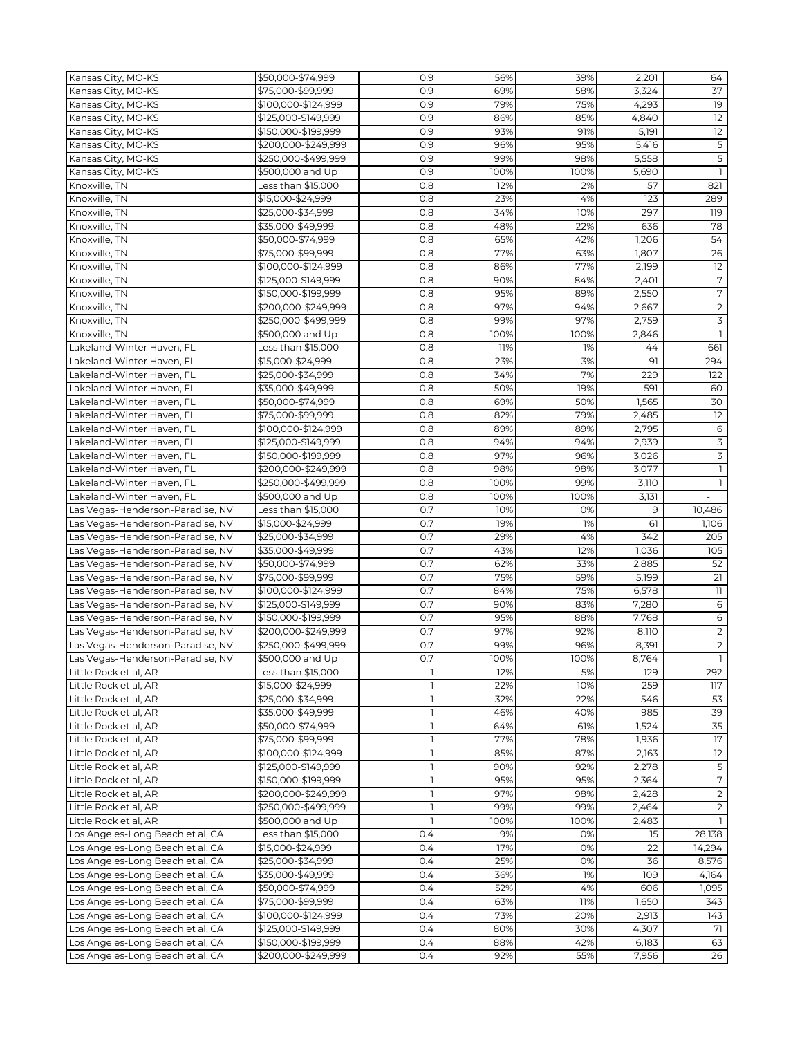| Kansas City, MO-KS               | \$50,000-\$74,999   | 0.9 | 56%        | 39%  | 2,201 | 64                       |
|----------------------------------|---------------------|-----|------------|------|-------|--------------------------|
| Kansas City, MO-KS               | \$75,000-\$99,999   | 0.9 | 69%        | 58%  | 3,324 | 37                       |
| Kansas City, MO-KS               | \$100,000-\$124,999 | 0.9 | 79%        | 75%  | 4,293 | 19                       |
| Kansas City, MO-KS               | \$125,000-\$149,999 | 0.9 | 86%        | 85%  | 4,840 | 12                       |
| Kansas City, MO-KS               | \$150,000-\$199,999 | 0.9 | 93%        | 91%  | 5,191 | 12                       |
| Kansas City, MO-KS               | \$200,000-\$249,999 | 0.9 | 96%        | 95%  | 5,416 | $\overline{5}$           |
| Kansas City, MO-KS               | \$250,000-\$499,999 | 0.9 | 99%        | 98%  | 5,558 | 5                        |
| Kansas City, MO-KS               | \$500,000 and Up    | 0.9 | 100%       | 100% | 5,690 | $\mathbf{1}$             |
| Knoxville, TN                    | Less than \$15,000  | 0.8 | 12%        | 2%   | 57    | 821                      |
|                                  |                     | 0.8 |            | 4%   | 123   |                          |
| Knoxville, TN<br>Knoxville, TN   | \$15,000-\$24,999   | 0.8 | 23%<br>34% |      | 297   | 289<br>119               |
|                                  | \$25,000-\$34,999   |     |            | 10%  |       |                          |
| Knoxville, TN                    | \$35,000-\$49,999   | 0.8 | 48%        | 22%  | 636   | 78                       |
| Knoxville, TN                    | \$50,000-\$74,999   | 0.8 | 65%        | 42%  | 1,206 | 54                       |
| Knoxville, TN                    | \$75,000-\$99,999   | 0.8 | 77%        | 63%  | 1,807 | 26                       |
| Knoxville, TN                    | \$100,000-\$124,999 | 0.8 | 86%        | 77%  | 2,199 | 12                       |
| Knoxville, TN                    | \$125,000-\$149,999 | 0.8 | 90%        | 84%  | 2,401 | $\sqrt{7}$               |
| Knoxville, TN                    | \$150,000-\$199,999 | 0.8 | 95%        | 89%  | 2,550 | $\overline{7}$           |
| Knoxville, TN                    | \$200,000-\$249,999 | 0.8 | 97%        | 94%  | 2,667 | $\overline{2}$           |
| Knoxville, TN                    | \$250,000-\$499,999 | 0.8 | 99%        | 97%  | 2,759 | 3                        |
| Knoxville, TN                    | \$500,000 and Up    | 0.8 | 100%       | 100% | 2,846 | $\mathbf{1}$             |
| Lakeland-Winter Haven, FL        | Less than \$15,000  | 0.8 | 11%        | 1%   | 44    | 661                      |
| Lakeland-Winter Haven, FL        | \$15,000-\$24,999   | 0.8 | 23%        | 3%   | 91    | 294                      |
| Lakeland-Winter Haven, FL        | \$25,000-\$34,999   | 0.8 | 34%        | 7%   | 229   | 122                      |
| Lakeland-Winter Haven, FL        | \$35,000-\$49,999   | 0.8 | 50%        | 19%  | 591   | 60                       |
| Lakeland-Winter Haven, FL        | \$50,000-\$74,999   | 0.8 | 69%        | 50%  | 1,565 | 30                       |
| Lakeland-Winter Haven, FL        | \$75,000-\$99,999   | 0.8 | 82%        | 79%  | 2,485 | 12                       |
| Lakeland-Winter Haven, FL        | \$100,000-\$124,999 | 0.8 | 89%        | 89%  | 2,795 | $\epsilon$               |
| Lakeland-Winter Haven, FL        | \$125,000-\$149,999 | 0.8 | 94%        | 94%  | 2,939 | $\overline{3}$           |
| Lakeland-Winter Haven, FL        | \$150,000-\$199,999 | 0.8 | 97%        | 96%  | 3,026 | $\overline{3}$           |
| Lakeland-Winter Haven, FL        | \$200,000-\$249,999 | 0.8 | 98%        | 98%  | 3,077 | $\mathbb{I}$             |
| Lakeland-Winter Haven, FL        | \$250,000-\$499,999 | 0.8 | 100%       | 99%  | 3,110 | $\mathbf{1}$             |
| Lakeland-Winter Haven, FL        | \$500,000 and Up    | 0.8 | 100%       | 100% | 3,131 | $\overline{\phantom{a}}$ |
| Las Vegas-Henderson-Paradise, NV | Less than \$15,000  | 0.7 | 10%        | 0%   | 9     | 10,486                   |
| Las Vegas-Henderson-Paradise, NV | \$15,000-\$24,999   | 0.7 | 19%        | 1%   | 61    | 1,106                    |
|                                  |                     | 0.7 |            |      | 342   |                          |
| Las Vegas-Henderson-Paradise, NV | \$25,000-\$34,999   |     | 29%        | 4%   |       | 205                      |
| Las Vegas-Henderson-Paradise, NV | \$35,000-\$49,999   | 0.7 | 43%        | 12%  | 1,036 | 105                      |
| Las Vegas-Henderson-Paradise, NV | \$50,000-\$74,999   | 0.7 | 62%        | 33%  | 2,885 | 52                       |
| Las Vegas-Henderson-Paradise, NV | \$75,000-\$99,999   | 0.7 | 75%        | 59%  | 5,199 | 21                       |
| Las Vegas-Henderson-Paradise, NV | \$100,000-\$124,999 | 0.7 | 84%        | 75%  | 6,578 | 11                       |
| Las Vegas-Henderson-Paradise, NV | \$125,000-\$149,999 | 0.7 | 90%        | 83%  | 7,280 | 6                        |
| Las Vegas-Henderson-Paradise, NV | \$150,000-\$199,999 | 0.7 | 95%        | 88%  | 7,768 | $\,$ 6                   |
| Las Vegas-Henderson-Paradise, NV | \$200,000-\$249,999 | 0.7 | 97%        | 92%  | 8,110 | $\overline{2}$           |
| Las Vegas-Henderson-Paradise, NV | \$250,000-\$499,999 | 0.7 | 99%        | 96%  | 8,391 | $\overline{2}$           |
| Las Vegas-Henderson-Paradise, NV | \$500,000 and Up    | 0.7 | 100%       | 100% | 8,764 |                          |
| Little Rock et al, AR            | Less than \$15,000  |     | 12%        | 5%   | 129   | 292                      |
| Little Rock et al, AR            | \$15,000-\$24,999   |     | 22%        | 10%  | 259   | 117                      |
| Little Rock et al, AR            | \$25,000-\$34,999   |     | 32%        | 22%  | 546   | 53                       |
| Little Rock et al, AR            | \$35,000-\$49,999   |     | 46%        | 40%  | 985   | 39                       |
| Little Rock et al, AR            | \$50,000-\$74,999   |     | 64%        | 61%  | 1,524 | 35                       |
| Little Rock et al, AR            | \$75,000-\$99.999   |     | 77%        | 78%  | 1,936 | 17                       |
| Little Rock et al, AR            | \$100,000-\$124,999 |     | 85%        | 87%  | 2,163 | 12                       |
| Little Rock et al, AR            | \$125,000-\$149,999 |     | 90%        | 92%  | 2,278 | 5                        |
| Little Rock et al, AR            | \$150,000-\$199,999 |     | 95%        | 95%  | 2,364 | $\overline{7}$           |
| Little Rock et al, AR            | \$200,000-\$249,999 |     | 97%        | 98%  | 2,428 | $\overline{2}$           |
| Little Rock et al, AR            | \$250,000-\$499,999 |     | 99%        | 99%  | 2,464 | $\overline{2}$           |
| Little Rock et al, AR            | \$500,000 and Up    |     | 100%       | 100% | 2,483 |                          |
| Los Angeles-Long Beach et al, CA | Less than \$15,000  | 0.4 | 9%         | 0%   | 15    | 28,138                   |
| Los Angeles-Long Beach et al, CA | \$15,000-\$24,999   | 0.4 | 17%        | 0%   | 22    | 14,294                   |
| Los Angeles-Long Beach et al, CA | \$25,000-\$34,999   | 0.4 | 25%        | 0%   | 36    | 8,576                    |
| Los Angeles-Long Beach et al, CA | \$35,000-\$49,999   | 0.4 | 36%        | 1%   | 109   | 4,164                    |
| Los Angeles-Long Beach et al, CA | \$50,000-\$74,999   | 0.4 | 52%        | 4%   | 606   | 1,095                    |
| Los Angeles-Long Beach et al, CA | \$75,000-\$99,999   | 0.4 | 63%        | 11%  | 1,650 | 343                      |
| Los Angeles-Long Beach et al, CA | \$100,000-\$124,999 | 0.4 | 73%        | 20%  | 2,913 | 143                      |
| Los Angeles-Long Beach et al, CA | \$125,000-\$149,999 | 0.4 | 80%        | 30%  | 4,307 | 71                       |
| Los Angeles-Long Beach et al, CA | \$150,000-\$199,999 | 0.4 | 88%        | 42%  | 6,183 | 63                       |
| Los Angeles-Long Beach et al, CA | \$200,000-\$249,999 | 0.4 | 92%        | 55%  | 7,956 | 26                       |
|                                  |                     |     |            |      |       |                          |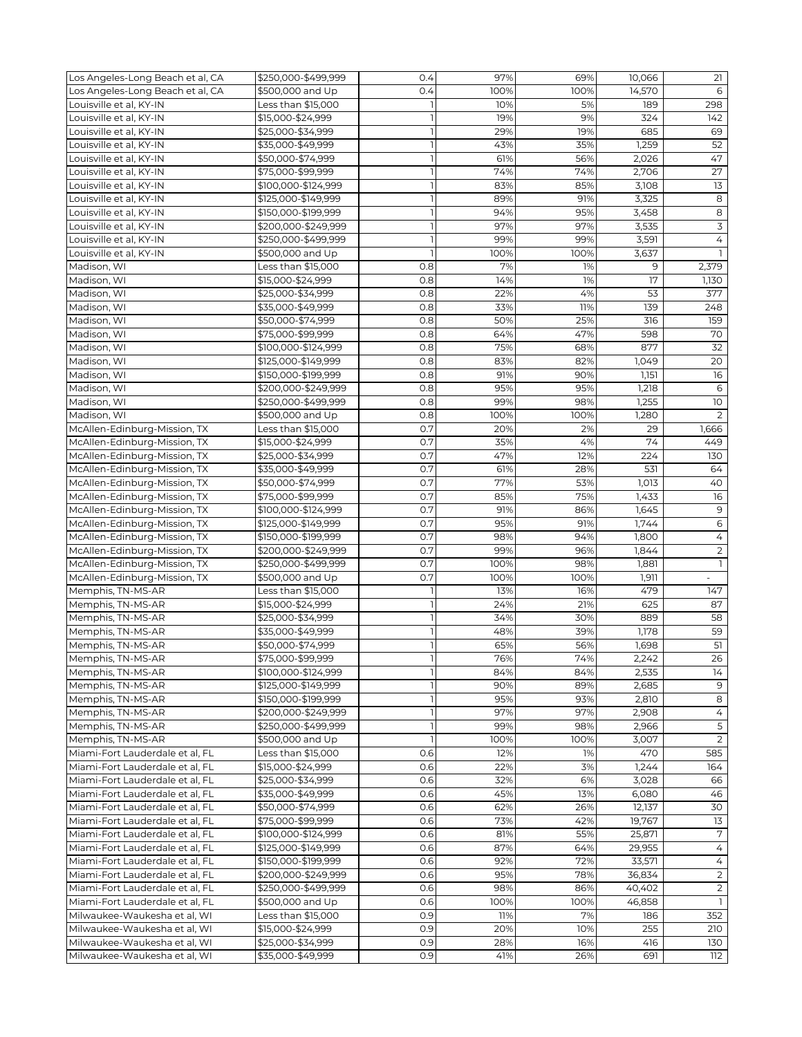| Los Angeles-Long Beach et al, CA | \$250,000-\$499,999 | 0.4            | 97%  | 69%  | 10,066 | 21              |
|----------------------------------|---------------------|----------------|------|------|--------|-----------------|
| Los Angeles-Long Beach et al, CA | \$500,000 and Up    | 0.4            | 100% | 100% | 14,570 | 6               |
| Louisville et al, KY-IN          | Less than \$15,000  |                | 10%  | 5%   | 189    | 298             |
| Louisville et al, KY-IN          | \$15,000-\$24,999   |                | 19%  | 9%   | 324    | 142             |
| Louisville et al, KY-IN          | \$25,000-\$34,999   |                | 29%  | 19%  | 685    | 69              |
| Louisville et al, KY-IN          | \$35,000-\$49,999   | ı              | 43%  | 35%  | 1,259  | 52              |
| Louisville et al, KY-IN          | \$50,000-\$74,999   | $\overline{1}$ | 61%  | 56%  | 2,026  | 47              |
| Louisville et al, KY-IN          | \$75,000-\$99,999   | $\mathbf{1}$   | 74%  | 74%  | 2,706  | 27              |
|                                  |                     |                |      |      |        |                 |
| Louisville et al, KY-IN          | \$100,000-\$124,999 |                | 83%  | 85%  | 3,108  | 13              |
| Louisville et al, KY-IN          | \$125,000-\$149,999 | $\overline{1}$ | 89%  | 91%  | 3,325  | 8               |
| Louisville et al, KY-IN          | \$150,000-\$199,999 |                | 94%  | 95%  | 3,458  | 8               |
| Louisville et al, KY-IN          | \$200,000-\$249,999 | $\mathbf{I}$   | 97%  | 97%  | 3,535  | $\mathsf 3$     |
| Louisville et al, KY-IN          | \$250,000-\$499,999 |                | 99%  | 99%  | 3,591  | $\overline{4}$  |
| Louisville et al, KY-IN          | \$500,000 and Up    |                | 100% | 100% | 3,637  |                 |
| Madison, WI                      | Less than \$15,000  | 0.8            | 7%   | 1%   | 9      | 2,379           |
| Madison, WI                      | \$15,000-\$24,999   | 0.8            | 14%  | 1%   | 17     | 1,130           |
| Madison, WI                      | \$25,000-\$34,999   | 0.8            | 22%  | 4%   | 53     | 377             |
| Madison, WI                      | \$35,000-\$49,999   | 0.8            | 33%  | 11%  | 139    | 248             |
| Madison, WI                      | \$50,000-\$74,999   | 0.8            | 50%  | 25%  | 316    | 159             |
| Madison, WI                      | \$75,000-\$99,999   | 0.8            | 64%  | 47%  | 598    | 70              |
| Madison, WI                      | \$100,000-\$124,999 | 0.8            | 75%  | 68%  | 877    | 32              |
| Madison, WI                      | \$125,000-\$149,999 | 0.8            | 83%  | 82%  | 1,049  | 20              |
| Madison, WI                      | \$150,000-\$199,999 | 0.8            | 91%  | 90%  | 1,151  | 16              |
| Madison, WI                      | \$200,000-\$249,999 | 0.8            | 95%  | 95%  | 1,218  | 6               |
| Madison, WI                      | \$250,000-\$499,999 | 0.8            | 99%  | 98%  | 1,255  | 10 <sup>°</sup> |
|                                  | \$500,000 and Up    | 0.8            |      |      |        |                 |
| Madison, WI                      |                     |                | 100% | 100% | 1,280  | 2               |
| McAllen-Edinburg-Mission, TX     | Less than \$15,000  | 0.7            | 20%  | 2%   | 29     | 1,666           |
| McAllen-Edinburg-Mission, TX     | \$15,000-\$24,999   | 0.7            | 35%  | 4%   | 74     | 449             |
| McAllen-Edinburg-Mission, TX     | \$25,000-\$34,999   | 0.7            | 47%  | 12%  | 224    | 130             |
| McAllen-Edinburg-Mission, TX     | \$35,000-\$49,999   | 0.7            | 61%  | 28%  | 531    | 64              |
| McAllen-Edinburg-Mission, TX     | \$50,000-\$74,999   | 0.7            | 77%  | 53%  | 1,013  | 40              |
| McAllen-Edinburg-Mission, TX     | \$75,000-\$99,999   | 0.7            | 85%  | 75%  | 1,433  | 16              |
| McAllen-Edinburg-Mission, TX     | \$100,000-\$124,999 | 0.7            | 91%  | 86%  | 1,645  | 9               |
| McAllen-Edinburg-Mission, TX     | \$125,000-\$149,999 | 0.7            | 95%  | 91%  | 1,744  | $\epsilon$      |
| McAllen-Edinburg-Mission, TX     | \$150,000-\$199,999 | 0.7            | 98%  | 94%  | 1,800  | 4               |
| McAllen-Edinburg-Mission, TX     | \$200,000-\$249,999 | 0.7            | 99%  | 96%  | 1,844  | 2               |
| McAllen-Edinburg-Mission, TX     | \$250,000-\$499,999 | 0.7            | 100% | 98%  | 1,881  | $\mathbf{1}$    |
| McAllen-Edinburg-Mission, TX     | \$500,000 and Up    | 0.7            | 100% | 100% | 1,911  |                 |
| Memphis, TN-MS-AR                | Less than \$15,000  |                | 13%  | 16%  | 479    | 147             |
| Memphis, TN-MS-AR                | \$15,000-\$24,999   | $\mathbf{1}$   | 24%  | 21%  | 625    | 87              |
| Memphis, TN-MS-AR                | \$25,000-\$34,999   | $\overline{1}$ | 34%  | 30%  | 889    | 58              |
| Memphis, TN-MS-AR                | \$35,000-\$49,999   | $\mathbf{1}$   | 48%  | 39%  | 1,178  | 59              |
| Memphis, TN-MS-AR                | \$50,000-\$74,999   |                | 65%  | 56%  | 1,698  | 51              |
| Memphis, TN-MS-AR                | \$75,000-\$99,999   |                | 76%  | 74%  |        | 26              |
|                                  |                     |                |      |      | 2,242  |                 |
| Memphis, TN-MS-AR                | \$100,000-\$124,999 |                | 84%  | 84%  | 2,535  | 14              |
| Memphis, TN-MS-AR                | \$125,000-\$149,999 |                | 90%  | 89%  | 2,685  | 9               |
| Memphis, TN-MS-AR                | \$150,000-\$199,999 |                | 95%  | 93%  | 2,810  | 8               |
| Memphis, TN-MS-AR                | \$200,000-\$249,999 |                | 97%  | 97%  | 2,908  | 4               |
| Memphis, TN-MS-AR                | \$250,000-\$499,999 |                | 99%  | 98%  | 2,966  | 5               |
| Memphis, TN-MS-AR                | \$500,000 and Up    | $\overline{1}$ | 100% | 100% | 3,007  | 2               |
| Miami-Fort Lauderdale et al, FL  | Less than \$15,000  | 0.6            | 12%  | 1%   | 470    | 585             |
| Miami-Fort Lauderdale et al. FL  | \$15,000-\$24,999   | 0.6            | 22%  | 3%   | 1,244  | 164             |
| Miami-Fort Lauderdale et al, FL  | \$25,000-\$34,999   | 0.6            | 32%  | 6%   | 3,028  | 66              |
| Miami-Fort Lauderdale et al, FL  | \$35,000-\$49,999   | 0.6            | 45%  | 13%  | 6,080  | 46              |
| Miami-Fort Lauderdale et al. FL  | \$50,000-\$74,999   | 0.6            | 62%  | 26%  | 12,137 | 30              |
| Miami-Fort Lauderdale et al, FL  | \$75,000-\$99,999   | 0.6            | 73%  | 42%  | 19,767 | 13              |
| Miami-Fort Lauderdale et al, FL  | \$100,000-\$124,999 | 0.6            | 81%  | 55%  | 25,871 | $\overline{7}$  |
| Miami-Fort Lauderdale et al, FL  | \$125,000-\$149,999 | 0.6            | 87%  | 64%  | 29,955 | 4               |
| Miami-Fort Lauderdale et al, FL  | \$150,000-\$199,999 | 0.6            | 92%  | 72%  | 33,571 | 4               |
| Miami-Fort Lauderdale et al, FL  | \$200,000-\$249,999 | 0.6            | 95%  | 78%  | 36,834 | 2               |
| Miami-Fort Lauderdale et al, FL  | \$250,000-\$499,999 | 0.6            | 98%  | 86%  | 40,402 | $\overline{2}$  |
| Miami-Fort Lauderdale et al, FL  | \$500,000 and Up    | 0.6            | 100% | 100% | 46,858 |                 |
| Milwaukee-Waukesha et al, WI     | Less than \$15,000  | 0.9            | 11%  | 7%   | 186    | 352             |
| Milwaukee-Waukesha et al, WI     | \$15,000-\$24,999   | 0.9            | 20%  | 10%  | 255    | 210             |
| Milwaukee-Waukesha et al, WI     | \$25,000-\$34,999   | 0.9            | 28%  |      |        | 130             |
|                                  |                     |                |      | 16%  | 416    |                 |
| Milwaukee-Waukesha et al, WI     | \$35,000-\$49,999   | 0.9            | 41%  | 26%  | 691    | 112             |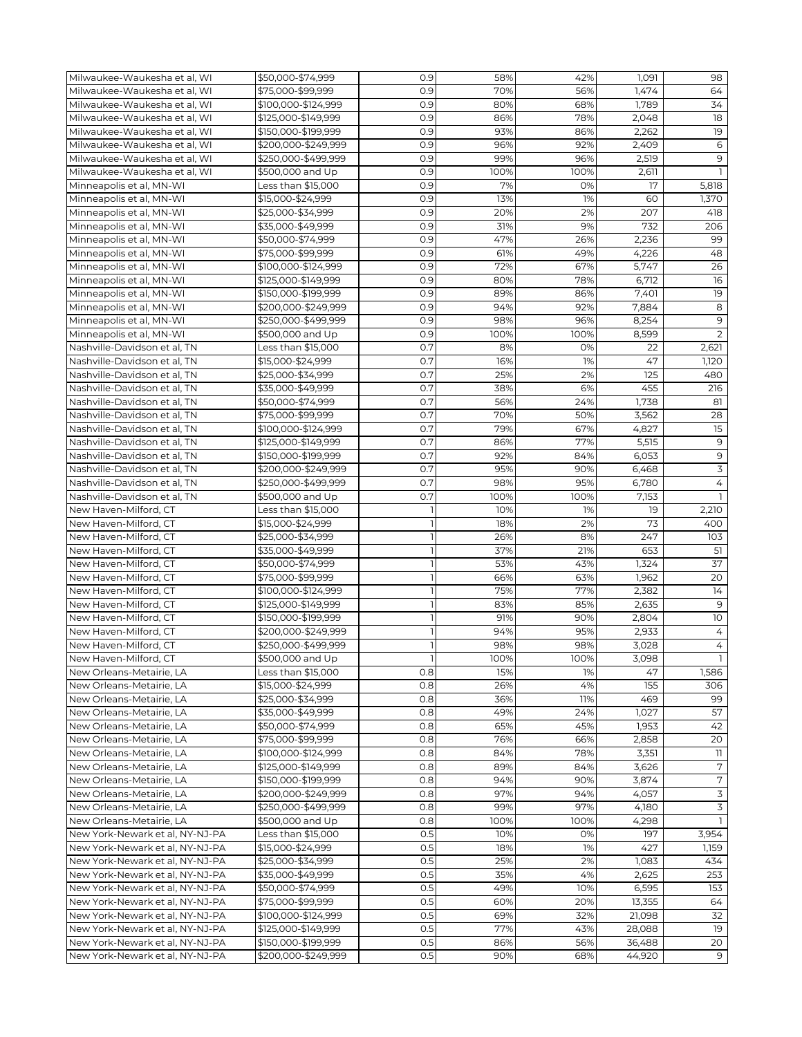| Milwaukee-Waukesha et al, WI    | \$50,000-\$74.999   | 0.9          | 58%  | 42%  | 1,091  | 98                       |
|---------------------------------|---------------------|--------------|------|------|--------|--------------------------|
| Milwaukee-Waukesha et al, WI    | \$75,000-\$99,999   | 0.9          | 70%  | 56%  | 1,474  | 64                       |
| Milwaukee-Waukesha et al, WI    | \$100,000-\$124,999 | 0.9          | 80%  | 68%  | 1,789  | 34                       |
| Milwaukee-Waukesha et al, WI    | \$125,000-\$149,999 | 0.9          | 86%  | 78%  | 2,048  | 18                       |
| Milwaukee-Waukesha et al, WI    | \$150,000-\$199,999 | 0.9          | 93%  | 86%  | 2,262  | 19                       |
| Milwaukee-Waukesha et al, WI    | \$200,000-\$249,999 | 0.9          | 96%  | 92%  | 2,409  | 6                        |
| Milwaukee-Waukesha et al, WI    | \$250,000-\$499,999 | 0.9          | 99%  | 96%  | 2,519  | 9                        |
| Milwaukee-Waukesha et al, WI    | \$500,000 and Up    | 0.9          | 100% | 100% | 2,611  | $\mathbf{1}$             |
| Minneapolis et al, MN-WI        | Less than \$15,000  | 0.9          | 7%   | 0%   | 17     | 5,818                    |
|                                 |                     |              |      |      |        |                          |
| Minneapolis et al, MN-WI        | \$15,000-\$24,999   | 0.9          | 13%  | 1%   | 60     | 1,370                    |
| Minneapolis et al, MN-WI        | \$25,000-\$34,999   | 0.9          | 20%  | 2%   | 207    | 418                      |
| Minneapolis et al, MN-WI        | \$35,000-\$49,999   | 0.9          | 31%  | 9%   | 732    | 206                      |
| Minneapolis et al, MN-WI        | \$50,000-\$74,999   | 0.9          | 47%  | 26%  | 2,236  | 99                       |
| Minneapolis et al, MN-WI        | \$75,000-\$99,999   | 0.9          | 61%  | 49%  | 4,226  | 48                       |
| Minneapolis et al, MN-WI        | \$100,000-\$124,999 | 0.9          | 72%  | 67%  | 5,747  | 26                       |
| Minneapolis et al, MN-WI        | \$125,000-\$149,999 | 0.9          | 80%  | 78%  | 6,712  | 16                       |
| Minneapolis et al, MN-WI        | \$150,000-\$199,999 | 0.9          | 89%  | 86%  | 7,401  | 19                       |
| Minneapolis et al, MN-WI        | \$200,000-\$249,999 | 0.9          | 94%  | 92%  | 7,884  | 8                        |
| Minneapolis et al, MN-WI        | \$250,000-\$499,999 | 0.9          | 98%  | 96%  | 8,254  | 9                        |
| Minneapolis et al, MN-WI        | \$500,000 and Up    | 0.9          | 100% | 100% | 8,599  | 2                        |
| Nashville-Davidson et al, TN    | Less than \$15,000  | 0.7          | 8%   | 0%   | 22     | 2,621                    |
| Nashville-Davidson et al, TN    | \$15,000-\$24,999   | 0.7          | 16%  | 1%   | 47     | 1,120                    |
| Nashville-Davidson et al. TN    | \$25,000-\$34,999   | 0.7          | 25%  | 2%   | 125    | 480                      |
| Nashville-Davidson et al, TN    | \$35,000-\$49,999   | 0.7          | 38%  | 6%   | 455    | 216                      |
| Nashville-Davidson et al, TN    | \$50,000-\$74,999   | 0.7          | 56%  | 24%  | 1,738  | 81                       |
| Nashville-Davidson et al, TN    | \$75,000-\$99,999   | 0.7          | 70%  | 50%  | 3,562  | 28                       |
| Nashville-Davidson et al. TN    | \$100,000-\$124,999 | 0.7          | 79%  | 67%  | 4,827  | 15                       |
| Nashville-Davidson et al, TN    | \$125,000-\$149,999 | 0.7          | 86%  | 77%  | 5,515  | 9                        |
|                                 |                     | 0.7          | 92%  | 84%  |        | $9$                      |
| Nashville-Davidson et al, TN    | \$150,000-\$199,999 |              |      |      | 6,053  |                          |
| Nashville-Davidson et al, TN    | \$200,000-\$249,999 | 0.7          | 95%  | 90%  | 6,468  | 3                        |
| Nashville-Davidson et al, TN    | \$250,000-\$499,999 | 0.7          | 98%  | 95%  | 6,780  | $\overline{4}$           |
| Nashville-Davidson et al, TN    | \$500,000 and Up    | 0.7          | 100% | 100% | 7,153  |                          |
| New Haven-Milford, CT           | Less than \$15,000  | $\mathbf{1}$ | 10%  | 1%   | 19     | 2,210                    |
| New Haven-Milford, CT           | \$15,000-\$24,999   |              | 18%  | 2%   | 73     | 400                      |
| New Haven-Milford, CT           | \$25,000-\$34,999   | ı            | 26%  | 8%   | 247    | 103                      |
| New Haven-Milford, CT           | \$35,000-\$49,999   |              | 37%  | 21%  | 653    | 51                       |
| New Haven-Milford, CT           | \$50,000-\$74,999   | $\mathbb{I}$ | 53%  | 43%  | 1,324  | 37                       |
| New Haven-Milford, CT           | \$75,000-\$99,999   |              | 66%  | 63%  | 1,962  | 20                       |
| New Haven-Milford, CT           | \$100,000-\$124,999 |              | 75%  | 77%  | 2,382  | 14                       |
| New Haven-Milford, CT           | \$125,000-\$149,999 | 1            | 83%  | 85%  | 2,635  | 9                        |
| New Haven-Milford, CT           | \$150,000-\$199,999 | $\mathbf{1}$ | 91%  | 90%  | 2,804  | $10$                     |
| New Haven-Milford, CT           | \$200,000-\$249,999 | <sub>1</sub> | 94%  | 95%  | 2,933  | $\overline{4}$           |
| New Haven-Milford, CT           | \$250,000-\$499,999 |              | 98%  | 98%  | 3,028  | $\overline{4}$           |
| New Haven-Milford, CT           | \$500,000 and Up    |              | 100% | 100% | 3,098  | $\mathbf{1}$             |
| New Orleans-Metairie, LA        | Less than \$15,000  | 0.8          | 15%  | 1%   | 47     | 1,586                    |
| New Orleans-Metairie, LA        | \$15,000-\$24,999   | 0.8          | 26%  | 4%   | 155    | 306                      |
| New Orleans-Metairie, LA        | \$25,000-\$34,999   | 0.8          | 36%  | 11%  | 469    | 99                       |
| New Orleans-Metairie, LA        | \$35,000-\$49,999   | 0.8          | 49%  | 24%  | 1,027  | 57                       |
| New Orleans-Metairie, LA        | \$50,000-\$74,999   | 0.8          | 65%  | 45%  | 1,953  | 42                       |
| New Orleans-Metairie, LA        | \$75,000-\$99,999   | 0.8          | 76%  | 66%  | 2,858  | 20                       |
| New Orleans-Metairie, LA        | \$100,000-\$124,999 | 0.8          | 84%  | 78%  | 3,351  | $\overline{\phantom{a}}$ |
| New Orleans-Metairie, LA        | \$125,000-\$149,999 | 0.8          | 89%  | 84%  | 3,626  | 7                        |
|                                 |                     | 0.8          | 94%  |      | 3,874  | 7                        |
| New Orleans-Metairie, LA        | \$150,000-\$199,999 |              |      | 90%  |        |                          |
| New Orleans-Metairie, LA        | \$200,000-\$249,999 | 0.8          | 97%  | 94%  | 4,057  | 3                        |
| New Orleans-Metairie, LA        | \$250,000-\$499,999 | 0.8          | 99%  | 97%  | 4,180  | 3                        |
| New Orleans-Metairie, LA        | \$500,000 and Up    | 0.8          | 100% | 100% | 4,298  | 1                        |
| New York-Newark et al, NY-NJ-PA | Less than \$15,000  | 0.5          | 10%  | 0%   | 197    | 3,954                    |
| New York-Newark et al, NY-NJ-PA | \$15,000-\$24,999   | 0.5          | 18%  | 1%   | 427    | 1,159                    |
| New York-Newark et al, NY-NJ-PA | \$25,000-\$34,999   | 0.5          | 25%  | 2%   | 1,083  | 434                      |
| New York-Newark et al, NY-NJ-PA | \$35,000-\$49,999   | 0.5          | 35%  | 4%   | 2,625  | 253                      |
| New York-Newark et al, NY-NJ-PA | \$50,000-\$74,999   | 0.5          | 49%  | 10%  | 6,595  | 153                      |
| New York-Newark et al, NY-NJ-PA | \$75,000-\$99,999   | 0.5          | 60%  | 20%  | 13,355 | 64                       |
| New York-Newark et al, NY-NJ-PA | \$100,000-\$124,999 | 0.5          | 69%  | 32%  | 21,098 | 32                       |
| New York-Newark et al, NY-NJ-PA | \$125,000-\$149,999 | 0.5          | 77%  | 43%  | 28,088 | 19                       |
| New York-Newark et al, NY-NJ-PA | \$150,000-\$199,999 | 0.5          | 86%  | 56%  | 36,488 | 20                       |
| New York-Newark et al, NY-NJ-PA | \$200,000-\$249,999 | 0.5          | 90%  | 68%  | 44,920 | 9                        |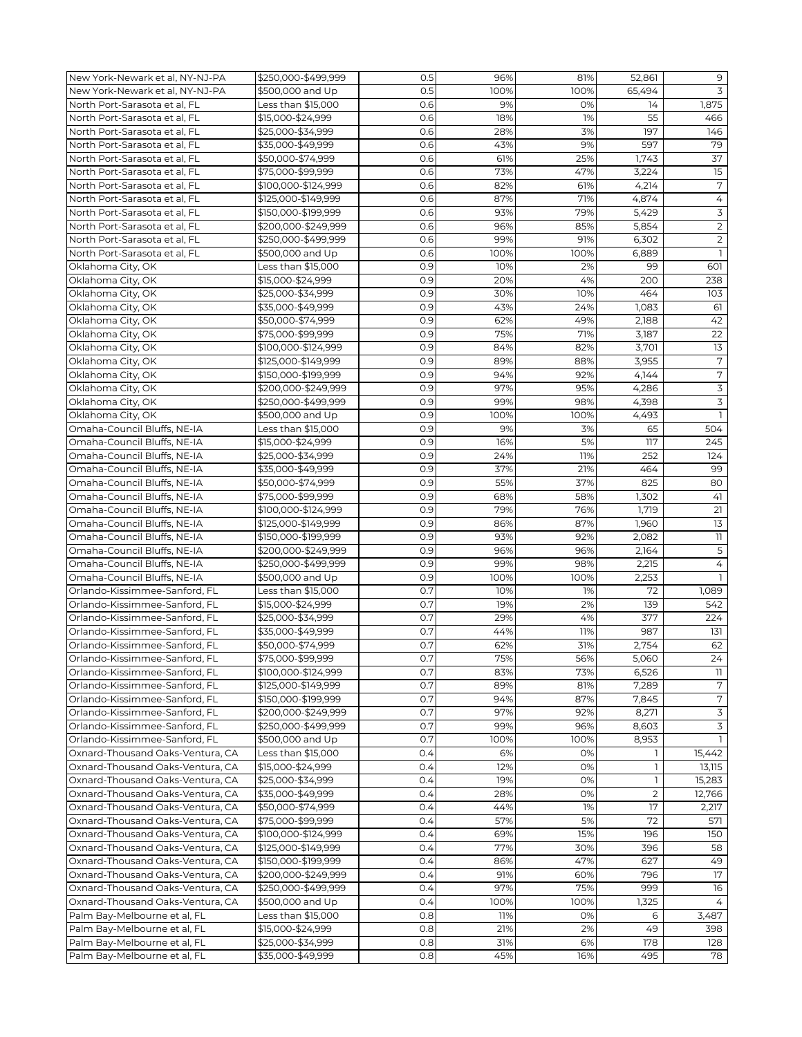| New York-Newark et al, NY-NJ-PA  | \$250,000-\$499,999 | 0.5 | 96%  | 81%  | 52,861       | 9                |
|----------------------------------|---------------------|-----|------|------|--------------|------------------|
| New York-Newark et al, NY-NJ-PA  | \$500,000 and Up    | 0.5 | 100% | 100% | 65,494       | 3                |
| North Port-Sarasota et al, FL    | Less than \$15,000  | 0.6 | 9%   | 0%   | 14           | 1,875            |
| North Port-Sarasota et al, FL    | \$15,000-\$24,999   | 0.6 | 18%  | 1%   | 55           | 466              |
| North Port-Sarasota et al, FL    | \$25,000-\$34,999   | 0.6 | 28%  | 3%   | 197          | 146              |
| North Port-Sarasota et al, FL    | \$35,000-\$49,999   | 0.6 | 43%  | 9%   | 597          | 79               |
|                                  |                     |     |      |      |              |                  |
| North Port-Sarasota et al, FL    | \$50,000-\$74,999   | 0.6 | 61%  | 25%  | 1,743        | 37               |
| North Port-Sarasota et al, FL    | \$75,000-\$99,999   | 0.6 | 73%  | 47%  | 3,224        | 15               |
| North Port-Sarasota et al, FL    | \$100,000-\$124,999 | 0.6 | 82%  | 61%  | 4,214        | $\boldsymbol{7}$ |
| North Port-Sarasota et al, FL    | \$125.000-\$149.999 | 0.6 | 87%  | 71%  | 4,874        | $\overline{4}$   |
| North Port-Sarasota et al, FL    | \$150,000-\$199,999 | 0.6 | 93%  | 79%  | 5,429        | 3                |
| North Port-Sarasota et al, FL    | \$200,000-\$249,999 | 0.6 | 96%  | 85%  | 5,854        | $\overline{2}$   |
| North Port-Sarasota et al, FL    | \$250,000-\$499,999 | 0.6 | 99%  | 91%  | 6,302        | $\overline{2}$   |
| North Port-Sarasota et al, FL    | \$500,000 and Up    | 0.6 | 100% | 100% | 6,889        | $\mathbf{1}$     |
| Oklahoma City, OK                | Less than \$15,000  | 0.9 | 10%  | 2%   | 99           | 601              |
| Oklahoma City, OK                | \$15,000-\$24,999   | 0.9 | 20%  | 4%   | 200          | 238              |
| Oklahoma City, OK                | \$25,000-\$34,999   | 0.9 | 30%  | 10%  | 464          | 103              |
| Oklahoma City, OK                | \$35,000-\$49,999   | 0.9 | 43%  | 24%  | 1,083        | 61               |
| Oklahoma City, OK                | \$50,000-\$74,999   | 0.9 | 62%  | 49%  | 2,188        | 42               |
| Oklahoma City, OK                | \$75,000-\$99,999   | 0.9 | 75%  | 71%  | 3,187        | 22               |
|                                  | \$100,000-\$124,999 | 0.9 | 84%  | 82%  | 3,701        | 13               |
| Oklahoma City, OK                |                     |     |      |      |              |                  |
| Oklahoma City, OK                | \$125,000-\$149,999 | 0.9 | 89%  | 88%  | 3,955        | $\boldsymbol{7}$ |
| Oklahoma City, OK                | \$150,000-\$199,999 | 0.9 | 94%  | 92%  | 4,144        | 7                |
| Oklahoma City, OK                | \$200,000-\$249,999 | 0.9 | 97%  | 95%  | 4,286        | $\overline{3}$   |
| Oklahoma City, OK                | \$250,000-\$499,999 | 0.9 | 99%  | 98%  | 4,398        | $\overline{3}$   |
| Oklahoma City, OK                | \$500,000 and Up    | 0.9 | 100% | 100% | 4,493        | $\mathbf{1}$     |
| Omaha-Council Bluffs, NE-IA      | Less than \$15,000  | 0.9 | 9%   | 3%   | 65           | 504              |
| Omaha-Council Bluffs, NE-IA      | \$15,000-\$24,999   | 0.9 | 16%  | 5%   | 117          | 245              |
| Omaha-Council Bluffs, NE-IA      | \$25,000-\$34,999   | 0.9 | 24%  | 11%  | 252          | 124              |
| Omaha-Council Bluffs, NE-IA      | \$35,000-\$49,999   | 0.9 | 37%  | 21%  | 464          | 99               |
| Omaha-Council Bluffs, NE-IA      | \$50,000-\$74,999   | 0.9 | 55%  | 37%  | 825          | 80               |
| Omaha-Council Bluffs, NE-IA      | \$75,000-\$99,999   | 0.9 | 68%  | 58%  | 1,302        | 41               |
| Omaha-Council Bluffs, NE-IA      | \$100,000-\$124,999 | 0.9 | 79%  | 76%  | 1,719        | 21               |
| Omaha-Council Bluffs, NE-IA      | \$125,000-\$149,999 | 0.9 | 86%  | 87%  | 1,960        | 13               |
|                                  |                     |     |      |      |              |                  |
| Omaha-Council Bluffs, NE-IA      | \$150,000-\$199,999 | 0.9 | 93%  | 92%  | 2,082        | 11               |
| Omaha-Council Bluffs, NE-IA      | \$200,000-\$249,999 | 0.9 | 96%  | 96%  | 2,164        | $\overline{5}$   |
| Omaha-Council Bluffs, NE-IA      | \$250,000-\$499,999 | 0.9 | 99%  | 98%  | 2,215        | $\overline{4}$   |
| Omaha-Council Bluffs, NE-IA      | \$500,000 and Up    | 0.9 | 100% | 100% | 2,253        | $\mathbf{1}$     |
| Orlando-Kissimmee-Sanford, FL    | Less than \$15,000  | 0.7 | 10%  | 1%   | 72           | 1,089            |
| Orlando-Kissimmee-Sanford, FL    | \$15,000-\$24,999   | 0.7 | 19%  | 2%   | 139          | 542              |
| Orlando-Kissimmee-Sanford, FL    | \$25,000-\$34,999   | 0.7 | 29%  | 4%   | 377          | 224              |
| Orlando-Kissimmee-Sanford, FL    | \$35,000-\$49,999   | 0.7 | 44%  | 11%  | 987          | 131              |
| Orlando-Kissimmee-Sanford, FL    | \$50,000-\$74,999   | 0.7 | 62%  | 31%  | 2,754        | 62               |
| Orlando-Kissimmee-Sanford, FL    | \$75,000-\$99,999   | 0.7 | 75%  | 56%  | 5,060        | 24               |
| Orlando-Kissimmee-Sanford, FL    | \$100,000-\$124,999 | 0.7 | 83%  | 73%  | 6,526        | 11               |
| Orlando-Kissimmee-Sanford, FL    | \$125,000-\$149,999 | 0.7 | 89%  | 81%  | 7,289        | 7                |
| Orlando-Kissimmee-Sanford, FL    | \$150,000-\$199,999 | 0.7 | 94%  | 87%  | 7,845        | $\overline{7}$   |
| Orlando-Kissimmee-Sanford, FL    | \$200,000-\$249,999 | 0.7 | 97%  | 92%  | 8,271        | $\overline{3}$   |
|                                  |                     |     |      |      |              |                  |
| Orlando-Kissimmee-Sanford, FL    | \$250,000-\$499,999 | 0.7 | 99%  | 96%  | 8,603        | 3                |
| Orlando-Kissimmee-Sanford, FL    | \$500,000 and Up    | 0.7 | 100% | 100% | 8,953        |                  |
| Oxnard-Thousand Oaks-Ventura, CA | Less than \$15,000  | 0.4 | 6%   | 0%   |              | 15,442           |
| Oxnard-Thousand Oaks-Ventura, CA | \$15,000-\$24,999   | 0.4 | 12%  | 0%   | $\mathbf{1}$ | 13,115           |
| Oxnard-Thousand Oaks-Ventura, CA | \$25,000-\$34,999   | 0.4 | 19%  | 0%   | 1            | 15,283           |
| Oxnard-Thousand Oaks-Ventura, CA | \$35,000-\$49,999   | 0.4 | 28%  | 0%   | 2            | 12,766           |
| Oxnard-Thousand Oaks-Ventura, CA | \$50,000-\$74,999   | 0.4 | 44%  | 1%   | 17           | 2,217            |
| Oxnard-Thousand Oaks-Ventura, CA | \$75,000-\$99,999   | 0.4 | 57%  | 5%   | 72           | 571              |
| Oxnard-Thousand Oaks-Ventura, CA | \$100,000-\$124,999 | 0.4 | 69%  | 15%  | 196          | 150              |
| Oxnard-Thousand Oaks-Ventura, CA | \$125,000-\$149,999 | 0.4 | 77%  | 30%  | 396          | 58               |
| Oxnard-Thousand Oaks-Ventura, CA | \$150,000-\$199,999 | 0.4 | 86%  | 47%  | 627          | 49               |
| Oxnard-Thousand Oaks-Ventura, CA | \$200,000-\$249,999 | 0.4 | 91%  | 60%  | 796          | 17               |
| Oxnard-Thousand Oaks-Ventura, CA | \$250,000-\$499,999 | 0.4 | 97%  | 75%  | 999          | 16               |
| Oxnard-Thousand Oaks-Ventura, CA | \$500,000 and Up    | 0.4 | 100% | 100% | 1,325        | 4                |
|                                  |                     |     |      |      |              |                  |
| Palm Bay-Melbourne et al, FL     | Less than \$15,000  | 0.8 | 11%  | 0%   | 6            | 3,487            |
| Palm Bay-Melbourne et al, FL     | \$15,000-\$24,999   | 0.8 | 21%  | 2%   | 49           | 398              |
| Palm Bay-Melbourne et al, FL     | \$25,000-\$34,999   | 0.8 | 31%  | 6%   | 178          | 128              |
| Palm Bay-Melbourne et al, FL     | \$35,000-\$49,999   | 0.8 | 45%  | 16%  | 495          | 78               |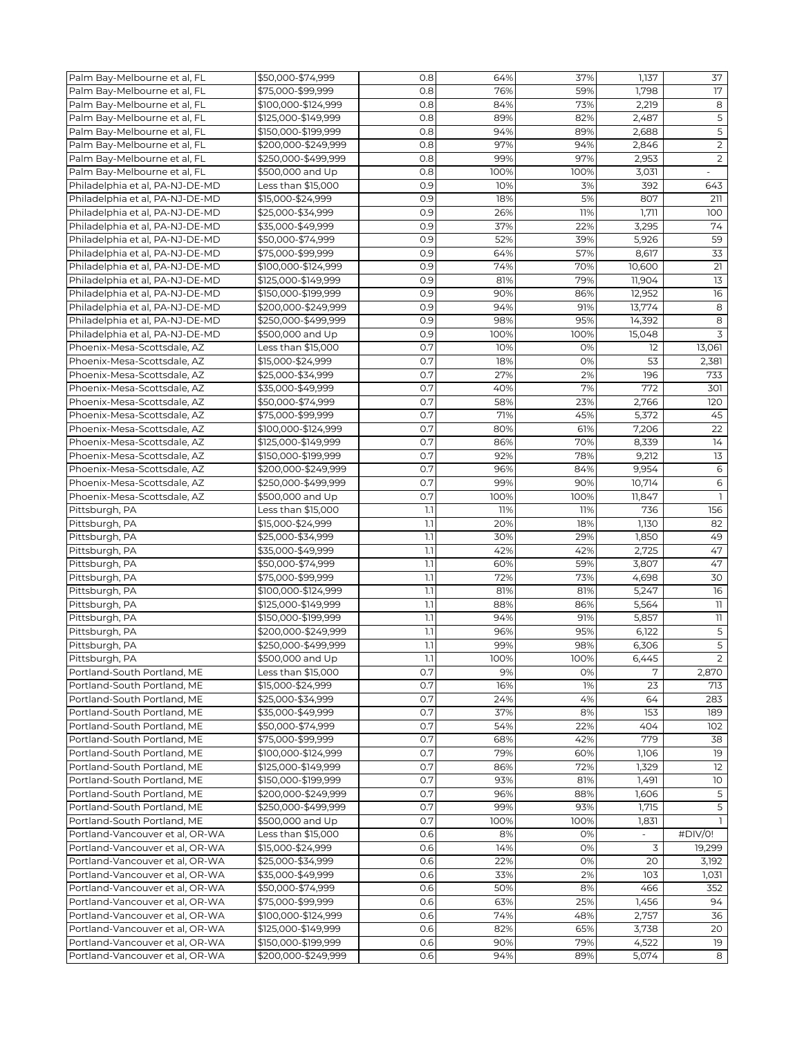| Palm Bay-Melbourne et al, FL    | \$50,000-\$74,999   | 0.8              | 64%  | 37%  | 1,137      | 37                      |
|---------------------------------|---------------------|------------------|------|------|------------|-------------------------|
| Palm Bay-Melbourne et al, FL    | \$75,000-\$99,999   | 0.8              | 76%  | 59%  | 1,798      | 17                      |
| Palm Bay-Melbourne et al, FL    | \$100,000-\$124,999 | 0.8              | 84%  | 73%  | 2,219      | 8                       |
| Palm Bay-Melbourne et al, FL    | \$125,000-\$149,999 | 0.8              | 89%  | 82%  | 2,487      | $\overline{5}$          |
|                                 |                     |                  |      |      |            | $\overline{5}$          |
| Palm Bay-Melbourne et al, FL    | \$150,000-\$199,999 | 0.8              | 94%  | 89%  | 2,688      |                         |
| Palm Bay-Melbourne et al, FL    | \$200,000-\$249,999 | 0.8              | 97%  | 94%  | 2,846      | $\overline{2}$          |
| Palm Bay-Melbourne et al, FL    | \$250,000-\$499,999 | 0.8              | 99%  | 97%  | 2,953      | $\overline{2}$          |
| Palm Bay-Melbourne et al, FL    | \$500,000 and Up    | 0.8              | 100% | 100% | 3,031      |                         |
| Philadelphia et al, PA-NJ-DE-MD | Less than \$15,000  | 0.9              | 10%  | 3%   | 392        | 643                     |
| Philadelphia et al, PA-NJ-DE-MD | \$15,000-\$24,999   | 0.9              | 18%  | 5%   | 807        | 211                     |
| Philadelphia et al, PA-NJ-DE-MD | \$25,000-\$34,999   | 0.9              | 26%  | 11%  | 1,711      | 100                     |
| Philadelphia et al, PA-NJ-DE-MD | \$35,000-\$49,999   | 0.9              | 37%  | 22%  | 3,295      | 74                      |
|                                 |                     |                  |      |      |            | 59                      |
| Philadelphia et al, PA-NJ-DE-MD | \$50,000-\$74,999   | 0.9              | 52%  | 39%  | 5,926      |                         |
| Philadelphia et al, PA-NJ-DE-MD | \$75,000-\$99.999   | 0.9              | 64%  | 57%  | 8,617      | 33                      |
| Philadelphia et al, PA-NJ-DE-MD | \$100,000-\$124,999 | 0.9              | 74%  | 70%  | 10,600     | 21                      |
| Philadelphia et al, PA-NJ-DE-MD | \$125,000-\$149,999 | 0.9              | 81%  | 79%  | 11,904     | 13                      |
| Philadelphia et al, PA-NJ-DE-MD | \$150,000-\$199,999 | 0.9              | 90%  | 86%  | 12,952     | 16                      |
| Philadelphia et al, PA-NJ-DE-MD | \$200,000-\$249,999 | 0.9              | 94%  | 91%  | 13,774     | 8                       |
| Philadelphia et al, PA-NJ-DE-MD | \$250,000-\$499,999 | 0.9              | 98%  | 95%  | 14,392     | 8                       |
| Philadelphia et al, PA-NJ-DE-MD | \$500,000 and Up    | 0.9              | 100% | 100% | 15,048     | 3                       |
|                                 |                     |                  |      |      |            |                         |
| Phoenix-Mesa-Scottsdale, AZ     | Less than \$15,000  | 0.7              | 10%  | 0%   | 12         | 13,061                  |
| Phoenix-Mesa-Scottsdale, AZ     | \$15,000-\$24,999   | 0.7              | 18%  | 0%   | 53         | 2,381                   |
| Phoenix-Mesa-Scottsdale, AZ     | \$25,000-\$34,999   | 0.7              | 27%  | 2%   | 196        | 733                     |
| Phoenix-Mesa-Scottsdale, AZ     | \$35,000-\$49,999   | 0.7              | 40%  | 7%   | 772        | 301                     |
| Phoenix-Mesa-Scottsdale, AZ     | \$50,000-\$74,999   | 0.7              | 58%  | 23%  | 2,766      | 120                     |
| Phoenix-Mesa-Scottsdale, AZ     | \$75,000-\$99,999   | 0.7              | 71%  | 45%  | 5,372      | 45                      |
| Phoenix-Mesa-Scottsdale, AZ     | \$100,000-\$124,999 | 0.7              | 80%  | 61%  | 7,206      | 22                      |
|                                 |                     | 0.7              |      |      | 8,339      |                         |
| Phoenix-Mesa-Scottsdale, AZ     | \$125,000-\$149,999 |                  | 86%  | 70%  |            | 14                      |
| Phoenix-Mesa-Scottsdale, AZ     | \$150,000-\$199,999 | 0.7              | 92%  | 78%  | 9,212      | 13                      |
| Phoenix-Mesa-Scottsdale, AZ     | \$200,000-\$249,999 | 0.7              | 96%  | 84%  | 9,954      | $\epsilon$              |
| Phoenix-Mesa-Scottsdale, AZ     | \$250,000-\$499,999 | 0.7              | 99%  | 90%  | 10,714     | 6                       |
| Phoenix-Mesa-Scottsdale, AZ     | \$500,000 and Up    | 0.7              | 100% | 100% | 11,847     | $\mathbf{1}$            |
| Pittsburgh, PA                  | Less than \$15,000  | 1.1              | 11%  | 11%  | 736        | 156                     |
| Pittsburgh, PA                  | \$15,000-\$24,999   | 1.1              | 20%  | 18%  | 1,130      | 82                      |
| Pittsburgh, PA                  | \$25,000-\$34,999   | 1.1              | 30%  | 29%  | 1,850      | 49                      |
| Pittsburgh, PA                  | \$35,000-\$49,999   | 1.1              | 42%  | 42%  | 2,725      | 47                      |
|                                 |                     |                  |      |      |            |                         |
| Pittsburgh, PA                  | \$50,000-\$74,999   | 1.1              | 60%  | 59%  | 3,807      | 47                      |
| Pittsburgh, PA                  | \$75,000-\$99,999   | $\overline{1.1}$ | 72%  | 73%  | 4,698      | 30                      |
| Pittsburgh, PA                  | \$100,000-\$124,999 | 1.1              | 81%  | 81%  | 5,247      | 16                      |
| Pittsburgh, PA                  | \$125,000-\$149,999 | 1.1              | 88%  | 86%  | 5,564      | $\overline{\mathbf{1}}$ |
| Pittsburgh, PA                  | \$150,000-\$199,999 | 1.1              | 94%  | 91%  | 5,857      | 11                      |
| Pittsburgh, PA                  | \$200,000-\$249,999 | 1.1              | 96%  | 95%  | 6,122      | $\mathsf S$             |
| Pittsburgh, PA                  | \$250,000-\$499,999 | 1.1              | 99%  | 98%  | 6,306      | 5                       |
|                                 |                     |                  | 100% | 100% |            | 2                       |
| Pittsburgh, PA                  | \$500,000 and Up    | .                |      |      | 6,445<br>7 |                         |
| Portland-South Portland, ME     | Less than \$15,000  | 0.7              | 9%   | 0%   |            | 2,870                   |
| Portland-South Portland, ME     | \$15,000-\$24,999   | 0.7              | 16%  | 1%   | 23         | 713                     |
| Portland-South Portland, ME     | \$25,000-\$34,999   | 0.7              | 24%  | 4%   | 64         | 283                     |
| Portland-South Portland, ME     | \$35,000-\$49,999   | 0.7              | 37%  | 8%   | 153        | 189                     |
| Portland-South Portland, ME     | \$50,000-\$74,999   | 0.7              | 54%  | 22%  | 404        | 102                     |
| Portland-South Portland, ME     | \$75,000-\$99,999   | 0.7              | 68%  | 42%  | 779        | 38                      |
| Portland-South Portland, ME     | \$100,000-\$124,999 | 0.7              | 79%  | 60%  | 1,106      | 19                      |
| Portland-South Portland, ME     | \$125,000-\$149,999 | 0.7              | 86%  | 72%  | 1,329      | 12                      |
| Portland-South Portland, ME     | \$150,000-\$199,999 | 0.7              | 93%  | 81%  | 1,491      | 10 <sup>°</sup>         |
|                                 |                     |                  |      |      |            |                         |
| Portland-South Portland, ME     | \$200,000-\$249,999 | 0.7              | 96%  | 88%  | 1,606      | 5                       |
| Portland-South Portland, ME     | \$250,000-\$499,999 | 0.7              | 99%  | 93%  | 1,715      | 5                       |
| Portland-South Portland, ME     | \$500,000 and Up    | 0.7              | 100% | 100% | 1,831      | $\mathbf{1}$            |
| Portland-Vancouver et al, OR-WA | Less than \$15,000  | 0.6              | 8%   | 0%   | $\sim$     | #DIV/O!                 |
| Portland-Vancouver et al, OR-WA | \$15,000-\$24,999   | 0.6              | 14%  | 0%   | 3          | 19,299                  |
| Portland-Vancouver et al, OR-WA | \$25,000-\$34,999   | 0.6              | 22%  | 0%   | 20         | 3,192                   |
| Portland-Vancouver et al, OR-WA | \$35,000-\$49,999   | 0.6              | 33%  | 2%   | 103        | 1,031                   |
| Portland-Vancouver et al, OR-WA | \$50,000-\$74,999   | 0.6              | 50%  | 8%   | 466        | 352                     |
|                                 |                     |                  |      |      |            |                         |
| Portland-Vancouver et al, OR-WA | \$75,000-\$99,999   | 0.6              | 63%  | 25%  | 1,456      | 94                      |
| Portland-Vancouver et al, OR-WA | \$100,000-\$124,999 | 0.6              | 74%  | 48%  | 2,757      | 36                      |
| Portland-Vancouver et al, OR-WA | \$125,000-\$149,999 | 0.6              | 82%  | 65%  | 3,738      | 20                      |
| Portland-Vancouver et al, OR-WA | \$150,000-\$199,999 | 0.6              | 90%  | 79%  | 4,522      | 19                      |
| Portland-Vancouver et al, OR-WA | \$200,000-\$249,999 | 0.6              | 94%  | 89%  | 5,074      | 8                       |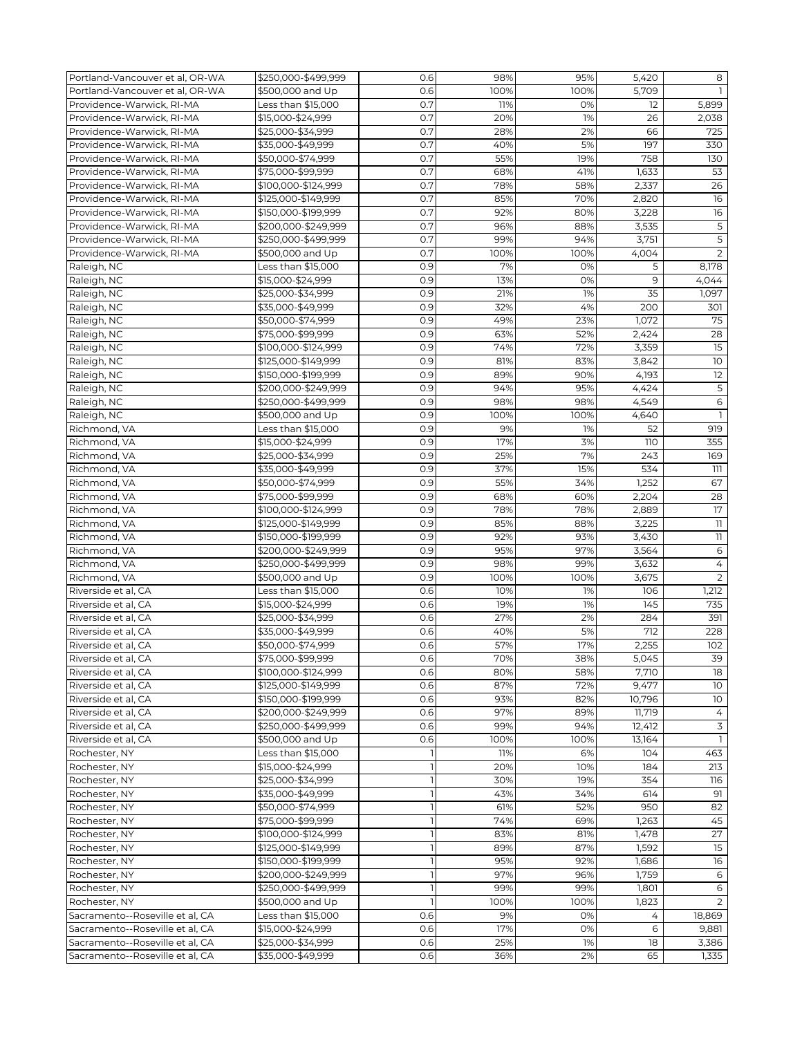| Portland-Vancouver et al, OR-WA | \$250,000-\$499,999 | 0.6 | 98%  | 95%  | 5,420  | 8                       |
|---------------------------------|---------------------|-----|------|------|--------|-------------------------|
| Portland-Vancouver et al, OR-WA | \$500,000 and Up    | 0.6 | 100% | 100% | 5,709  | $\mathbf{1}$            |
| Providence-Warwick, RI-MA       | Less than \$15,000  | 0.7 | 11%  | 0%   | 12     | 5,899                   |
| Providence-Warwick, RI-MA       | \$15,000-\$24,999   | 0.7 | 20%  | 1%   | 26     | 2,038                   |
| Providence-Warwick, RI-MA       | \$25,000-\$34,999   | 0.7 | 28%  | 2%   | 66     | 725                     |
| Providence-Warwick, RI-MA       | \$35,000-\$49,999   | 0.7 | 40%  | 5%   | 197    | 330                     |
| Providence-Warwick, RI-MA       | \$50,000-\$74,999   | 0.7 | 55%  | 19%  | 758    | 130                     |
| Providence-Warwick, RI-MA       | \$75,000-\$99,999   | 0.7 | 68%  | 41%  | 1,633  | 53                      |
|                                 |                     |     | 78%  |      |        |                         |
| Providence-Warwick, RI-MA       | \$100,000-\$124,999 | 0.7 |      | 58%  | 2,337  | 26                      |
| Providence-Warwick, RI-MA       | \$125,000-\$149,999 | 0.7 | 85%  | 70%  | 2,820  | 16                      |
| Providence-Warwick, RI-MA       | \$150,000-\$199,999 | 0.7 | 92%  | 80%  | 3,228  | 16                      |
| Providence-Warwick, RI-MA       | \$200,000-\$249,999 | 0.7 | 96%  | 88%  | 3,535  | $\mathsf S$             |
| Providence-Warwick, RI-MA       | \$250,000-\$499,999 | 0.7 | 99%  | 94%  | 3,751  | 5                       |
| Providence-Warwick, RI-MA       | \$500,000 and Up    | 0.7 | 100% | 100% | 4,004  | 2                       |
| Raleigh, NC                     | Less than \$15,000  | 0.9 | 7%   | 0%   | 5      | 8,178                   |
| Raleigh, NC                     | \$15,000-\$24,999   | 0.9 | 13%  | 0%   | 9      | 4,044                   |
| Raleigh, NC                     | \$25,000-\$34,999   | 0.9 | 21%  | 1%   | 35     | 1,097                   |
| Raleigh, NC                     | \$35,000-\$49,999   | 0.9 | 32%  | 4%   | 200    | 301                     |
| Raleigh, NC                     | \$50,000-\$74,999   | 0.9 | 49%  | 23%  | 1,072  | 75                      |
| Raleigh, NC                     | \$75,000-\$99,999   | 0.9 | 63%  | 52%  | 2,424  | 28                      |
| Raleigh, NC                     | \$100,000-\$124,999 | 0.9 | 74%  | 72%  | 3,359  | 15                      |
| Raleigh, NC                     | \$125,000-\$149,999 | 0.9 | 81%  | 83%  | 3,842  | 10                      |
| Raleigh, NC                     | \$150,000-\$199,999 | 0.9 | 89%  | 90%  | 4,193  | 12                      |
|                                 |                     |     |      |      |        |                         |
| Raleigh, NC                     | \$200,000-\$249,999 | 0.9 | 94%  | 95%  | 4,424  | $\overline{5}$          |
| Raleigh, NC                     | \$250,000-\$499,999 | 0.9 | 98%  | 98%  | 4,549  | $\epsilon$              |
| Raleigh, NC                     | \$500,000 and Up    | 0.9 | 100% | 100% | 4,640  | 1                       |
| Richmond, VA                    | Less than \$15,000  | 0.9 | 9%   | 1%   | 52     | 919                     |
| Richmond, VA                    | \$15,000-\$24,999   | 0.9 | 17%  | 3%   | 110    | 355                     |
| Richmond, VA                    | \$25,000-\$34,999   | 0.9 | 25%  | 7%   | 243    | 169                     |
| Richmond, VA                    | \$35,000-\$49,999   | 0.9 | 37%  | 15%  | 534    | 111                     |
| Richmond, VA                    | \$50,000-\$74,999   | 0.9 | 55%  | 34%  | 1,252  | 67                      |
| Richmond, VA                    | \$75,000-\$99,999   | 0.9 | 68%  | 60%  | 2,204  | 28                      |
| Richmond, VA                    | \$100,000-\$124,999 | 0.9 | 78%  | 78%  | 2,889  | 17                      |
| Richmond, VA                    | \$125,000-\$149,999 | 0.9 | 85%  | 88%  | 3,225  | $\overline{\mathbb{1}}$ |
| Richmond, VA                    | \$150,000-\$199,999 | 0.9 | 92%  | 93%  | 3,430  | 11                      |
| Richmond, VA                    | \$200,000-\$249,999 | 0.9 | 95%  | 97%  | 3,564  | 6                       |
| Richmond, VA                    | \$250,000-\$499,999 | 0.9 | 98%  | 99%  | 3,632  | $\overline{4}$          |
| Richmond, VA                    | \$500,000 and Up    | 0.9 | 100% | 100% | 3,675  | $\overline{2}$          |
| Riverside et al, CA             | Less than \$15,000  | 0.6 | 10%  | 1%   | 106    | 1,212                   |
|                                 |                     |     |      |      |        |                         |
| Riverside et al, CA             | \$15,000-\$24,999   | 0.6 | 19%  | 1%   | 145    | 735                     |
| Riverside et al, CA             | \$25,000-\$34,999   | 0.6 | 27%  | 2%   | 284    | 391                     |
| Riverside et al, CA             | \$35,000-\$49,999   | 0.6 | 40%  | 5%   | 712    | 228                     |
| Riverside et al, CA             | \$50,000-\$74,999   | 0.6 | 57%  | 17%  | 2,255  | 102                     |
| Riverside et al, CA             | \$75,000-\$99,999   | 0.6 | 70%  | 38%  | 5,045  | 39                      |
| Riverside et al, CA             | \$100,000-\$124,999 | 0.6 | 80%  | 58%  | 7,710  | 18                      |
| Riverside et al, CA             | \$125,000-\$149,999 | 0.6 | 87%  | 72%  | 9,477  | 10                      |
| Riverside et al, CA             | \$150,000-\$199,999 | 0.6 | 93%  | 82%  | 10,796 | 10                      |
| Riverside et al, CA             | \$200,000-\$249,999 | 0.6 | 97%  | 89%  | 11,719 | 4                       |
| Riverside et al, CA             | \$250,000-\$499,999 | 0.6 | 99%  | 94%  | 12,412 | $\overline{3}$          |
| Riverside et al, CA             | \$500,000 and Up    | 0.6 | 100% | 100% | 13,164 | $\mathbf{1}$            |
| Rochester, NY                   | Less than \$15,000  |     | 11%  | 6%   | 104    | 463                     |
| Rochester, NY                   | \$15,000-\$24,999   |     | 20%  | 10%  | 184    | 213                     |
| Rochester, NY                   | \$25,000-\$34,999   |     | 30%  | 19%  | 354    | 116                     |
| Rochester, NY                   | \$35,000-\$49,999   |     | 43%  | 34%  | 614    | 91                      |
| Rochester, NY                   | \$50,000-\$74,999   |     | 61%  | 52%  | 950    | 82                      |
|                                 |                     |     | 74%  |      |        | 45                      |
| Rochester, NY                   | \$75,000-\$99,999   |     |      | 69%  | 1,263  |                         |
| Rochester, NY                   | \$100,000-\$124,999 |     | 83%  | 81%  | 1,478  | 27                      |
| Rochester, NY                   | \$125,000-\$149,999 |     | 89%  | 87%  | 1,592  | 15                      |
| Rochester, NY                   | \$150,000-\$199,999 |     | 95%  | 92%  | 1,686  | 16                      |
| Rochester, NY                   | \$200,000-\$249,999 |     | 97%  | 96%  | 1,759  | 6                       |
| Rochester, NY                   | \$250,000-\$499,999 |     | 99%  | 99%  | 1,801  | 6                       |
| Rochester, NY                   | \$500,000 and Up    |     | 100% | 100% | 1,823  | 2                       |
| Sacramento--Roseville et al, CA | Less than \$15,000  | 0.6 | 9%   | 0%   | 4      | 18,869                  |
| Sacramento--Roseville et al, CA | \$15,000-\$24,999   | 0.6 | 17%  | 0%   | 6      | 9,881                   |
| Sacramento--Roseville et al, CA | \$25,000-\$34,999   | 0.6 | 25%  | 1%   | 18     | 3,386                   |
| Sacramento--Roseville et al, CA | \$35,000-\$49,999   | 0.6 | 36%  | 2%   | 65     | 1,335                   |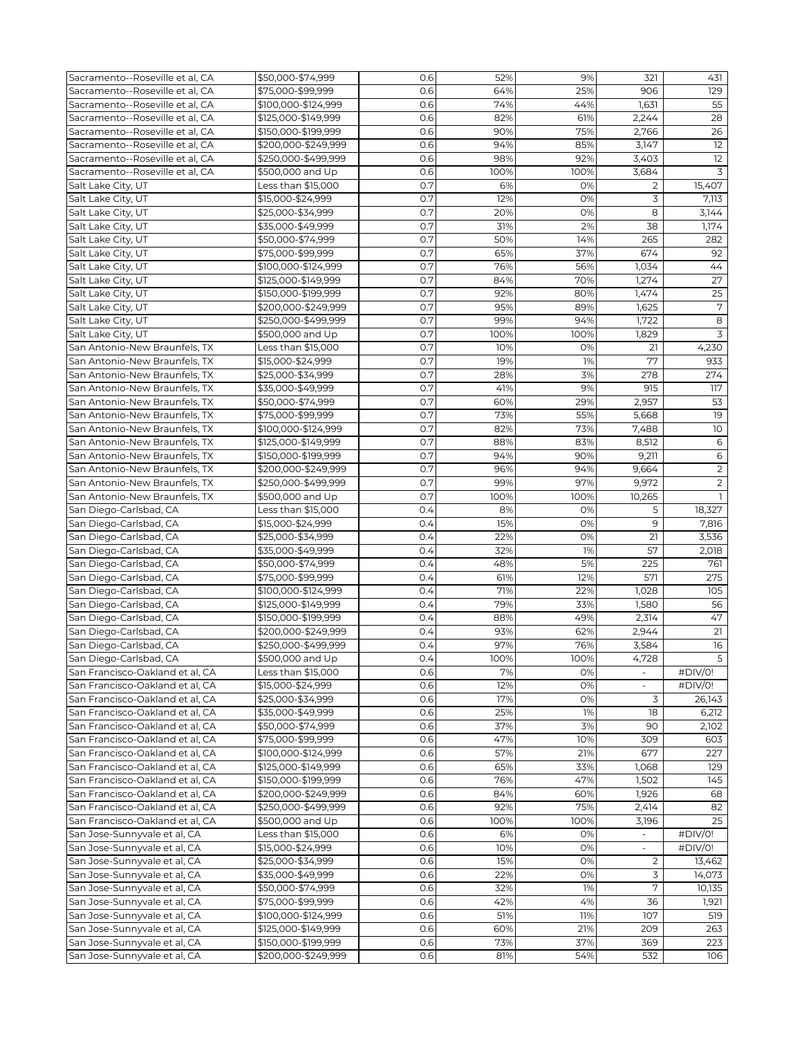| Sacramento--Roseville et al, CA | \$50,000-\$74.999   | 0.6 | 52%  | 9%   | 321                      | 431             |
|---------------------------------|---------------------|-----|------|------|--------------------------|-----------------|
| Sacramento--Roseville et al, CA | \$75,000-\$99,999   | 0.6 | 64%  | 25%  | 906                      | 129             |
| Sacramento--Roseville et al. CA |                     |     |      |      |                          | 55              |
|                                 | \$100,000-\$124,999 | 0.6 | 74%  | 44%  | 1,631                    |                 |
| Sacramento--Roseville et al, CA | \$125,000-\$149,999 | 0.6 | 82%  | 61%  | 2,244                    | 28              |
| Sacramento--Roseville et al, CA | \$150,000-\$199,999 | 0.6 | 90%  | 75%  | 2,766                    | 26              |
| Sacramento--Roseville et al, CA | \$200,000-\$249,999 | 0.6 | 94%  | 85%  | 3,147                    | $\overline{12}$ |
| Sacramento--Roseville et al. CA | \$250,000-\$499,999 | 0.6 | 98%  | 92%  | 3,403                    | 12              |
| Sacramento--Roseville et al, CA | \$500,000 and Up    | 0.6 | 100% | 100% | 3,684                    | 3               |
| Salt Lake City, UT              | Less than \$15,000  | 0.7 | 6%   | 0%   | $\overline{2}$           | 15,407          |
|                                 |                     |     |      |      |                          |                 |
| Salt Lake City, UT              | \$15,000-\$24,999   | 0.7 | 12%  | 0%   | 3                        | 7,113           |
| Salt Lake City, UT              | \$25,000-\$34,999   | 0.7 | 20%  | 0%   | 8                        | 3,144           |
| Salt Lake City, UT              | \$35,000-\$49,999   | 0.7 | 31%  | 2%   | 38                       | 1,174           |
| Salt Lake City, UT              | \$50,000-\$74,999   | 0.7 | 50%  | 14%  | 265                      | 282             |
| Salt Lake City, UT              | \$75,000-\$99,999   | 0.7 | 65%  | 37%  | 674                      | 92              |
| Salt Lake City, UT              | \$100,000-\$124,999 | 0.7 | 76%  | 56%  | 1,034                    | 44              |
| Salt Lake City, UT              | \$125,000-\$149,999 | 0.7 | 84%  | 70%  | 1,274                    | 27              |
|                                 |                     |     |      |      |                          |                 |
| Salt Lake City, UT              | \$150,000-\$199,999 | 0.7 | 92%  | 80%  | 1,474                    | $\overline{25}$ |
| Salt Lake City, UT              | \$200,000-\$249,999 | 0.7 | 95%  | 89%  | 1,625                    | $\overline{7}$  |
| Salt Lake City, UT              | \$250,000-\$499,999 | 0.7 | 99%  | 94%  | 1,722                    | 8               |
| Salt Lake City, UT              | \$500,000 and Up    | 0.7 | 100% | 100% | 1,829                    | 3               |
| San Antonio-New Braunfels, TX   | Less than \$15,000  | 0.7 | 10%  | 0%   | 21                       | 4,230           |
| San Antonio-New Braunfels, TX   | \$15,000-\$24,999   | 0.7 | 19%  | 1%   | 77                       | 933             |
|                                 |                     | 0.7 | 28%  | 3%   | 278                      | 274             |
| San Antonio-New Braunfels, TX   | \$25,000-\$34,999   |     |      |      |                          |                 |
| San Antonio-New Braunfels, TX   | \$35,000-\$49,999   | 0.7 | 41%  | 9%   | 915                      | 117             |
| San Antonio-New Braunfels, TX   | \$50,000-\$74,999   | 0.7 | 60%  | 29%  | 2,957                    | 53              |
| San Antonio-New Braunfels, TX   | \$75,000-\$99,999   | 0.7 | 73%  | 55%  | 5.668                    | 19              |
| San Antonio-New Braunfels, TX   | \$100,000-\$124,999 | 0.7 | 82%  | 73%  | 7,488                    | 10              |
| San Antonio-New Braunfels, TX   | \$125,000-\$149,999 | 0.7 | 88%  | 83%  | 8,512                    | 6               |
| San Antonio-New Braunfels, TX   | \$150,000-\$199,999 | 0.7 | 94%  | 90%  | 9,211                    | 6               |
|                                 |                     |     |      |      |                          |                 |
| San Antonio-New Braunfels, TX   | \$200,000-\$249,999 | 0.7 | 96%  | 94%  | 9,664                    | $\overline{2}$  |
| San Antonio-New Braunfels, TX   | \$250,000-\$499,999 | 0.7 | 99%  | 97%  | 9,972                    | $\overline{2}$  |
| San Antonio-New Braunfels, TX   | \$500,000 and Up    | 0.7 | 100% | 100% | 10,265                   |                 |
| San Diego-Carlsbad, CA          | Less than \$15,000  | 0.4 | 8%   | 0%   | 5                        | 18,327          |
| San Diego-Carlsbad, CA          | \$15,000-\$24,999   | 0.4 | 15%  | 0%   | 9                        | 7,816           |
| San Diego-Carlsbad, CA          | \$25,000-\$34,999   | 0.4 | 22%  | 0%   | 21                       | 3,536           |
| San Diego-Carlsbad, CA          | \$35,000-\$49,999   | 0.4 | 32%  | 1%   | 57                       | 2,018           |
|                                 |                     |     |      |      |                          |                 |
| San Diego-Carlsbad, CA          | \$50,000-\$74,999   | 0.4 | 48%  | 5%   | 225                      | 761             |
| San Diego-Carlsbad, CA          | \$75,000-\$99,999   | 0.4 | 61%  | 12%  | 571                      | 275             |
| San Diego-Carlsbad, CA          | \$100,000-\$124,999 | 0.4 | 71%  | 22%  | 1,028                    | 105             |
| San Diego-Carlsbad, CA          | \$125,000-\$149,999 | 0.4 | 79%  | 33%  | 1,580                    | 56              |
| San Diego-Carlsbad, CA          | \$150,000-\$199,999 | 0.4 | 88%  | 49%  | 2,314                    | 47              |
| San Diego-Carlsbad, CA          | \$200,000-\$249,999 | 0.4 | 93%  | 62%  | 2,944                    | 21              |
| San Diego-Carlsbad, CA          | \$250,000-\$499,999 | 0.4 | 97%  | 76%  | 3,584                    | 16              |
|                                 |                     |     |      |      |                          |                 |
| San Diego-Carlsbad, CA          | \$500,000 and Up    | 0.4 | 100% | 100% | 4,728                    | $\overline{5}$  |
| San Francisco-Oakland et al, CA | Less than \$15,000  | 0.6 | 7%   | 0%   |                          | #DIV/0!         |
| San Francisco-Oakland et al, CA | \$15,000-\$24,999   | 0.6 | 12%  | 0%   | $\overline{\phantom{a}}$ | #DIV/0!         |
| San Francisco-Oakland et al, CA | \$25,000-\$34,999   | 0.6 | 17%  | 0%   | 3                        | 26,143          |
| San Francisco-Oakland et al, CA | \$35,000-\$49,999   | 0.6 | 25%  | 1%   | 18                       | 6,212           |
| San Francisco-Oakland et al, CA | \$50,000-\$74,999   | 0.6 | 37%  | 3%   | 90                       | 2,102           |
| San Francisco-Oakland et al, CA | \$75,000-\$99,999   | 0.6 |      | 10%  | 309                      | 603             |
|                                 |                     |     | 47%  |      |                          |                 |
| San Francisco-Oakland et al, CA | \$100,000-\$124,999 | 0.6 | 57%  | 21%  | 677                      | 227             |
| San Francisco-Oakland et al, CA | \$125,000-\$149,999 | 0.6 | 65%  | 33%  | 1,068                    | 129             |
| San Francisco-Oakland et al, CA | \$150,000-\$199,999 | 0.6 | 76%  | 47%  | 1,502                    | 145             |
| San Francisco-Oakland et al, CA | \$200,000-\$249,999 | 0.6 | 84%  | 60%  | 1,926                    | 68              |
| San Francisco-Oakland et al, CA | \$250,000-\$499,999 | 0.6 | 92%  | 75%  | 2,414                    | 82              |
| San Francisco-Oakland et al, CA | \$500,000 and Up    | 0.6 | 100% | 100% | 3,196                    | 25              |
|                                 | Less than \$15,000  | 0.6 | 6%   | 0%   |                          |                 |
| San Jose-Sunnyvale et al, CA    |                     |     |      |      | $\sim$                   | #DIV/0!         |
| San Jose-Sunnyvale et al, CA    | \$15,000-\$24,999   | 0.6 | 10%  | 0%   |                          | #DIV/0!         |
| San Jose-Sunnyvale et al, CA    | \$25,000-\$34,999   | 0.6 | 15%  | 0%   | $\overline{2}$           | 13,462          |
| San Jose-Sunnyvale et al, CA    | \$35,000-\$49,999   | 0.6 | 22%  | 0%   | 3                        | 14,073          |
| San Jose-Sunnyvale et al, CA    | \$50,000-\$74,999   | 0.6 | 32%  | 1%   | 7                        | 10,135          |
| San Jose-Sunnyvale et al, CA    | \$75,000-\$99,999   | 0.6 | 42%  | 4%   | 36                       | 1,921           |
| San Jose-Sunnyvale et al, CA    | \$100,000-\$124,999 | 0.6 | 51%  | 11%  | 107                      | 519             |
| San Jose-Sunnyvale et al, CA    | \$125,000-\$149,999 | 0.6 | 60%  | 21%  | 209                      | 263             |
|                                 |                     |     |      |      |                          |                 |
| San Jose-Sunnyvale et al, CA    | \$150,000-\$199,999 | 0.6 | 73%  | 37%  | 369                      | 223             |
| San Jose-Sunnyvale et al, CA    | \$200,000-\$249,999 | 0.6 | 81%  | 54%  | 532                      | 106             |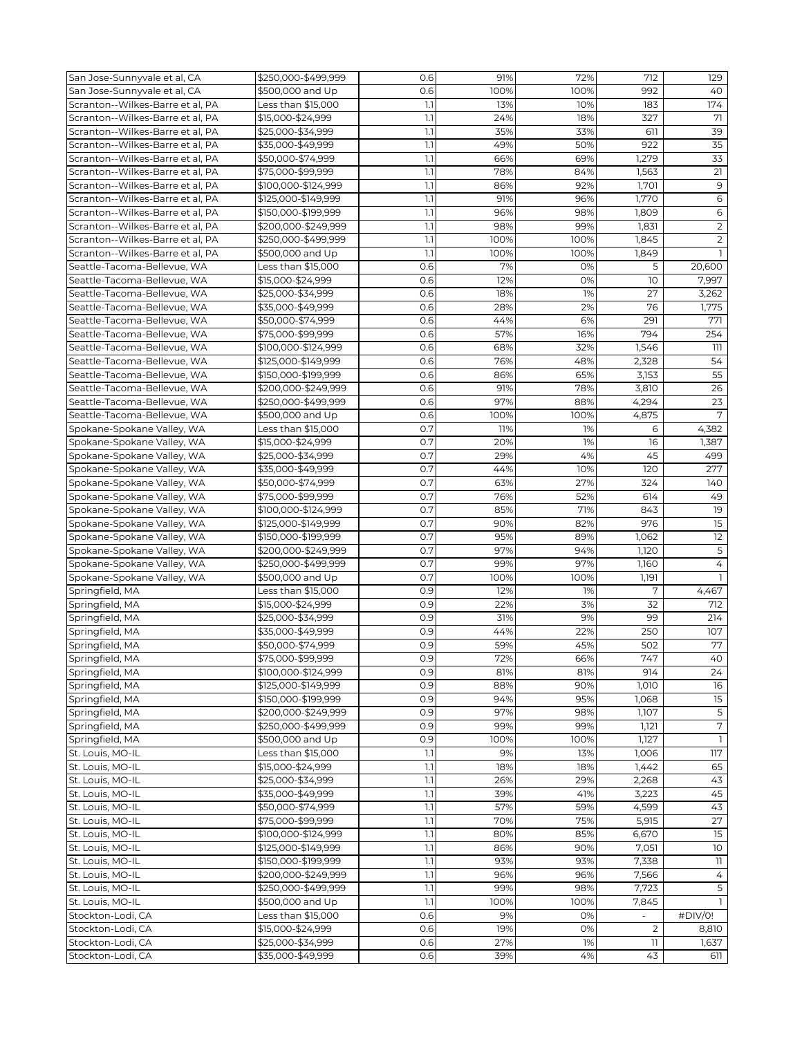| 992<br>San Jose-Sunnyvale et al, CA<br>\$500,000 and Up<br>0.6<br>100%<br>100%<br>40<br>Scranton--Wilkes-Barre et al, PA<br>174<br>Less than \$15,000<br>1.1<br>13%<br>10%<br>183<br>Scranton--Wilkes-Barre et al, PA<br>71<br>\$15,000-\$24,999<br>1.1<br>24%<br>18%<br>327<br>Scranton--Wilkes-Barre et al, PA<br>35%<br>39<br>\$25,000-\$34,999<br>1.1<br>33%<br>611<br>35<br>Scranton--Wilkes-Barre et al, PA<br>1.1<br>922<br>\$35,000-\$49,999<br>49%<br>50%<br>33<br>Scranton--Wilkes-Barre et al, PA<br>\$50,000-\$74,999<br>1.1<br>66%<br>69%<br>1,279<br>$\overline{21}$<br>Scranton--Wilkes-Barre et al, PA<br>1.1<br>78%<br>1,563<br>\$75,000-\$99,999<br>84%<br>$\mathsf 9$<br>Scranton--Wilkes-Barre et al, PA<br>1.1<br>86%<br>\$100,000-\$124,999<br>92%<br>1,701<br>Scranton--Wilkes-Barre et al, PA<br>1.1<br>6<br>\$125,000-\$149,999<br>91%<br>96%<br>1,770<br>Scranton--Wilkes-Barre et al. PA<br>\$150,000-\$199,999<br>1.1<br>96%<br>98%<br>1,809<br>6<br>$\overline{2}$<br>1.1<br>Scranton--Wilkes-Barre et al, PA<br>\$200,000-\$249,999<br>98%<br>99%<br>1,831<br>Scranton--Wilkes-Barre et al, PA<br>1.1<br>100%<br>$\overline{2}$<br>\$250,000-\$499,999<br>100%<br>1,845<br>Scranton--Wilkes-Barre et al, PA<br>\$500,000 and Up<br>1.1<br>100%<br>100%<br>1,849<br>Seattle-Tacoma-Bellevue, WA<br>Less than \$15,000<br>0.6<br>7%<br>20,600<br>0%<br>5<br>12%<br>0%<br>10<br>7,997<br>Seattle-Tacoma-Bellevue, WA<br>\$15,000-\$24,999<br>0.6<br>0.6<br>18%<br>1%<br>27<br>3,262<br>Seattle-Tacoma-Bellevue, WA<br>\$25,000-\$34,999<br>Seattle-Tacoma-Bellevue, WA<br>2%<br>\$35,000-\$49,999<br>0.6<br>28%<br>76<br>1,775<br>Seattle-Tacoma-Bellevue, WA<br>\$50,000-\$74,999<br>0.6<br>44%<br>6%<br>291<br>771<br>0.6<br>57%<br>16%<br>794<br>254<br>Seattle-Tacoma-Bellevue, WA<br>\$75,000-\$99,999<br>32%<br>1,546<br>111<br>Seattle-Tacoma-Bellevue, WA<br>\$100,000-\$124,999<br>0.6<br>68%<br>54<br>Seattle-Tacoma-Bellevue, WA<br>\$125,000-\$149,999<br>0.6<br>76%<br>48%<br>2,328<br>55<br>0.6<br>65%<br>3,153<br>Seattle-Tacoma-Bellevue, WA<br>\$150,000-\$199,999<br>86%<br>0.6<br>91%<br>78%<br>3,810<br>26<br>Seattle-Tacoma-Bellevue, WA<br>\$200,000-\$249,999<br>$\overline{23}$<br>Seattle-Tacoma-Bellevue, WA<br>4,294<br>\$250,000-\$499,999<br>0.6<br>97%<br>88%<br>7<br>Seattle-Tacoma-Bellevue, WA<br>\$500,000 and Up<br>0.6<br>100%<br>100%<br>4,875<br>Spokane-Spokane Valley, WA<br>0.7<br>4,382<br>Less than \$15,000<br>11%<br>1%<br>6<br>Spokane-Spokane Valley, WA<br>0.7<br>\$15,000-\$24,999<br>20%<br>1%<br>16<br>1,387<br>Spokane-Spokane Valley, WA<br>\$25,000-\$34,999<br>0.7<br>29%<br>4%<br>45<br>499<br>0.7<br>120<br>Spokane-Spokane Valley, WA<br>\$35,000-\$49,999<br>44%<br>10%<br>277<br>0.7<br>140<br>Spokane-Spokane Valley, WA<br>\$50,000-\$74,999<br>63%<br>27%<br>324<br>49<br>Spokane-Spokane Valley, WA<br>\$75,000-\$99,999<br>0.7<br>76%<br>52%<br>614<br>0.7<br>19<br>Spokane-Spokane Valley, WA<br>\$100,000-\$124,999<br>85%<br>71%<br>843<br>$\overline{15}$<br>0.7<br>90%<br>82%<br>976<br>Spokane-Spokane Valley, WA<br>\$125,000-\$149,999<br>12<br>Spokane-Spokane Valley, WA<br>\$150,000-\$199,999<br>0.7<br>95%<br>89%<br>1,062<br>Spokane-Spokane Valley, WA<br>\$200,000-\$249,999<br>0.7<br>97%<br>94%<br>1,120<br>5<br>0.7<br>4<br>Spokane-Spokane Valley, WA<br>\$250,000-\$499,999<br>99%<br>97%<br>1,160<br>0.7<br>100%<br>Spokane-Spokane Valley, WA<br>\$500,000 and Up<br>100%<br>1,191<br>7<br>Springfield, MA<br>Less than \$15,000<br>0.9<br>1%<br>4,467<br>12%<br>0.9<br>22%<br>3%<br>32<br>Springfield, MA<br>\$15,000-\$24,999<br>712<br>0.9<br>31%<br>9%<br>99<br>\$25,000-\$34,999<br>214<br>Springfield, MA<br>107<br>\$35,000-\$49,999<br>0.9<br>44%<br>22%<br>250<br>Springfield, MA<br>77<br>\$50,000-\$74,999<br>0.9<br>59%<br>45%<br>Springfield, MA<br>502<br>40<br>66%<br>747<br>\$75,000-\$99,999<br>Springfield, MA<br>72%<br>0.9<br>81%<br>914<br>24<br>Springfield, MA<br>\$100,000-\$124,999<br>0.9<br>81%<br>88%<br>90%<br>Springfield, MA<br>\$125,000-\$149,999<br>0.9<br>1,010<br>16<br>Springfield, MA<br>\$150,000-\$199,999<br>0.9<br>94%<br>95%<br>1,068<br>15<br>97%<br>$\overline{5}$<br>0.9<br>98%<br>1,107<br>\$200,000-\$249,999<br>Springfield, MA<br>$\overline{7}$<br>0.9<br>99%<br>99%<br>Springfield, MA<br>\$250,000-\$499,999<br>1,121<br>0.9<br>$\mathbf{1}$<br>Springfield, MA<br>\$500,000 and Up<br>100%<br>100%<br>1,127<br>9%<br>13%<br>117<br>St. Louis, MO-IL<br>Less than \$15,000<br>1.1<br>1,006<br>1.1<br>18%<br>65<br>St. Louis, MO-IL<br>\$15,000-\$24,999<br>18%<br>1,442<br>\$25,000-\$34,999<br>43<br>St. Louis, MO-IL<br>1.1<br>26%<br>29%<br>2,268<br>45<br>St. Louis, MO-IL<br>\$35,000-\$49,999<br>1.1<br>39%<br>41%<br>3,223<br>57%<br>43<br>1.1<br>59%<br>4,599<br>St. Louis, MO-IL<br>\$50,000-\$74,999<br>1.1<br>70%<br>75%<br>5,915<br>27<br>St. Louis, MO-IL<br>\$75,000-\$99,999<br>$\overline{15}$<br>6,670<br>St. Louis, MO-IL<br>\$100,000-\$124,999<br>1.1<br>80%<br>85%<br>$10$<br>1.1<br>7,051<br>St. Louis, MO-IL<br>\$125,000-\$149,999<br>86%<br>90%<br>1.1<br>93%<br>93%<br>7,338<br>11<br>St. Louis, MO-IL<br>\$150,000-\$199,999<br>1.1<br>96%<br>St. Louis, MO-IL<br>\$200,000-\$249,999<br>96%<br>7,566<br>4<br>5<br>St. Louis, MO-IL<br>\$250,000-\$499,999<br>1.1<br>99%<br>98%<br>7,723<br>1.1<br>St. Louis, MO-IL<br>\$500,000 and Up<br>100%<br>100%<br>7,845<br>9%<br>Less than \$15,000<br>0.6<br>0%<br>#DIV/0!<br>Stockton-Lodi, CA<br>\$15,000-\$24,999<br>$\overline{2}$<br>Stockton-Lodi, CA<br>0.6<br>19%<br>0%<br>8,810<br>Stockton-Lodi, CA<br>\$25,000-\$34,999<br>0.6<br>27%<br>1%<br>1,637<br>11<br>0.6<br>4%<br>43<br>Stockton-Lodi, CA<br>\$35,000-\$49,999<br>611 | San Jose-Sunnyvale et al, CA | \$250,000-\$499,999 | 0.6 | 91% | 72% | 712 | 129 |
|----------------------------------------------------------------------------------------------------------------------------------------------------------------------------------------------------------------------------------------------------------------------------------------------------------------------------------------------------------------------------------------------------------------------------------------------------------------------------------------------------------------------------------------------------------------------------------------------------------------------------------------------------------------------------------------------------------------------------------------------------------------------------------------------------------------------------------------------------------------------------------------------------------------------------------------------------------------------------------------------------------------------------------------------------------------------------------------------------------------------------------------------------------------------------------------------------------------------------------------------------------------------------------------------------------------------------------------------------------------------------------------------------------------------------------------------------------------------------------------------------------------------------------------------------------------------------------------------------------------------------------------------------------------------------------------------------------------------------------------------------------------------------------------------------------------------------------------------------------------------------------------------------------------------------------------------------------------------------------------------------------------------------------------------------------------------------------------------------------------------------------------------------------------------------------------------------------------------------------------------------------------------------------------------------------------------------------------------------------------------------------------------------------------------------------------------------------------------------------------------------------------------------------------------------------------------------------------------------------------------------------------------------------------------------------------------------------------------------------------------------------------------------------------------------------------------------------------------------------------------------------------------------------------------------------------------------------------------------------------------------------------------------------------------------------------------------------------------------------------------------------------------------------------------------------------------------------------------------------------------------------------------------------------------------------------------------------------------------------------------------------------------------------------------------------------------------------------------------------------------------------------------------------------------------------------------------------------------------------------------------------------------------------------------------------------------------------------------------------------------------------------------------------------------------------------------------------------------------------------------------------------------------------------------------------------------------------------------------------------------------------------------------------------------------------------------------------------------------------------------------------------------------------------------------------------------------------------------------------------------------------------------------------------------------------------------------------------------------------------------------------------------------------------------------------------------------------------------------------------------------------------------------------------------------------------------------------------------------------------------------------------------------------------------------------------------------------------------------------------------------------------------------------------------------------------------------------------------------------------------------------------------------------------------------------------------------------------------------------------------------------------------------------------------------------------------------------------------------------------------------------------------------------------------------------------------------------------------------------------------------------------------------------------------------------------------------------------------------------------------------------------------------------------------------------------------------------------------------------------------------------------------------------------------------------------------------------------------------------------------------------------------------------------------------------------------------------------------------------------------------------------------------------------|------------------------------|---------------------|-----|-----|-----|-----|-----|
|                                                                                                                                                                                                                                                                                                                                                                                                                                                                                                                                                                                                                                                                                                                                                                                                                                                                                                                                                                                                                                                                                                                                                                                                                                                                                                                                                                                                                                                                                                                                                                                                                                                                                                                                                                                                                                                                                                                                                                                                                                                                                                                                                                                                                                                                                                                                                                                                                                                                                                                                                                                                                                                                                                                                                                                                                                                                                                                                                                                                                                                                                                                                                                                                                                                                                                                                                                                                                                                                                                                                                                                                                                                                                                                                                                                                                                                                                                                                                                                                                                                                                                                                                                                                                                                                                                                                                                                                                                                                                                                                                                                                                                                                                                                                                                                                                                                                                                                                                                                                                                                                                                                                                                                                                                                                                                                                                                                                                                                                                                                                                                                                                                                                                                                                                                                        |                              |                     |     |     |     |     |     |
|                                                                                                                                                                                                                                                                                                                                                                                                                                                                                                                                                                                                                                                                                                                                                                                                                                                                                                                                                                                                                                                                                                                                                                                                                                                                                                                                                                                                                                                                                                                                                                                                                                                                                                                                                                                                                                                                                                                                                                                                                                                                                                                                                                                                                                                                                                                                                                                                                                                                                                                                                                                                                                                                                                                                                                                                                                                                                                                                                                                                                                                                                                                                                                                                                                                                                                                                                                                                                                                                                                                                                                                                                                                                                                                                                                                                                                                                                                                                                                                                                                                                                                                                                                                                                                                                                                                                                                                                                                                                                                                                                                                                                                                                                                                                                                                                                                                                                                                                                                                                                                                                                                                                                                                                                                                                                                                                                                                                                                                                                                                                                                                                                                                                                                                                                                                        |                              |                     |     |     |     |     |     |
|                                                                                                                                                                                                                                                                                                                                                                                                                                                                                                                                                                                                                                                                                                                                                                                                                                                                                                                                                                                                                                                                                                                                                                                                                                                                                                                                                                                                                                                                                                                                                                                                                                                                                                                                                                                                                                                                                                                                                                                                                                                                                                                                                                                                                                                                                                                                                                                                                                                                                                                                                                                                                                                                                                                                                                                                                                                                                                                                                                                                                                                                                                                                                                                                                                                                                                                                                                                                                                                                                                                                                                                                                                                                                                                                                                                                                                                                                                                                                                                                                                                                                                                                                                                                                                                                                                                                                                                                                                                                                                                                                                                                                                                                                                                                                                                                                                                                                                                                                                                                                                                                                                                                                                                                                                                                                                                                                                                                                                                                                                                                                                                                                                                                                                                                                                                        |                              |                     |     |     |     |     |     |
|                                                                                                                                                                                                                                                                                                                                                                                                                                                                                                                                                                                                                                                                                                                                                                                                                                                                                                                                                                                                                                                                                                                                                                                                                                                                                                                                                                                                                                                                                                                                                                                                                                                                                                                                                                                                                                                                                                                                                                                                                                                                                                                                                                                                                                                                                                                                                                                                                                                                                                                                                                                                                                                                                                                                                                                                                                                                                                                                                                                                                                                                                                                                                                                                                                                                                                                                                                                                                                                                                                                                                                                                                                                                                                                                                                                                                                                                                                                                                                                                                                                                                                                                                                                                                                                                                                                                                                                                                                                                                                                                                                                                                                                                                                                                                                                                                                                                                                                                                                                                                                                                                                                                                                                                                                                                                                                                                                                                                                                                                                                                                                                                                                                                                                                                                                                        |                              |                     |     |     |     |     |     |
|                                                                                                                                                                                                                                                                                                                                                                                                                                                                                                                                                                                                                                                                                                                                                                                                                                                                                                                                                                                                                                                                                                                                                                                                                                                                                                                                                                                                                                                                                                                                                                                                                                                                                                                                                                                                                                                                                                                                                                                                                                                                                                                                                                                                                                                                                                                                                                                                                                                                                                                                                                                                                                                                                                                                                                                                                                                                                                                                                                                                                                                                                                                                                                                                                                                                                                                                                                                                                                                                                                                                                                                                                                                                                                                                                                                                                                                                                                                                                                                                                                                                                                                                                                                                                                                                                                                                                                                                                                                                                                                                                                                                                                                                                                                                                                                                                                                                                                                                                                                                                                                                                                                                                                                                                                                                                                                                                                                                                                                                                                                                                                                                                                                                                                                                                                                        |                              |                     |     |     |     |     |     |
|                                                                                                                                                                                                                                                                                                                                                                                                                                                                                                                                                                                                                                                                                                                                                                                                                                                                                                                                                                                                                                                                                                                                                                                                                                                                                                                                                                                                                                                                                                                                                                                                                                                                                                                                                                                                                                                                                                                                                                                                                                                                                                                                                                                                                                                                                                                                                                                                                                                                                                                                                                                                                                                                                                                                                                                                                                                                                                                                                                                                                                                                                                                                                                                                                                                                                                                                                                                                                                                                                                                                                                                                                                                                                                                                                                                                                                                                                                                                                                                                                                                                                                                                                                                                                                                                                                                                                                                                                                                                                                                                                                                                                                                                                                                                                                                                                                                                                                                                                                                                                                                                                                                                                                                                                                                                                                                                                                                                                                                                                                                                                                                                                                                                                                                                                                                        |                              |                     |     |     |     |     |     |
|                                                                                                                                                                                                                                                                                                                                                                                                                                                                                                                                                                                                                                                                                                                                                                                                                                                                                                                                                                                                                                                                                                                                                                                                                                                                                                                                                                                                                                                                                                                                                                                                                                                                                                                                                                                                                                                                                                                                                                                                                                                                                                                                                                                                                                                                                                                                                                                                                                                                                                                                                                                                                                                                                                                                                                                                                                                                                                                                                                                                                                                                                                                                                                                                                                                                                                                                                                                                                                                                                                                                                                                                                                                                                                                                                                                                                                                                                                                                                                                                                                                                                                                                                                                                                                                                                                                                                                                                                                                                                                                                                                                                                                                                                                                                                                                                                                                                                                                                                                                                                                                                                                                                                                                                                                                                                                                                                                                                                                                                                                                                                                                                                                                                                                                                                                                        |                              |                     |     |     |     |     |     |
|                                                                                                                                                                                                                                                                                                                                                                                                                                                                                                                                                                                                                                                                                                                                                                                                                                                                                                                                                                                                                                                                                                                                                                                                                                                                                                                                                                                                                                                                                                                                                                                                                                                                                                                                                                                                                                                                                                                                                                                                                                                                                                                                                                                                                                                                                                                                                                                                                                                                                                                                                                                                                                                                                                                                                                                                                                                                                                                                                                                                                                                                                                                                                                                                                                                                                                                                                                                                                                                                                                                                                                                                                                                                                                                                                                                                                                                                                                                                                                                                                                                                                                                                                                                                                                                                                                                                                                                                                                                                                                                                                                                                                                                                                                                                                                                                                                                                                                                                                                                                                                                                                                                                                                                                                                                                                                                                                                                                                                                                                                                                                                                                                                                                                                                                                                                        |                              |                     |     |     |     |     |     |
|                                                                                                                                                                                                                                                                                                                                                                                                                                                                                                                                                                                                                                                                                                                                                                                                                                                                                                                                                                                                                                                                                                                                                                                                                                                                                                                                                                                                                                                                                                                                                                                                                                                                                                                                                                                                                                                                                                                                                                                                                                                                                                                                                                                                                                                                                                                                                                                                                                                                                                                                                                                                                                                                                                                                                                                                                                                                                                                                                                                                                                                                                                                                                                                                                                                                                                                                                                                                                                                                                                                                                                                                                                                                                                                                                                                                                                                                                                                                                                                                                                                                                                                                                                                                                                                                                                                                                                                                                                                                                                                                                                                                                                                                                                                                                                                                                                                                                                                                                                                                                                                                                                                                                                                                                                                                                                                                                                                                                                                                                                                                                                                                                                                                                                                                                                                        |                              |                     |     |     |     |     |     |
|                                                                                                                                                                                                                                                                                                                                                                                                                                                                                                                                                                                                                                                                                                                                                                                                                                                                                                                                                                                                                                                                                                                                                                                                                                                                                                                                                                                                                                                                                                                                                                                                                                                                                                                                                                                                                                                                                                                                                                                                                                                                                                                                                                                                                                                                                                                                                                                                                                                                                                                                                                                                                                                                                                                                                                                                                                                                                                                                                                                                                                                                                                                                                                                                                                                                                                                                                                                                                                                                                                                                                                                                                                                                                                                                                                                                                                                                                                                                                                                                                                                                                                                                                                                                                                                                                                                                                                                                                                                                                                                                                                                                                                                                                                                                                                                                                                                                                                                                                                                                                                                                                                                                                                                                                                                                                                                                                                                                                                                                                                                                                                                                                                                                                                                                                                                        |                              |                     |     |     |     |     |     |
|                                                                                                                                                                                                                                                                                                                                                                                                                                                                                                                                                                                                                                                                                                                                                                                                                                                                                                                                                                                                                                                                                                                                                                                                                                                                                                                                                                                                                                                                                                                                                                                                                                                                                                                                                                                                                                                                                                                                                                                                                                                                                                                                                                                                                                                                                                                                                                                                                                                                                                                                                                                                                                                                                                                                                                                                                                                                                                                                                                                                                                                                                                                                                                                                                                                                                                                                                                                                                                                                                                                                                                                                                                                                                                                                                                                                                                                                                                                                                                                                                                                                                                                                                                                                                                                                                                                                                                                                                                                                                                                                                                                                                                                                                                                                                                                                                                                                                                                                                                                                                                                                                                                                                                                                                                                                                                                                                                                                                                                                                                                                                                                                                                                                                                                                                                                        |                              |                     |     |     |     |     |     |
|                                                                                                                                                                                                                                                                                                                                                                                                                                                                                                                                                                                                                                                                                                                                                                                                                                                                                                                                                                                                                                                                                                                                                                                                                                                                                                                                                                                                                                                                                                                                                                                                                                                                                                                                                                                                                                                                                                                                                                                                                                                                                                                                                                                                                                                                                                                                                                                                                                                                                                                                                                                                                                                                                                                                                                                                                                                                                                                                                                                                                                                                                                                                                                                                                                                                                                                                                                                                                                                                                                                                                                                                                                                                                                                                                                                                                                                                                                                                                                                                                                                                                                                                                                                                                                                                                                                                                                                                                                                                                                                                                                                                                                                                                                                                                                                                                                                                                                                                                                                                                                                                                                                                                                                                                                                                                                                                                                                                                                                                                                                                                                                                                                                                                                                                                                                        |                              |                     |     |     |     |     |     |
|                                                                                                                                                                                                                                                                                                                                                                                                                                                                                                                                                                                                                                                                                                                                                                                                                                                                                                                                                                                                                                                                                                                                                                                                                                                                                                                                                                                                                                                                                                                                                                                                                                                                                                                                                                                                                                                                                                                                                                                                                                                                                                                                                                                                                                                                                                                                                                                                                                                                                                                                                                                                                                                                                                                                                                                                                                                                                                                                                                                                                                                                                                                                                                                                                                                                                                                                                                                                                                                                                                                                                                                                                                                                                                                                                                                                                                                                                                                                                                                                                                                                                                                                                                                                                                                                                                                                                                                                                                                                                                                                                                                                                                                                                                                                                                                                                                                                                                                                                                                                                                                                                                                                                                                                                                                                                                                                                                                                                                                                                                                                                                                                                                                                                                                                                                                        |                              |                     |     |     |     |     |     |
|                                                                                                                                                                                                                                                                                                                                                                                                                                                                                                                                                                                                                                                                                                                                                                                                                                                                                                                                                                                                                                                                                                                                                                                                                                                                                                                                                                                                                                                                                                                                                                                                                                                                                                                                                                                                                                                                                                                                                                                                                                                                                                                                                                                                                                                                                                                                                                                                                                                                                                                                                                                                                                                                                                                                                                                                                                                                                                                                                                                                                                                                                                                                                                                                                                                                                                                                                                                                                                                                                                                                                                                                                                                                                                                                                                                                                                                                                                                                                                                                                                                                                                                                                                                                                                                                                                                                                                                                                                                                                                                                                                                                                                                                                                                                                                                                                                                                                                                                                                                                                                                                                                                                                                                                                                                                                                                                                                                                                                                                                                                                                                                                                                                                                                                                                                                        |                              |                     |     |     |     |     |     |
|                                                                                                                                                                                                                                                                                                                                                                                                                                                                                                                                                                                                                                                                                                                                                                                                                                                                                                                                                                                                                                                                                                                                                                                                                                                                                                                                                                                                                                                                                                                                                                                                                                                                                                                                                                                                                                                                                                                                                                                                                                                                                                                                                                                                                                                                                                                                                                                                                                                                                                                                                                                                                                                                                                                                                                                                                                                                                                                                                                                                                                                                                                                                                                                                                                                                                                                                                                                                                                                                                                                                                                                                                                                                                                                                                                                                                                                                                                                                                                                                                                                                                                                                                                                                                                                                                                                                                                                                                                                                                                                                                                                                                                                                                                                                                                                                                                                                                                                                                                                                                                                                                                                                                                                                                                                                                                                                                                                                                                                                                                                                                                                                                                                                                                                                                                                        |                              |                     |     |     |     |     |     |
|                                                                                                                                                                                                                                                                                                                                                                                                                                                                                                                                                                                                                                                                                                                                                                                                                                                                                                                                                                                                                                                                                                                                                                                                                                                                                                                                                                                                                                                                                                                                                                                                                                                                                                                                                                                                                                                                                                                                                                                                                                                                                                                                                                                                                                                                                                                                                                                                                                                                                                                                                                                                                                                                                                                                                                                                                                                                                                                                                                                                                                                                                                                                                                                                                                                                                                                                                                                                                                                                                                                                                                                                                                                                                                                                                                                                                                                                                                                                                                                                                                                                                                                                                                                                                                                                                                                                                                                                                                                                                                                                                                                                                                                                                                                                                                                                                                                                                                                                                                                                                                                                                                                                                                                                                                                                                                                                                                                                                                                                                                                                                                                                                                                                                                                                                                                        |                              |                     |     |     |     |     |     |
|                                                                                                                                                                                                                                                                                                                                                                                                                                                                                                                                                                                                                                                                                                                                                                                                                                                                                                                                                                                                                                                                                                                                                                                                                                                                                                                                                                                                                                                                                                                                                                                                                                                                                                                                                                                                                                                                                                                                                                                                                                                                                                                                                                                                                                                                                                                                                                                                                                                                                                                                                                                                                                                                                                                                                                                                                                                                                                                                                                                                                                                                                                                                                                                                                                                                                                                                                                                                                                                                                                                                                                                                                                                                                                                                                                                                                                                                                                                                                                                                                                                                                                                                                                                                                                                                                                                                                                                                                                                                                                                                                                                                                                                                                                                                                                                                                                                                                                                                                                                                                                                                                                                                                                                                                                                                                                                                                                                                                                                                                                                                                                                                                                                                                                                                                                                        |                              |                     |     |     |     |     |     |
|                                                                                                                                                                                                                                                                                                                                                                                                                                                                                                                                                                                                                                                                                                                                                                                                                                                                                                                                                                                                                                                                                                                                                                                                                                                                                                                                                                                                                                                                                                                                                                                                                                                                                                                                                                                                                                                                                                                                                                                                                                                                                                                                                                                                                                                                                                                                                                                                                                                                                                                                                                                                                                                                                                                                                                                                                                                                                                                                                                                                                                                                                                                                                                                                                                                                                                                                                                                                                                                                                                                                                                                                                                                                                                                                                                                                                                                                                                                                                                                                                                                                                                                                                                                                                                                                                                                                                                                                                                                                                                                                                                                                                                                                                                                                                                                                                                                                                                                                                                                                                                                                                                                                                                                                                                                                                                                                                                                                                                                                                                                                                                                                                                                                                                                                                                                        |                              |                     |     |     |     |     |     |
|                                                                                                                                                                                                                                                                                                                                                                                                                                                                                                                                                                                                                                                                                                                                                                                                                                                                                                                                                                                                                                                                                                                                                                                                                                                                                                                                                                                                                                                                                                                                                                                                                                                                                                                                                                                                                                                                                                                                                                                                                                                                                                                                                                                                                                                                                                                                                                                                                                                                                                                                                                                                                                                                                                                                                                                                                                                                                                                                                                                                                                                                                                                                                                                                                                                                                                                                                                                                                                                                                                                                                                                                                                                                                                                                                                                                                                                                                                                                                                                                                                                                                                                                                                                                                                                                                                                                                                                                                                                                                                                                                                                                                                                                                                                                                                                                                                                                                                                                                                                                                                                                                                                                                                                                                                                                                                                                                                                                                                                                                                                                                                                                                                                                                                                                                                                        |                              |                     |     |     |     |     |     |
|                                                                                                                                                                                                                                                                                                                                                                                                                                                                                                                                                                                                                                                                                                                                                                                                                                                                                                                                                                                                                                                                                                                                                                                                                                                                                                                                                                                                                                                                                                                                                                                                                                                                                                                                                                                                                                                                                                                                                                                                                                                                                                                                                                                                                                                                                                                                                                                                                                                                                                                                                                                                                                                                                                                                                                                                                                                                                                                                                                                                                                                                                                                                                                                                                                                                                                                                                                                                                                                                                                                                                                                                                                                                                                                                                                                                                                                                                                                                                                                                                                                                                                                                                                                                                                                                                                                                                                                                                                                                                                                                                                                                                                                                                                                                                                                                                                                                                                                                                                                                                                                                                                                                                                                                                                                                                                                                                                                                                                                                                                                                                                                                                                                                                                                                                                                        |                              |                     |     |     |     |     |     |
|                                                                                                                                                                                                                                                                                                                                                                                                                                                                                                                                                                                                                                                                                                                                                                                                                                                                                                                                                                                                                                                                                                                                                                                                                                                                                                                                                                                                                                                                                                                                                                                                                                                                                                                                                                                                                                                                                                                                                                                                                                                                                                                                                                                                                                                                                                                                                                                                                                                                                                                                                                                                                                                                                                                                                                                                                                                                                                                                                                                                                                                                                                                                                                                                                                                                                                                                                                                                                                                                                                                                                                                                                                                                                                                                                                                                                                                                                                                                                                                                                                                                                                                                                                                                                                                                                                                                                                                                                                                                                                                                                                                                                                                                                                                                                                                                                                                                                                                                                                                                                                                                                                                                                                                                                                                                                                                                                                                                                                                                                                                                                                                                                                                                                                                                                                                        |                              |                     |     |     |     |     |     |
|                                                                                                                                                                                                                                                                                                                                                                                                                                                                                                                                                                                                                                                                                                                                                                                                                                                                                                                                                                                                                                                                                                                                                                                                                                                                                                                                                                                                                                                                                                                                                                                                                                                                                                                                                                                                                                                                                                                                                                                                                                                                                                                                                                                                                                                                                                                                                                                                                                                                                                                                                                                                                                                                                                                                                                                                                                                                                                                                                                                                                                                                                                                                                                                                                                                                                                                                                                                                                                                                                                                                                                                                                                                                                                                                                                                                                                                                                                                                                                                                                                                                                                                                                                                                                                                                                                                                                                                                                                                                                                                                                                                                                                                                                                                                                                                                                                                                                                                                                                                                                                                                                                                                                                                                                                                                                                                                                                                                                                                                                                                                                                                                                                                                                                                                                                                        |                              |                     |     |     |     |     |     |
|                                                                                                                                                                                                                                                                                                                                                                                                                                                                                                                                                                                                                                                                                                                                                                                                                                                                                                                                                                                                                                                                                                                                                                                                                                                                                                                                                                                                                                                                                                                                                                                                                                                                                                                                                                                                                                                                                                                                                                                                                                                                                                                                                                                                                                                                                                                                                                                                                                                                                                                                                                                                                                                                                                                                                                                                                                                                                                                                                                                                                                                                                                                                                                                                                                                                                                                                                                                                                                                                                                                                                                                                                                                                                                                                                                                                                                                                                                                                                                                                                                                                                                                                                                                                                                                                                                                                                                                                                                                                                                                                                                                                                                                                                                                                                                                                                                                                                                                                                                                                                                                                                                                                                                                                                                                                                                                                                                                                                                                                                                                                                                                                                                                                                                                                                                                        |                              |                     |     |     |     |     |     |
|                                                                                                                                                                                                                                                                                                                                                                                                                                                                                                                                                                                                                                                                                                                                                                                                                                                                                                                                                                                                                                                                                                                                                                                                                                                                                                                                                                                                                                                                                                                                                                                                                                                                                                                                                                                                                                                                                                                                                                                                                                                                                                                                                                                                                                                                                                                                                                                                                                                                                                                                                                                                                                                                                                                                                                                                                                                                                                                                                                                                                                                                                                                                                                                                                                                                                                                                                                                                                                                                                                                                                                                                                                                                                                                                                                                                                                                                                                                                                                                                                                                                                                                                                                                                                                                                                                                                                                                                                                                                                                                                                                                                                                                                                                                                                                                                                                                                                                                                                                                                                                                                                                                                                                                                                                                                                                                                                                                                                                                                                                                                                                                                                                                                                                                                                                                        |                              |                     |     |     |     |     |     |
|                                                                                                                                                                                                                                                                                                                                                                                                                                                                                                                                                                                                                                                                                                                                                                                                                                                                                                                                                                                                                                                                                                                                                                                                                                                                                                                                                                                                                                                                                                                                                                                                                                                                                                                                                                                                                                                                                                                                                                                                                                                                                                                                                                                                                                                                                                                                                                                                                                                                                                                                                                                                                                                                                                                                                                                                                                                                                                                                                                                                                                                                                                                                                                                                                                                                                                                                                                                                                                                                                                                                                                                                                                                                                                                                                                                                                                                                                                                                                                                                                                                                                                                                                                                                                                                                                                                                                                                                                                                                                                                                                                                                                                                                                                                                                                                                                                                                                                                                                                                                                                                                                                                                                                                                                                                                                                                                                                                                                                                                                                                                                                                                                                                                                                                                                                                        |                              |                     |     |     |     |     |     |
|                                                                                                                                                                                                                                                                                                                                                                                                                                                                                                                                                                                                                                                                                                                                                                                                                                                                                                                                                                                                                                                                                                                                                                                                                                                                                                                                                                                                                                                                                                                                                                                                                                                                                                                                                                                                                                                                                                                                                                                                                                                                                                                                                                                                                                                                                                                                                                                                                                                                                                                                                                                                                                                                                                                                                                                                                                                                                                                                                                                                                                                                                                                                                                                                                                                                                                                                                                                                                                                                                                                                                                                                                                                                                                                                                                                                                                                                                                                                                                                                                                                                                                                                                                                                                                                                                                                                                                                                                                                                                                                                                                                                                                                                                                                                                                                                                                                                                                                                                                                                                                                                                                                                                                                                                                                                                                                                                                                                                                                                                                                                                                                                                                                                                                                                                                                        |                              |                     |     |     |     |     |     |
|                                                                                                                                                                                                                                                                                                                                                                                                                                                                                                                                                                                                                                                                                                                                                                                                                                                                                                                                                                                                                                                                                                                                                                                                                                                                                                                                                                                                                                                                                                                                                                                                                                                                                                                                                                                                                                                                                                                                                                                                                                                                                                                                                                                                                                                                                                                                                                                                                                                                                                                                                                                                                                                                                                                                                                                                                                                                                                                                                                                                                                                                                                                                                                                                                                                                                                                                                                                                                                                                                                                                                                                                                                                                                                                                                                                                                                                                                                                                                                                                                                                                                                                                                                                                                                                                                                                                                                                                                                                                                                                                                                                                                                                                                                                                                                                                                                                                                                                                                                                                                                                                                                                                                                                                                                                                                                                                                                                                                                                                                                                                                                                                                                                                                                                                                                                        |                              |                     |     |     |     |     |     |
|                                                                                                                                                                                                                                                                                                                                                                                                                                                                                                                                                                                                                                                                                                                                                                                                                                                                                                                                                                                                                                                                                                                                                                                                                                                                                                                                                                                                                                                                                                                                                                                                                                                                                                                                                                                                                                                                                                                                                                                                                                                                                                                                                                                                                                                                                                                                                                                                                                                                                                                                                                                                                                                                                                                                                                                                                                                                                                                                                                                                                                                                                                                                                                                                                                                                                                                                                                                                                                                                                                                                                                                                                                                                                                                                                                                                                                                                                                                                                                                                                                                                                                                                                                                                                                                                                                                                                                                                                                                                                                                                                                                                                                                                                                                                                                                                                                                                                                                                                                                                                                                                                                                                                                                                                                                                                                                                                                                                                                                                                                                                                                                                                                                                                                                                                                                        |                              |                     |     |     |     |     |     |
|                                                                                                                                                                                                                                                                                                                                                                                                                                                                                                                                                                                                                                                                                                                                                                                                                                                                                                                                                                                                                                                                                                                                                                                                                                                                                                                                                                                                                                                                                                                                                                                                                                                                                                                                                                                                                                                                                                                                                                                                                                                                                                                                                                                                                                                                                                                                                                                                                                                                                                                                                                                                                                                                                                                                                                                                                                                                                                                                                                                                                                                                                                                                                                                                                                                                                                                                                                                                                                                                                                                                                                                                                                                                                                                                                                                                                                                                                                                                                                                                                                                                                                                                                                                                                                                                                                                                                                                                                                                                                                                                                                                                                                                                                                                                                                                                                                                                                                                                                                                                                                                                                                                                                                                                                                                                                                                                                                                                                                                                                                                                                                                                                                                                                                                                                                                        |                              |                     |     |     |     |     |     |
|                                                                                                                                                                                                                                                                                                                                                                                                                                                                                                                                                                                                                                                                                                                                                                                                                                                                                                                                                                                                                                                                                                                                                                                                                                                                                                                                                                                                                                                                                                                                                                                                                                                                                                                                                                                                                                                                                                                                                                                                                                                                                                                                                                                                                                                                                                                                                                                                                                                                                                                                                                                                                                                                                                                                                                                                                                                                                                                                                                                                                                                                                                                                                                                                                                                                                                                                                                                                                                                                                                                                                                                                                                                                                                                                                                                                                                                                                                                                                                                                                                                                                                                                                                                                                                                                                                                                                                                                                                                                                                                                                                                                                                                                                                                                                                                                                                                                                                                                                                                                                                                                                                                                                                                                                                                                                                                                                                                                                                                                                                                                                                                                                                                                                                                                                                                        |                              |                     |     |     |     |     |     |
|                                                                                                                                                                                                                                                                                                                                                                                                                                                                                                                                                                                                                                                                                                                                                                                                                                                                                                                                                                                                                                                                                                                                                                                                                                                                                                                                                                                                                                                                                                                                                                                                                                                                                                                                                                                                                                                                                                                                                                                                                                                                                                                                                                                                                                                                                                                                                                                                                                                                                                                                                                                                                                                                                                                                                                                                                                                                                                                                                                                                                                                                                                                                                                                                                                                                                                                                                                                                                                                                                                                                                                                                                                                                                                                                                                                                                                                                                                                                                                                                                                                                                                                                                                                                                                                                                                                                                                                                                                                                                                                                                                                                                                                                                                                                                                                                                                                                                                                                                                                                                                                                                                                                                                                                                                                                                                                                                                                                                                                                                                                                                                                                                                                                                                                                                                                        |                              |                     |     |     |     |     |     |
|                                                                                                                                                                                                                                                                                                                                                                                                                                                                                                                                                                                                                                                                                                                                                                                                                                                                                                                                                                                                                                                                                                                                                                                                                                                                                                                                                                                                                                                                                                                                                                                                                                                                                                                                                                                                                                                                                                                                                                                                                                                                                                                                                                                                                                                                                                                                                                                                                                                                                                                                                                                                                                                                                                                                                                                                                                                                                                                                                                                                                                                                                                                                                                                                                                                                                                                                                                                                                                                                                                                                                                                                                                                                                                                                                                                                                                                                                                                                                                                                                                                                                                                                                                                                                                                                                                                                                                                                                                                                                                                                                                                                                                                                                                                                                                                                                                                                                                                                                                                                                                                                                                                                                                                                                                                                                                                                                                                                                                                                                                                                                                                                                                                                                                                                                                                        |                              |                     |     |     |     |     |     |
|                                                                                                                                                                                                                                                                                                                                                                                                                                                                                                                                                                                                                                                                                                                                                                                                                                                                                                                                                                                                                                                                                                                                                                                                                                                                                                                                                                                                                                                                                                                                                                                                                                                                                                                                                                                                                                                                                                                                                                                                                                                                                                                                                                                                                                                                                                                                                                                                                                                                                                                                                                                                                                                                                                                                                                                                                                                                                                                                                                                                                                                                                                                                                                                                                                                                                                                                                                                                                                                                                                                                                                                                                                                                                                                                                                                                                                                                                                                                                                                                                                                                                                                                                                                                                                                                                                                                                                                                                                                                                                                                                                                                                                                                                                                                                                                                                                                                                                                                                                                                                                                                                                                                                                                                                                                                                                                                                                                                                                                                                                                                                                                                                                                                                                                                                                                        |                              |                     |     |     |     |     |     |
|                                                                                                                                                                                                                                                                                                                                                                                                                                                                                                                                                                                                                                                                                                                                                                                                                                                                                                                                                                                                                                                                                                                                                                                                                                                                                                                                                                                                                                                                                                                                                                                                                                                                                                                                                                                                                                                                                                                                                                                                                                                                                                                                                                                                                                                                                                                                                                                                                                                                                                                                                                                                                                                                                                                                                                                                                                                                                                                                                                                                                                                                                                                                                                                                                                                                                                                                                                                                                                                                                                                                                                                                                                                                                                                                                                                                                                                                                                                                                                                                                                                                                                                                                                                                                                                                                                                                                                                                                                                                                                                                                                                                                                                                                                                                                                                                                                                                                                                                                                                                                                                                                                                                                                                                                                                                                                                                                                                                                                                                                                                                                                                                                                                                                                                                                                                        |                              |                     |     |     |     |     |     |
|                                                                                                                                                                                                                                                                                                                                                                                                                                                                                                                                                                                                                                                                                                                                                                                                                                                                                                                                                                                                                                                                                                                                                                                                                                                                                                                                                                                                                                                                                                                                                                                                                                                                                                                                                                                                                                                                                                                                                                                                                                                                                                                                                                                                                                                                                                                                                                                                                                                                                                                                                                                                                                                                                                                                                                                                                                                                                                                                                                                                                                                                                                                                                                                                                                                                                                                                                                                                                                                                                                                                                                                                                                                                                                                                                                                                                                                                                                                                                                                                                                                                                                                                                                                                                                                                                                                                                                                                                                                                                                                                                                                                                                                                                                                                                                                                                                                                                                                                                                                                                                                                                                                                                                                                                                                                                                                                                                                                                                                                                                                                                                                                                                                                                                                                                                                        |                              |                     |     |     |     |     |     |
|                                                                                                                                                                                                                                                                                                                                                                                                                                                                                                                                                                                                                                                                                                                                                                                                                                                                                                                                                                                                                                                                                                                                                                                                                                                                                                                                                                                                                                                                                                                                                                                                                                                                                                                                                                                                                                                                                                                                                                                                                                                                                                                                                                                                                                                                                                                                                                                                                                                                                                                                                                                                                                                                                                                                                                                                                                                                                                                                                                                                                                                                                                                                                                                                                                                                                                                                                                                                                                                                                                                                                                                                                                                                                                                                                                                                                                                                                                                                                                                                                                                                                                                                                                                                                                                                                                                                                                                                                                                                                                                                                                                                                                                                                                                                                                                                                                                                                                                                                                                                                                                                                                                                                                                                                                                                                                                                                                                                                                                                                                                                                                                                                                                                                                                                                                                        |                              |                     |     |     |     |     |     |
|                                                                                                                                                                                                                                                                                                                                                                                                                                                                                                                                                                                                                                                                                                                                                                                                                                                                                                                                                                                                                                                                                                                                                                                                                                                                                                                                                                                                                                                                                                                                                                                                                                                                                                                                                                                                                                                                                                                                                                                                                                                                                                                                                                                                                                                                                                                                                                                                                                                                                                                                                                                                                                                                                                                                                                                                                                                                                                                                                                                                                                                                                                                                                                                                                                                                                                                                                                                                                                                                                                                                                                                                                                                                                                                                                                                                                                                                                                                                                                                                                                                                                                                                                                                                                                                                                                                                                                                                                                                                                                                                                                                                                                                                                                                                                                                                                                                                                                                                                                                                                                                                                                                                                                                                                                                                                                                                                                                                                                                                                                                                                                                                                                                                                                                                                                                        |                              |                     |     |     |     |     |     |
|                                                                                                                                                                                                                                                                                                                                                                                                                                                                                                                                                                                                                                                                                                                                                                                                                                                                                                                                                                                                                                                                                                                                                                                                                                                                                                                                                                                                                                                                                                                                                                                                                                                                                                                                                                                                                                                                                                                                                                                                                                                                                                                                                                                                                                                                                                                                                                                                                                                                                                                                                                                                                                                                                                                                                                                                                                                                                                                                                                                                                                                                                                                                                                                                                                                                                                                                                                                                                                                                                                                                                                                                                                                                                                                                                                                                                                                                                                                                                                                                                                                                                                                                                                                                                                                                                                                                                                                                                                                                                                                                                                                                                                                                                                                                                                                                                                                                                                                                                                                                                                                                                                                                                                                                                                                                                                                                                                                                                                                                                                                                                                                                                                                                                                                                                                                        |                              |                     |     |     |     |     |     |
|                                                                                                                                                                                                                                                                                                                                                                                                                                                                                                                                                                                                                                                                                                                                                                                                                                                                                                                                                                                                                                                                                                                                                                                                                                                                                                                                                                                                                                                                                                                                                                                                                                                                                                                                                                                                                                                                                                                                                                                                                                                                                                                                                                                                                                                                                                                                                                                                                                                                                                                                                                                                                                                                                                                                                                                                                                                                                                                                                                                                                                                                                                                                                                                                                                                                                                                                                                                                                                                                                                                                                                                                                                                                                                                                                                                                                                                                                                                                                                                                                                                                                                                                                                                                                                                                                                                                                                                                                                                                                                                                                                                                                                                                                                                                                                                                                                                                                                                                                                                                                                                                                                                                                                                                                                                                                                                                                                                                                                                                                                                                                                                                                                                                                                                                                                                        |                              |                     |     |     |     |     |     |
|                                                                                                                                                                                                                                                                                                                                                                                                                                                                                                                                                                                                                                                                                                                                                                                                                                                                                                                                                                                                                                                                                                                                                                                                                                                                                                                                                                                                                                                                                                                                                                                                                                                                                                                                                                                                                                                                                                                                                                                                                                                                                                                                                                                                                                                                                                                                                                                                                                                                                                                                                                                                                                                                                                                                                                                                                                                                                                                                                                                                                                                                                                                                                                                                                                                                                                                                                                                                                                                                                                                                                                                                                                                                                                                                                                                                                                                                                                                                                                                                                                                                                                                                                                                                                                                                                                                                                                                                                                                                                                                                                                                                                                                                                                                                                                                                                                                                                                                                                                                                                                                                                                                                                                                                                                                                                                                                                                                                                                                                                                                                                                                                                                                                                                                                                                                        |                              |                     |     |     |     |     |     |
|                                                                                                                                                                                                                                                                                                                                                                                                                                                                                                                                                                                                                                                                                                                                                                                                                                                                                                                                                                                                                                                                                                                                                                                                                                                                                                                                                                                                                                                                                                                                                                                                                                                                                                                                                                                                                                                                                                                                                                                                                                                                                                                                                                                                                                                                                                                                                                                                                                                                                                                                                                                                                                                                                                                                                                                                                                                                                                                                                                                                                                                                                                                                                                                                                                                                                                                                                                                                                                                                                                                                                                                                                                                                                                                                                                                                                                                                                                                                                                                                                                                                                                                                                                                                                                                                                                                                                                                                                                                                                                                                                                                                                                                                                                                                                                                                                                                                                                                                                                                                                                                                                                                                                                                                                                                                                                                                                                                                                                                                                                                                                                                                                                                                                                                                                                                        |                              |                     |     |     |     |     |     |
|                                                                                                                                                                                                                                                                                                                                                                                                                                                                                                                                                                                                                                                                                                                                                                                                                                                                                                                                                                                                                                                                                                                                                                                                                                                                                                                                                                                                                                                                                                                                                                                                                                                                                                                                                                                                                                                                                                                                                                                                                                                                                                                                                                                                                                                                                                                                                                                                                                                                                                                                                                                                                                                                                                                                                                                                                                                                                                                                                                                                                                                                                                                                                                                                                                                                                                                                                                                                                                                                                                                                                                                                                                                                                                                                                                                                                                                                                                                                                                                                                                                                                                                                                                                                                                                                                                                                                                                                                                                                                                                                                                                                                                                                                                                                                                                                                                                                                                                                                                                                                                                                                                                                                                                                                                                                                                                                                                                                                                                                                                                                                                                                                                                                                                                                                                                        |                              |                     |     |     |     |     |     |
|                                                                                                                                                                                                                                                                                                                                                                                                                                                                                                                                                                                                                                                                                                                                                                                                                                                                                                                                                                                                                                                                                                                                                                                                                                                                                                                                                                                                                                                                                                                                                                                                                                                                                                                                                                                                                                                                                                                                                                                                                                                                                                                                                                                                                                                                                                                                                                                                                                                                                                                                                                                                                                                                                                                                                                                                                                                                                                                                                                                                                                                                                                                                                                                                                                                                                                                                                                                                                                                                                                                                                                                                                                                                                                                                                                                                                                                                                                                                                                                                                                                                                                                                                                                                                                                                                                                                                                                                                                                                                                                                                                                                                                                                                                                                                                                                                                                                                                                                                                                                                                                                                                                                                                                                                                                                                                                                                                                                                                                                                                                                                                                                                                                                                                                                                                                        |                              |                     |     |     |     |     |     |
|                                                                                                                                                                                                                                                                                                                                                                                                                                                                                                                                                                                                                                                                                                                                                                                                                                                                                                                                                                                                                                                                                                                                                                                                                                                                                                                                                                                                                                                                                                                                                                                                                                                                                                                                                                                                                                                                                                                                                                                                                                                                                                                                                                                                                                                                                                                                                                                                                                                                                                                                                                                                                                                                                                                                                                                                                                                                                                                                                                                                                                                                                                                                                                                                                                                                                                                                                                                                                                                                                                                                                                                                                                                                                                                                                                                                                                                                                                                                                                                                                                                                                                                                                                                                                                                                                                                                                                                                                                                                                                                                                                                                                                                                                                                                                                                                                                                                                                                                                                                                                                                                                                                                                                                                                                                                                                                                                                                                                                                                                                                                                                                                                                                                                                                                                                                        |                              |                     |     |     |     |     |     |
|                                                                                                                                                                                                                                                                                                                                                                                                                                                                                                                                                                                                                                                                                                                                                                                                                                                                                                                                                                                                                                                                                                                                                                                                                                                                                                                                                                                                                                                                                                                                                                                                                                                                                                                                                                                                                                                                                                                                                                                                                                                                                                                                                                                                                                                                                                                                                                                                                                                                                                                                                                                                                                                                                                                                                                                                                                                                                                                                                                                                                                                                                                                                                                                                                                                                                                                                                                                                                                                                                                                                                                                                                                                                                                                                                                                                                                                                                                                                                                                                                                                                                                                                                                                                                                                                                                                                                                                                                                                                                                                                                                                                                                                                                                                                                                                                                                                                                                                                                                                                                                                                                                                                                                                                                                                                                                                                                                                                                                                                                                                                                                                                                                                                                                                                                                                        |                              |                     |     |     |     |     |     |
|                                                                                                                                                                                                                                                                                                                                                                                                                                                                                                                                                                                                                                                                                                                                                                                                                                                                                                                                                                                                                                                                                                                                                                                                                                                                                                                                                                                                                                                                                                                                                                                                                                                                                                                                                                                                                                                                                                                                                                                                                                                                                                                                                                                                                                                                                                                                                                                                                                                                                                                                                                                                                                                                                                                                                                                                                                                                                                                                                                                                                                                                                                                                                                                                                                                                                                                                                                                                                                                                                                                                                                                                                                                                                                                                                                                                                                                                                                                                                                                                                                                                                                                                                                                                                                                                                                                                                                                                                                                                                                                                                                                                                                                                                                                                                                                                                                                                                                                                                                                                                                                                                                                                                                                                                                                                                                                                                                                                                                                                                                                                                                                                                                                                                                                                                                                        |                              |                     |     |     |     |     |     |
|                                                                                                                                                                                                                                                                                                                                                                                                                                                                                                                                                                                                                                                                                                                                                                                                                                                                                                                                                                                                                                                                                                                                                                                                                                                                                                                                                                                                                                                                                                                                                                                                                                                                                                                                                                                                                                                                                                                                                                                                                                                                                                                                                                                                                                                                                                                                                                                                                                                                                                                                                                                                                                                                                                                                                                                                                                                                                                                                                                                                                                                                                                                                                                                                                                                                                                                                                                                                                                                                                                                                                                                                                                                                                                                                                                                                                                                                                                                                                                                                                                                                                                                                                                                                                                                                                                                                                                                                                                                                                                                                                                                                                                                                                                                                                                                                                                                                                                                                                                                                                                                                                                                                                                                                                                                                                                                                                                                                                                                                                                                                                                                                                                                                                                                                                                                        |                              |                     |     |     |     |     |     |
|                                                                                                                                                                                                                                                                                                                                                                                                                                                                                                                                                                                                                                                                                                                                                                                                                                                                                                                                                                                                                                                                                                                                                                                                                                                                                                                                                                                                                                                                                                                                                                                                                                                                                                                                                                                                                                                                                                                                                                                                                                                                                                                                                                                                                                                                                                                                                                                                                                                                                                                                                                                                                                                                                                                                                                                                                                                                                                                                                                                                                                                                                                                                                                                                                                                                                                                                                                                                                                                                                                                                                                                                                                                                                                                                                                                                                                                                                                                                                                                                                                                                                                                                                                                                                                                                                                                                                                                                                                                                                                                                                                                                                                                                                                                                                                                                                                                                                                                                                                                                                                                                                                                                                                                                                                                                                                                                                                                                                                                                                                                                                                                                                                                                                                                                                                                        |                              |                     |     |     |     |     |     |
|                                                                                                                                                                                                                                                                                                                                                                                                                                                                                                                                                                                                                                                                                                                                                                                                                                                                                                                                                                                                                                                                                                                                                                                                                                                                                                                                                                                                                                                                                                                                                                                                                                                                                                                                                                                                                                                                                                                                                                                                                                                                                                                                                                                                                                                                                                                                                                                                                                                                                                                                                                                                                                                                                                                                                                                                                                                                                                                                                                                                                                                                                                                                                                                                                                                                                                                                                                                                                                                                                                                                                                                                                                                                                                                                                                                                                                                                                                                                                                                                                                                                                                                                                                                                                                                                                                                                                                                                                                                                                                                                                                                                                                                                                                                                                                                                                                                                                                                                                                                                                                                                                                                                                                                                                                                                                                                                                                                                                                                                                                                                                                                                                                                                                                                                                                                        |                              |                     |     |     |     |     |     |
|                                                                                                                                                                                                                                                                                                                                                                                                                                                                                                                                                                                                                                                                                                                                                                                                                                                                                                                                                                                                                                                                                                                                                                                                                                                                                                                                                                                                                                                                                                                                                                                                                                                                                                                                                                                                                                                                                                                                                                                                                                                                                                                                                                                                                                                                                                                                                                                                                                                                                                                                                                                                                                                                                                                                                                                                                                                                                                                                                                                                                                                                                                                                                                                                                                                                                                                                                                                                                                                                                                                                                                                                                                                                                                                                                                                                                                                                                                                                                                                                                                                                                                                                                                                                                                                                                                                                                                                                                                                                                                                                                                                                                                                                                                                                                                                                                                                                                                                                                                                                                                                                                                                                                                                                                                                                                                                                                                                                                                                                                                                                                                                                                                                                                                                                                                                        |                              |                     |     |     |     |     |     |
|                                                                                                                                                                                                                                                                                                                                                                                                                                                                                                                                                                                                                                                                                                                                                                                                                                                                                                                                                                                                                                                                                                                                                                                                                                                                                                                                                                                                                                                                                                                                                                                                                                                                                                                                                                                                                                                                                                                                                                                                                                                                                                                                                                                                                                                                                                                                                                                                                                                                                                                                                                                                                                                                                                                                                                                                                                                                                                                                                                                                                                                                                                                                                                                                                                                                                                                                                                                                                                                                                                                                                                                                                                                                                                                                                                                                                                                                                                                                                                                                                                                                                                                                                                                                                                                                                                                                                                                                                                                                                                                                                                                                                                                                                                                                                                                                                                                                                                                                                                                                                                                                                                                                                                                                                                                                                                                                                                                                                                                                                                                                                                                                                                                                                                                                                                                        |                              |                     |     |     |     |     |     |
|                                                                                                                                                                                                                                                                                                                                                                                                                                                                                                                                                                                                                                                                                                                                                                                                                                                                                                                                                                                                                                                                                                                                                                                                                                                                                                                                                                                                                                                                                                                                                                                                                                                                                                                                                                                                                                                                                                                                                                                                                                                                                                                                                                                                                                                                                                                                                                                                                                                                                                                                                                                                                                                                                                                                                                                                                                                                                                                                                                                                                                                                                                                                                                                                                                                                                                                                                                                                                                                                                                                                                                                                                                                                                                                                                                                                                                                                                                                                                                                                                                                                                                                                                                                                                                                                                                                                                                                                                                                                                                                                                                                                                                                                                                                                                                                                                                                                                                                                                                                                                                                                                                                                                                                                                                                                                                                                                                                                                                                                                                                                                                                                                                                                                                                                                                                        |                              |                     |     |     |     |     |     |
|                                                                                                                                                                                                                                                                                                                                                                                                                                                                                                                                                                                                                                                                                                                                                                                                                                                                                                                                                                                                                                                                                                                                                                                                                                                                                                                                                                                                                                                                                                                                                                                                                                                                                                                                                                                                                                                                                                                                                                                                                                                                                                                                                                                                                                                                                                                                                                                                                                                                                                                                                                                                                                                                                                                                                                                                                                                                                                                                                                                                                                                                                                                                                                                                                                                                                                                                                                                                                                                                                                                                                                                                                                                                                                                                                                                                                                                                                                                                                                                                                                                                                                                                                                                                                                                                                                                                                                                                                                                                                                                                                                                                                                                                                                                                                                                                                                                                                                                                                                                                                                                                                                                                                                                                                                                                                                                                                                                                                                                                                                                                                                                                                                                                                                                                                                                        |                              |                     |     |     |     |     |     |
|                                                                                                                                                                                                                                                                                                                                                                                                                                                                                                                                                                                                                                                                                                                                                                                                                                                                                                                                                                                                                                                                                                                                                                                                                                                                                                                                                                                                                                                                                                                                                                                                                                                                                                                                                                                                                                                                                                                                                                                                                                                                                                                                                                                                                                                                                                                                                                                                                                                                                                                                                                                                                                                                                                                                                                                                                                                                                                                                                                                                                                                                                                                                                                                                                                                                                                                                                                                                                                                                                                                                                                                                                                                                                                                                                                                                                                                                                                                                                                                                                                                                                                                                                                                                                                                                                                                                                                                                                                                                                                                                                                                                                                                                                                                                                                                                                                                                                                                                                                                                                                                                                                                                                                                                                                                                                                                                                                                                                                                                                                                                                                                                                                                                                                                                                                                        |                              |                     |     |     |     |     |     |
|                                                                                                                                                                                                                                                                                                                                                                                                                                                                                                                                                                                                                                                                                                                                                                                                                                                                                                                                                                                                                                                                                                                                                                                                                                                                                                                                                                                                                                                                                                                                                                                                                                                                                                                                                                                                                                                                                                                                                                                                                                                                                                                                                                                                                                                                                                                                                                                                                                                                                                                                                                                                                                                                                                                                                                                                                                                                                                                                                                                                                                                                                                                                                                                                                                                                                                                                                                                                                                                                                                                                                                                                                                                                                                                                                                                                                                                                                                                                                                                                                                                                                                                                                                                                                                                                                                                                                                                                                                                                                                                                                                                                                                                                                                                                                                                                                                                                                                                                                                                                                                                                                                                                                                                                                                                                                                                                                                                                                                                                                                                                                                                                                                                                                                                                                                                        |                              |                     |     |     |     |     |     |
|                                                                                                                                                                                                                                                                                                                                                                                                                                                                                                                                                                                                                                                                                                                                                                                                                                                                                                                                                                                                                                                                                                                                                                                                                                                                                                                                                                                                                                                                                                                                                                                                                                                                                                                                                                                                                                                                                                                                                                                                                                                                                                                                                                                                                                                                                                                                                                                                                                                                                                                                                                                                                                                                                                                                                                                                                                                                                                                                                                                                                                                                                                                                                                                                                                                                                                                                                                                                                                                                                                                                                                                                                                                                                                                                                                                                                                                                                                                                                                                                                                                                                                                                                                                                                                                                                                                                                                                                                                                                                                                                                                                                                                                                                                                                                                                                                                                                                                                                                                                                                                                                                                                                                                                                                                                                                                                                                                                                                                                                                                                                                                                                                                                                                                                                                                                        |                              |                     |     |     |     |     |     |
|                                                                                                                                                                                                                                                                                                                                                                                                                                                                                                                                                                                                                                                                                                                                                                                                                                                                                                                                                                                                                                                                                                                                                                                                                                                                                                                                                                                                                                                                                                                                                                                                                                                                                                                                                                                                                                                                                                                                                                                                                                                                                                                                                                                                                                                                                                                                                                                                                                                                                                                                                                                                                                                                                                                                                                                                                                                                                                                                                                                                                                                                                                                                                                                                                                                                                                                                                                                                                                                                                                                                                                                                                                                                                                                                                                                                                                                                                                                                                                                                                                                                                                                                                                                                                                                                                                                                                                                                                                                                                                                                                                                                                                                                                                                                                                                                                                                                                                                                                                                                                                                                                                                                                                                                                                                                                                                                                                                                                                                                                                                                                                                                                                                                                                                                                                                        |                              |                     |     |     |     |     |     |
|                                                                                                                                                                                                                                                                                                                                                                                                                                                                                                                                                                                                                                                                                                                                                                                                                                                                                                                                                                                                                                                                                                                                                                                                                                                                                                                                                                                                                                                                                                                                                                                                                                                                                                                                                                                                                                                                                                                                                                                                                                                                                                                                                                                                                                                                                                                                                                                                                                                                                                                                                                                                                                                                                                                                                                                                                                                                                                                                                                                                                                                                                                                                                                                                                                                                                                                                                                                                                                                                                                                                                                                                                                                                                                                                                                                                                                                                                                                                                                                                                                                                                                                                                                                                                                                                                                                                                                                                                                                                                                                                                                                                                                                                                                                                                                                                                                                                                                                                                                                                                                                                                                                                                                                                                                                                                                                                                                                                                                                                                                                                                                                                                                                                                                                                                                                        |                              |                     |     |     |     |     |     |
|                                                                                                                                                                                                                                                                                                                                                                                                                                                                                                                                                                                                                                                                                                                                                                                                                                                                                                                                                                                                                                                                                                                                                                                                                                                                                                                                                                                                                                                                                                                                                                                                                                                                                                                                                                                                                                                                                                                                                                                                                                                                                                                                                                                                                                                                                                                                                                                                                                                                                                                                                                                                                                                                                                                                                                                                                                                                                                                                                                                                                                                                                                                                                                                                                                                                                                                                                                                                                                                                                                                                                                                                                                                                                                                                                                                                                                                                                                                                                                                                                                                                                                                                                                                                                                                                                                                                                                                                                                                                                                                                                                                                                                                                                                                                                                                                                                                                                                                                                                                                                                                                                                                                                                                                                                                                                                                                                                                                                                                                                                                                                                                                                                                                                                                                                                                        |                              |                     |     |     |     |     |     |
|                                                                                                                                                                                                                                                                                                                                                                                                                                                                                                                                                                                                                                                                                                                                                                                                                                                                                                                                                                                                                                                                                                                                                                                                                                                                                                                                                                                                                                                                                                                                                                                                                                                                                                                                                                                                                                                                                                                                                                                                                                                                                                                                                                                                                                                                                                                                                                                                                                                                                                                                                                                                                                                                                                                                                                                                                                                                                                                                                                                                                                                                                                                                                                                                                                                                                                                                                                                                                                                                                                                                                                                                                                                                                                                                                                                                                                                                                                                                                                                                                                                                                                                                                                                                                                                                                                                                                                                                                                                                                                                                                                                                                                                                                                                                                                                                                                                                                                                                                                                                                                                                                                                                                                                                                                                                                                                                                                                                                                                                                                                                                                                                                                                                                                                                                                                        |                              |                     |     |     |     |     |     |
|                                                                                                                                                                                                                                                                                                                                                                                                                                                                                                                                                                                                                                                                                                                                                                                                                                                                                                                                                                                                                                                                                                                                                                                                                                                                                                                                                                                                                                                                                                                                                                                                                                                                                                                                                                                                                                                                                                                                                                                                                                                                                                                                                                                                                                                                                                                                                                                                                                                                                                                                                                                                                                                                                                                                                                                                                                                                                                                                                                                                                                                                                                                                                                                                                                                                                                                                                                                                                                                                                                                                                                                                                                                                                                                                                                                                                                                                                                                                                                                                                                                                                                                                                                                                                                                                                                                                                                                                                                                                                                                                                                                                                                                                                                                                                                                                                                                                                                                                                                                                                                                                                                                                                                                                                                                                                                                                                                                                                                                                                                                                                                                                                                                                                                                                                                                        |                              |                     |     |     |     |     |     |
|                                                                                                                                                                                                                                                                                                                                                                                                                                                                                                                                                                                                                                                                                                                                                                                                                                                                                                                                                                                                                                                                                                                                                                                                                                                                                                                                                                                                                                                                                                                                                                                                                                                                                                                                                                                                                                                                                                                                                                                                                                                                                                                                                                                                                                                                                                                                                                                                                                                                                                                                                                                                                                                                                                                                                                                                                                                                                                                                                                                                                                                                                                                                                                                                                                                                                                                                                                                                                                                                                                                                                                                                                                                                                                                                                                                                                                                                                                                                                                                                                                                                                                                                                                                                                                                                                                                                                                                                                                                                                                                                                                                                                                                                                                                                                                                                                                                                                                                                                                                                                                                                                                                                                                                                                                                                                                                                                                                                                                                                                                                                                                                                                                                                                                                                                                                        |                              |                     |     |     |     |     |     |
|                                                                                                                                                                                                                                                                                                                                                                                                                                                                                                                                                                                                                                                                                                                                                                                                                                                                                                                                                                                                                                                                                                                                                                                                                                                                                                                                                                                                                                                                                                                                                                                                                                                                                                                                                                                                                                                                                                                                                                                                                                                                                                                                                                                                                                                                                                                                                                                                                                                                                                                                                                                                                                                                                                                                                                                                                                                                                                                                                                                                                                                                                                                                                                                                                                                                                                                                                                                                                                                                                                                                                                                                                                                                                                                                                                                                                                                                                                                                                                                                                                                                                                                                                                                                                                                                                                                                                                                                                                                                                                                                                                                                                                                                                                                                                                                                                                                                                                                                                                                                                                                                                                                                                                                                                                                                                                                                                                                                                                                                                                                                                                                                                                                                                                                                                                                        |                              |                     |     |     |     |     |     |
|                                                                                                                                                                                                                                                                                                                                                                                                                                                                                                                                                                                                                                                                                                                                                                                                                                                                                                                                                                                                                                                                                                                                                                                                                                                                                                                                                                                                                                                                                                                                                                                                                                                                                                                                                                                                                                                                                                                                                                                                                                                                                                                                                                                                                                                                                                                                                                                                                                                                                                                                                                                                                                                                                                                                                                                                                                                                                                                                                                                                                                                                                                                                                                                                                                                                                                                                                                                                                                                                                                                                                                                                                                                                                                                                                                                                                                                                                                                                                                                                                                                                                                                                                                                                                                                                                                                                                                                                                                                                                                                                                                                                                                                                                                                                                                                                                                                                                                                                                                                                                                                                                                                                                                                                                                                                                                                                                                                                                                                                                                                                                                                                                                                                                                                                                                                        |                              |                     |     |     |     |     |     |
|                                                                                                                                                                                                                                                                                                                                                                                                                                                                                                                                                                                                                                                                                                                                                                                                                                                                                                                                                                                                                                                                                                                                                                                                                                                                                                                                                                                                                                                                                                                                                                                                                                                                                                                                                                                                                                                                                                                                                                                                                                                                                                                                                                                                                                                                                                                                                                                                                                                                                                                                                                                                                                                                                                                                                                                                                                                                                                                                                                                                                                                                                                                                                                                                                                                                                                                                                                                                                                                                                                                                                                                                                                                                                                                                                                                                                                                                                                                                                                                                                                                                                                                                                                                                                                                                                                                                                                                                                                                                                                                                                                                                                                                                                                                                                                                                                                                                                                                                                                                                                                                                                                                                                                                                                                                                                                                                                                                                                                                                                                                                                                                                                                                                                                                                                                                        |                              |                     |     |     |     |     |     |
|                                                                                                                                                                                                                                                                                                                                                                                                                                                                                                                                                                                                                                                                                                                                                                                                                                                                                                                                                                                                                                                                                                                                                                                                                                                                                                                                                                                                                                                                                                                                                                                                                                                                                                                                                                                                                                                                                                                                                                                                                                                                                                                                                                                                                                                                                                                                                                                                                                                                                                                                                                                                                                                                                                                                                                                                                                                                                                                                                                                                                                                                                                                                                                                                                                                                                                                                                                                                                                                                                                                                                                                                                                                                                                                                                                                                                                                                                                                                                                                                                                                                                                                                                                                                                                                                                                                                                                                                                                                                                                                                                                                                                                                                                                                                                                                                                                                                                                                                                                                                                                                                                                                                                                                                                                                                                                                                                                                                                                                                                                                                                                                                                                                                                                                                                                                        |                              |                     |     |     |     |     |     |
|                                                                                                                                                                                                                                                                                                                                                                                                                                                                                                                                                                                                                                                                                                                                                                                                                                                                                                                                                                                                                                                                                                                                                                                                                                                                                                                                                                                                                                                                                                                                                                                                                                                                                                                                                                                                                                                                                                                                                                                                                                                                                                                                                                                                                                                                                                                                                                                                                                                                                                                                                                                                                                                                                                                                                                                                                                                                                                                                                                                                                                                                                                                                                                                                                                                                                                                                                                                                                                                                                                                                                                                                                                                                                                                                                                                                                                                                                                                                                                                                                                                                                                                                                                                                                                                                                                                                                                                                                                                                                                                                                                                                                                                                                                                                                                                                                                                                                                                                                                                                                                                                                                                                                                                                                                                                                                                                                                                                                                                                                                                                                                                                                                                                                                                                                                                        |                              |                     |     |     |     |     |     |
|                                                                                                                                                                                                                                                                                                                                                                                                                                                                                                                                                                                                                                                                                                                                                                                                                                                                                                                                                                                                                                                                                                                                                                                                                                                                                                                                                                                                                                                                                                                                                                                                                                                                                                                                                                                                                                                                                                                                                                                                                                                                                                                                                                                                                                                                                                                                                                                                                                                                                                                                                                                                                                                                                                                                                                                                                                                                                                                                                                                                                                                                                                                                                                                                                                                                                                                                                                                                                                                                                                                                                                                                                                                                                                                                                                                                                                                                                                                                                                                                                                                                                                                                                                                                                                                                                                                                                                                                                                                                                                                                                                                                                                                                                                                                                                                                                                                                                                                                                                                                                                                                                                                                                                                                                                                                                                                                                                                                                                                                                                                                                                                                                                                                                                                                                                                        |                              |                     |     |     |     |     |     |
|                                                                                                                                                                                                                                                                                                                                                                                                                                                                                                                                                                                                                                                                                                                                                                                                                                                                                                                                                                                                                                                                                                                                                                                                                                                                                                                                                                                                                                                                                                                                                                                                                                                                                                                                                                                                                                                                                                                                                                                                                                                                                                                                                                                                                                                                                                                                                                                                                                                                                                                                                                                                                                                                                                                                                                                                                                                                                                                                                                                                                                                                                                                                                                                                                                                                                                                                                                                                                                                                                                                                                                                                                                                                                                                                                                                                                                                                                                                                                                                                                                                                                                                                                                                                                                                                                                                                                                                                                                                                                                                                                                                                                                                                                                                                                                                                                                                                                                                                                                                                                                                                                                                                                                                                                                                                                                                                                                                                                                                                                                                                                                                                                                                                                                                                                                                        |                              |                     |     | 39% |     |     |     |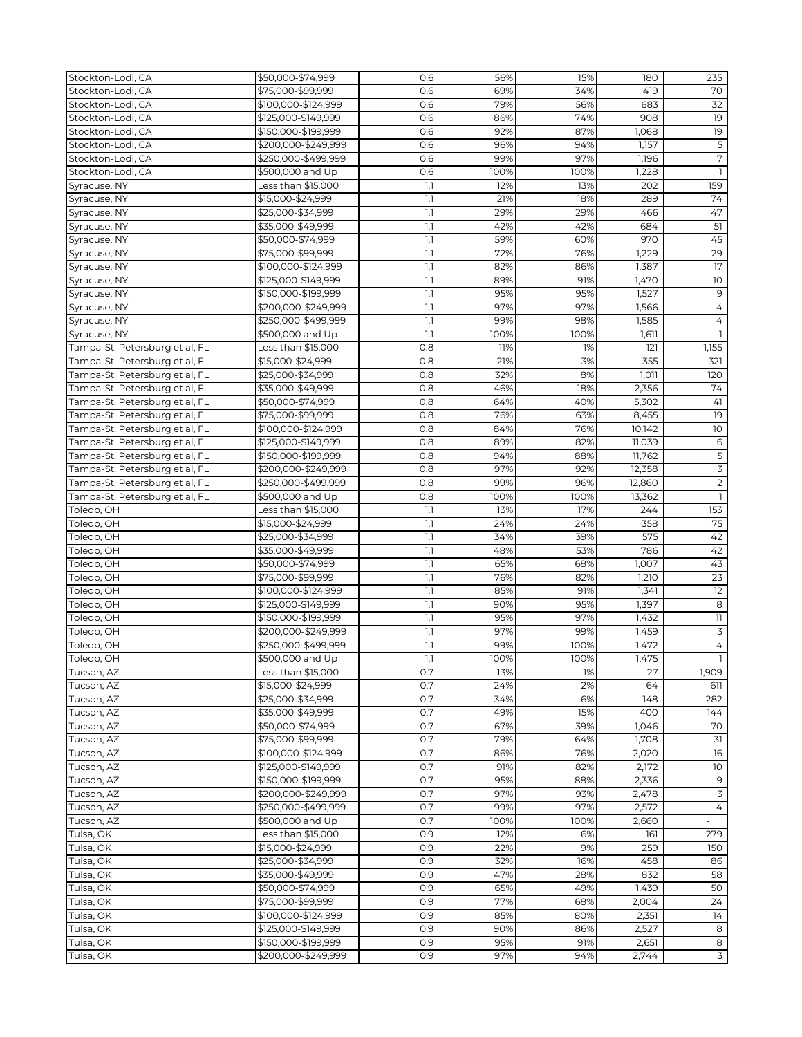| Stockton-Lodi, CA              | \$50,000-\$74,999   | 0.6 | 56%  | 15%  | 180    | 235             |
|--------------------------------|---------------------|-----|------|------|--------|-----------------|
| Stockton-Lodi, CA              | \$75,000-\$99,999   | 0.6 | 69%  | 34%  | 419    | 70              |
| Stockton-Lodi, CA              | \$100,000-\$124,999 | 0.6 | 79%  | 56%  | 683    | 32              |
| Stockton-Lodi, CA              | \$125,000-\$149,999 | 0.6 | 86%  | 74%  | 908    | 19              |
| Stockton-Lodi, CA              | \$150,000-\$199,999 | 0.6 | 92%  | 87%  | 1,068  | 19              |
| Stockton-Lodi, CA              | \$200,000-\$249,999 | 0.6 | 96%  | 94%  | 1,157  | 5               |
| Stockton-Lodi, CA              | \$250,000-\$499,999 | 0.6 | 99%  | 97%  | 1,196  | $\sqrt{7}$      |
| Stockton-Lodi, CA              | \$500,000 and Up    | 0.6 | 100% | 100% | 1,228  | $\mathbf{1}$    |
|                                |                     |     |      |      |        |                 |
| Syracuse, NY                   | Less than \$15,000  | 1.1 | 12%  | 13%  | 202    | 159             |
| Syracuse, NY                   | \$15,000-\$24,999   | 1.1 | 21%  | 18%  | 289    | 74              |
| Syracuse, NY                   | \$25,000-\$34,999   | 1.1 | 29%  | 29%  | 466    | 47              |
| Syracuse, NY                   | \$35,000-\$49,999   | 1.1 | 42%  | 42%  | 684    | 51              |
| Syracuse, NY                   | \$50,000-\$74,999   | 1.1 | 59%  | 60%  | 970    | 45              |
| Syracuse, NY                   | \$75,000-\$99,999   | 1.1 | 72%  | 76%  | 1,229  | 29              |
| Syracuse, NY                   | \$100,000-\$124,999 | 1.1 | 82%  | 86%  | 1,387  | 17              |
| Syracuse, NY                   | \$125,000-\$149,999 | 1.1 | 89%  | 91%  | 1,470  | 10              |
| Syracuse, NY                   | \$150,000-\$199,999 | 1.1 | 95%  | 95%  | 1,527  | $9$             |
| Syracuse, NY                   | \$200,000-\$249,999 | 1.1 | 97%  | 97%  | 1,566  | 4               |
| Syracuse, NY                   | \$250,000-\$499,999 | 1.1 | 99%  | 98%  | 1,585  | $\overline{4}$  |
| Syracuse, NY                   | \$500,000 and Up    | 1.1 | 100% | 100% | 1,611  | $\mathbf{1}$    |
| Tampa-St. Petersburg et al, FL | Less than \$15,000  | 0.8 | 11%  | 1%   | 121    | 1,155           |
| Tampa-St. Petersburg et al, FL | \$15,000-\$24,999   | 0.8 | 21%  | 3%   | 355    | 321             |
| Tampa-St. Petersburg et al, FL | \$25,000-\$34,999   | 0.8 | 32%  | 8%   | 1,011  | 120             |
| Tampa-St. Petersburg et al, FL | \$35,000-\$49,999   | 0.8 | 46%  | 18%  | 2,356  | 74              |
| Tampa-St. Petersburg et al, FL | \$50,000-\$74,999   | 0.8 | 64%  | 40%  | 5,302  | 41              |
| Tampa-St. Petersburg et al, FL | \$75,000-\$99,999   | 0.8 | 76%  | 63%  | 8,455  | 19              |
| Tampa-St. Petersburg et al, FL | \$100,000-\$124,999 | 0.8 | 84%  | 76%  | 10,142 | 10              |
|                                |                     |     |      |      |        |                 |
| Tampa-St. Petersburg et al, FL | \$125,000-\$149,999 | 0.8 | 89%  | 82%  | 11,039 | 6               |
| Tampa-St. Petersburg et al, FL | \$150,000-\$199,999 | 0.8 | 94%  | 88%  | 11,762 | $\mathsf S$     |
| Tampa-St. Petersburg et al, FL | \$200,000-\$249,999 | 0.8 | 97%  | 92%  | 12,358 | 3               |
| Tampa-St. Petersburg et al, FL | \$250,000-\$499,999 | 0.8 | 99%  | 96%  | 12,860 | $\overline{2}$  |
| Tampa-St. Petersburg et al, FL | \$500,000 and Up    | 0.8 | 100% | 100% | 13,362 |                 |
| Toledo, OH                     | Less than \$15,000  | 1.1 | 13%  | 17%  | 244    | 153             |
| Toledo, OH                     | \$15,000-\$24,999   | 1.1 | 24%  | 24%  | 358    | 75              |
| Toledo, OH                     | \$25,000-\$34,999   | 1.1 | 34%  | 39%  | 575    | 42              |
| Toledo, OH                     | \$35,000-\$49,999   | 1.1 | 48%  | 53%  | 786    | 42              |
| Toledo, OH                     | \$50,000-\$74,999   | 1.1 | 65%  | 68%  | 1,007  | 43              |
| Toledo, OH                     | \$75,000-\$99,999   | 1.1 | 76%  | 82%  | 1,210  | $\overline{23}$ |
| Toledo, OH                     | \$100,000-\$124,999 | 1.1 | 85%  | 91%  | 1,341  | 12              |
| Toledo, OH                     | \$125,000-\$149,999 | 1.1 | 90%  | 95%  | 1,397  | 8               |
| Toledo, OH                     | \$150,000-\$199,999 | 1.1 | 95%  | 97%  | 1,432  | $11\,$          |
| Toledo, OH                     | \$200,000-\$249,999 | 1.1 | 97%  | 99%  | 1,459  | $\overline{3}$  |
| Toledo, OH                     | \$250,000-\$499,999 | 1.1 | 99%  | 100% | 1,472  | $\overline{4}$  |
| Toledo, OH                     | \$500,000 and Up    | 1.1 | 100% | 100% | 1,475  |                 |
| Tucson, AZ                     | Less than \$15,000  | 0.7 | 13%  | 1%   | 27     | 1,909           |
| Tucson, AZ                     | \$15,000-\$24,999   | 0.7 | 24%  | 2%   | 64     | 611             |
| Tucson, AZ                     | \$25,000-\$34,999   | 0.7 | 34%  | 6%   | 148    | 282             |
| Tucson, AZ                     | \$35,000-\$49,999   | 0.7 | 49%  | 15%  | 400    | 144             |
| Tucson, AZ                     | \$50,000-\$74,999   | 0.7 | 67%  | 39%  | 1,046  | 70              |
| Tucson, AZ                     | \$75,000-\$99,999   | 0.7 | 79%  | 64%  | 1,708  | 31              |
|                                |                     | 0.7 | 86%  | 76%  |        | 16              |
| Tucson, AZ                     | \$100,000-\$124,999 |     |      |      | 2,020  |                 |
| Tucson, AZ                     | \$125,000-\$149,999 | 0.7 | 91%  | 82%  | 2,172  | 10 <sup>°</sup> |
| Tucson, AZ                     | \$150,000-\$199,999 | 0.7 | 95%  | 88%  | 2,336  | 9               |
| Tucson, AZ                     | \$200,000-\$249,999 | 0.7 | 97%  | 93%  | 2,478  | $\overline{3}$  |
| Tucson, AZ                     | \$250,000-\$499,999 | 0.7 | 99%  | 97%  | 2,572  | $\overline{4}$  |
| Tucson, AZ                     | \$500,000 and Up    | 0.7 | 100% | 100% | 2,660  |                 |
| Tulsa, OK                      | Less than \$15,000  | 0.9 | 12%  | 6%   | 161    | 279             |
| Tulsa, OK                      | \$15,000-\$24,999   | 0.9 | 22%  | 9%   | 259    | 150             |
| Tulsa, OK                      | \$25,000-\$34,999   | 0.9 | 32%  | 16%  | 458    | 86              |
| Tulsa, OK                      | \$35,000-\$49,999   | 0.9 | 47%  | 28%  | 832    | 58              |
| Tulsa, OK                      | \$50,000-\$74,999   | 0.9 | 65%  | 49%  | 1,439  | 50              |
| Tulsa, OK                      | \$75,000-\$99,999   | 0.9 | 77%  | 68%  | 2,004  | 24              |
| Tulsa, OK                      | \$100,000-\$124,999 | 0.9 | 85%  | 80%  | 2,351  | 14              |
| Tulsa, OK                      | \$125,000-\$149,999 | 0.9 | 90%  | 86%  | 2,527  | 8               |
| Tulsa, OK                      | \$150,000-\$199,999 | 0.9 | 95%  | 91%  | 2,651  | 8               |
| Tulsa, OK                      | \$200,000-\$249,999 | 0.9 | 97%  | 94%  | 2,744  | $\overline{3}$  |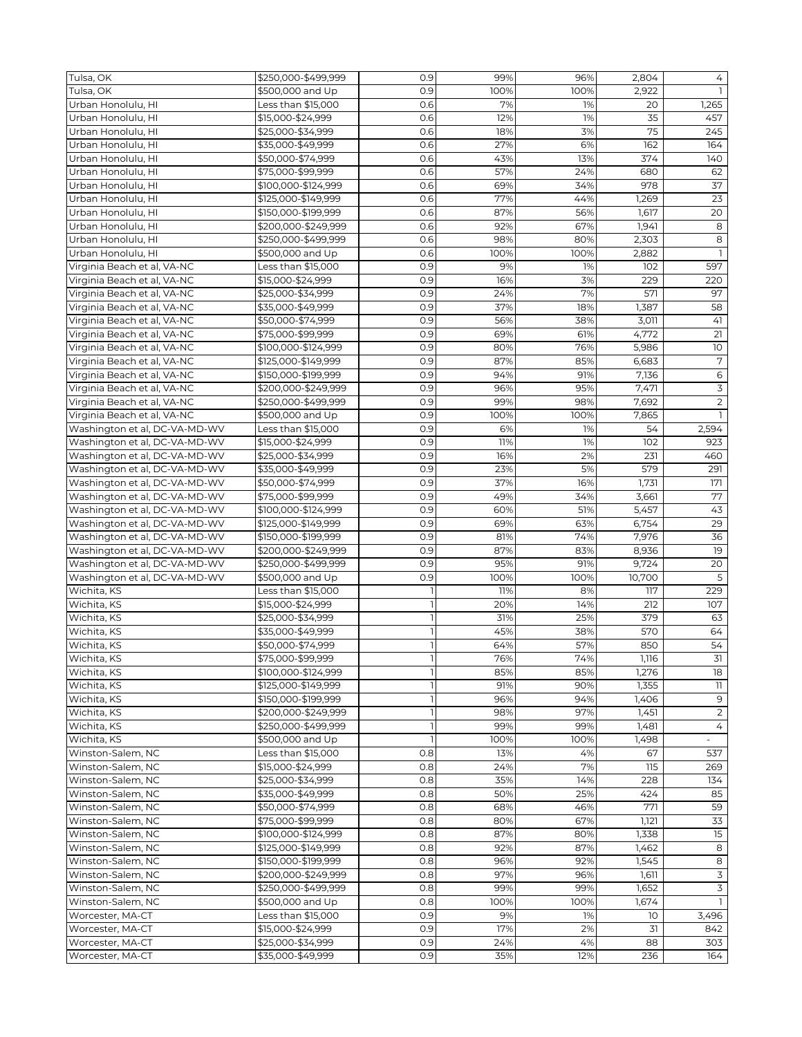| Tulsa, OK                                                  | \$250,000-\$499,999 | 0.9 | 99%  | 96%        | 2,804          | 4                        |
|------------------------------------------------------------|---------------------|-----|------|------------|----------------|--------------------------|
| Tulsa, OK                                                  | \$500,000 and Up    | 0.9 | 100% | 100%       | 2,922          |                          |
| Urban Honolulu, HI                                         | Less than \$15,000  | 0.6 | 7%   | 1%         | 20             | 1,265                    |
| Urban Honolulu, HI                                         | \$15,000-\$24.999   | 0.6 | 12%  | 1%         | 35             | 457                      |
| Urban Honolulu, HI                                         | \$25,000-\$34,999   | 0.6 | 18%  | 3%         | 75             | 245                      |
| Urban Honolulu, HI                                         | \$35,000-\$49,999   | 0.6 | 27%  | 6%         | 162            | 164                      |
| Urban Honolulu, HI                                         | \$50,000-\$74,999   | 0.6 | 43%  | 13%        | 374            | 140                      |
| Urban Honolulu, HI                                         | \$75,000-\$99,999   | 0.6 | 57%  | 24%        | 680            | 62                       |
| Urban Honolulu, HI                                         | \$100,000-\$124,999 | 0.6 | 69%  | 34%        | 978            | 37                       |
| Urban Honolulu, HI                                         | \$125,000-\$149,999 | 0.6 | 77%  | 44%        | 1,269          | 23                       |
| Urban Honolulu, HI                                         | \$150,000-\$199,999 | 0.6 | 87%  | 56%        | 1,617          | 20                       |
| Urban Honolulu, HI                                         | \$200,000-\$249,999 | 0.6 | 92%  | 67%        | 1,941          | 8                        |
| Urban Honolulu, HI                                         | \$250,000-\$499,999 | 0.6 | 98%  | 80%        | 2,303          | 8                        |
| Urban Honolulu, HI                                         | \$500,000 and Up    | 0.6 | 100% | 100%       | 2,882          |                          |
| Virginia Beach et al, VA-NC                                | Less than \$15,000  | 0.9 | 9%   | 1%         | 102            | 597                      |
| Virginia Beach et al, VA-NC                                | \$15,000-\$24,999   | 0.9 | 16%  | 3%         | 229            | 220                      |
| Virginia Beach et al, VA-NC                                | \$25,000-\$34,999   | 0.9 | 24%  | 7%         | 571            | 97                       |
| Virginia Beach et al, VA-NC                                | \$35,000-\$49,999   | 0.9 | 37%  | 18%        | 1,387          | 58                       |
| Virginia Beach et al, VA-NC                                | \$50,000-\$74,999   | 0.9 | 56%  | 38%        | 3,011          | 41                       |
|                                                            | \$75,000-\$99,999   | 0.9 | 69%  |            |                | 21                       |
| Virginia Beach et al, VA-NC<br>Virginia Beach et al, VA-NC | \$100,000-\$124,999 | 0.9 | 80%  | 61%<br>76% | 4,772<br>5,986 | 10 <sup>°</sup>          |
|                                                            |                     |     |      |            |                |                          |
| Virginia Beach et al, VA-NC                                | \$125,000-\$149,999 | 0.9 | 87%  | 85%        | 6,683          | $\overline{7}$           |
| Virginia Beach et al, VA-NC                                | \$150,000-\$199,999 | 0.9 | 94%  | 91%        | 7,136          | $\overline{6}$           |
| Virginia Beach et al, VA-NC                                | \$200,000-\$249,999 | 0.9 | 96%  | 95%        | 7,471          | $\mathsf 3$              |
| Virginia Beach et al, VA-NC                                | \$250,000-\$499,999 | 0.9 | 99%  | 98%        | 7,692          | $\overline{2}$           |
| Virginia Beach et al, VA-NC                                | \$500,000 and Up    | 0.9 | 100% | 100%       | 7,865          | $\mathbf{1}$             |
| Washington et al, DC-VA-MD-WV                              | Less than \$15,000  | 0.9 | 6%   | 1%         | 54             | 2,594                    |
| Washington et al, DC-VA-MD-WV                              | \$15,000-\$24,999   | 0.9 | 11%  | 1%         | 102            | 923                      |
| Washington et al, DC-VA-MD-WV                              | \$25,000-\$34,999   | 0.9 | 16%  | 2%         | 231            | 460                      |
| Washington et al, DC-VA-MD-WV                              | \$35,000-\$49,999   | 0.9 | 23%  | 5%         | 579            | 291                      |
| Washington et al, DC-VA-MD-WV                              | \$50,000-\$74,999   | 0.9 | 37%  | 16%        | 1,731          | 171                      |
| Washington et al, DC-VA-MD-WV                              | \$75,000-\$99,999   | 0.9 | 49%  | 34%        | 3,661          | 77                       |
| Washington et al, DC-VA-MD-WV                              | \$100,000-\$124,999 | 0.9 | 60%  | 51%        | 5,457          | 43                       |
| Washington et al, DC-VA-MD-WV                              | \$125,000-\$149,999 | 0.9 | 69%  | 63%        | 6,754          | 29                       |
| Washington et al, DC-VA-MD-WV                              | \$150,000-\$199,999 | 0.9 | 81%  | 74%        | 7,976          | 36                       |
| Washington et al, DC-VA-MD-WV                              | \$200,000-\$249,999 | 0.9 | 87%  | 83%        | 8,936          | 19                       |
| Washington et al, DC-VA-MD-WV                              | \$250,000-\$499,999 | 0.9 | 95%  | 91%        | 9,724          | 20                       |
| Washington et al, DC-VA-MD-WV                              | \$500,000 and Up    | 0.9 | 100% | 100%       | 10,700         | 5                        |
| Wichita, KS                                                | Less than \$15,000  |     | 11%  | 8%         | 117            | 229                      |
| Wichita, KS                                                | \$15,000-\$24,999   |     | 20%  | 14%        | 212            | 107                      |
| Wichita, KS                                                | \$25,000-\$34,999   |     | 31%  | 25%        | 379            | 63                       |
| Wichita, KS                                                | \$35,000-\$49,999   |     | 45%  | 38%        | 570            | 64                       |
| Wichita, KS                                                | \$50,000-\$74,999   |     | 64%  | 57%        | 850            | 54                       |
| Wichita, KS                                                | \$75,000-\$99,999   |     | 76%  | 74%        | 1,116          | $\mathsf{I}$             |
| Wichita, KS                                                | \$100,000-\$124,999 |     | 85%  | 85%        | 1,276          | 18                       |
| Wichita, KS                                                | \$125,000-\$149,999 |     | 91%  | 90%        | 1,355          | 11                       |
| Wichita, KS                                                | \$150,000-\$199,999 |     | 96%  | 94%        | 1,406          | 9                        |
| Wichita, KS                                                | \$200,000-\$249,999 |     | 98%  | 97%        | 1,451          | $\overline{2}$           |
| Wichita, KS                                                | \$250,000-\$499,999 |     | 99%  | 99%        | 1,481          | 4                        |
| Wichita, KS                                                | \$500,000 and Up    |     | 100% | 100%       | 1,498          | $\overline{\phantom{a}}$ |
| Winston-Salem, NC                                          | Less than \$15,000  | 0.8 | 13%  | 4%         | 67             | 537                      |
| Winston-Salem, NC                                          | \$15,000-\$24,999   | 0.8 | 24%  | 7%         | 115            | 269                      |
| Winston-Salem, NC                                          | \$25,000-\$34,999   | 0.8 | 35%  | 14%        | 228            | 134                      |
| Winston-Salem, NC                                          | \$35,000-\$49,999   | 0.8 | 50%  | 25%        | 424            | 85                       |
| Winston-Salem, NC                                          | \$50,000-\$74,999   | 0.8 | 68%  | 46%        | 771            | 59                       |
| Winston-Salem, NC                                          | \$75,000-\$99,999   | 0.8 | 80%  | 67%        | 1,121          | 33                       |
| Winston-Salem, NC                                          | \$100,000-\$124,999 | 0.8 | 87%  | 80%        | 1,338          | 15                       |
| Winston-Salem, NC                                          | \$125,000-\$149,999 | 0.8 | 92%  | 87%        | 1,462          | 8                        |
| Winston-Salem, NC                                          | \$150,000-\$199,999 | 0.8 | 96%  | 92%        | 1,545          | 8                        |
| Winston-Salem, NC                                          | \$200,000-\$249,999 | 0.8 | 97%  | 96%        | 1,611          | $\overline{3}$           |
|                                                            |                     |     | 99%  |            |                | $\overline{3}$           |
| Winston-Salem, NC                                          | \$250,000-\$499,999 | 0.8 |      | 99%        | 1,652          |                          |
| Winston-Salem, NC                                          | \$500,000 and Up    | 0.8 | 100% | 100%       | 1,674          |                          |
| Worcester, MA-CT                                           | Less than \$15,000  | 0.9 | 9%   | 1%         | 10             | 3,496                    |
| Worcester, MA-CT                                           | \$15,000-\$24,999   | 0.9 | 17%  | 2%         | 31             | 842                      |
| Worcester, MA-CT                                           | \$25,000-\$34,999   | 0.9 | 24%  | 4%         | 88             | 303                      |
| Worcester, MA-CT                                           | \$35,000-\$49,999   | 0.9 | 35%  | 12%        | 236            | 164                      |